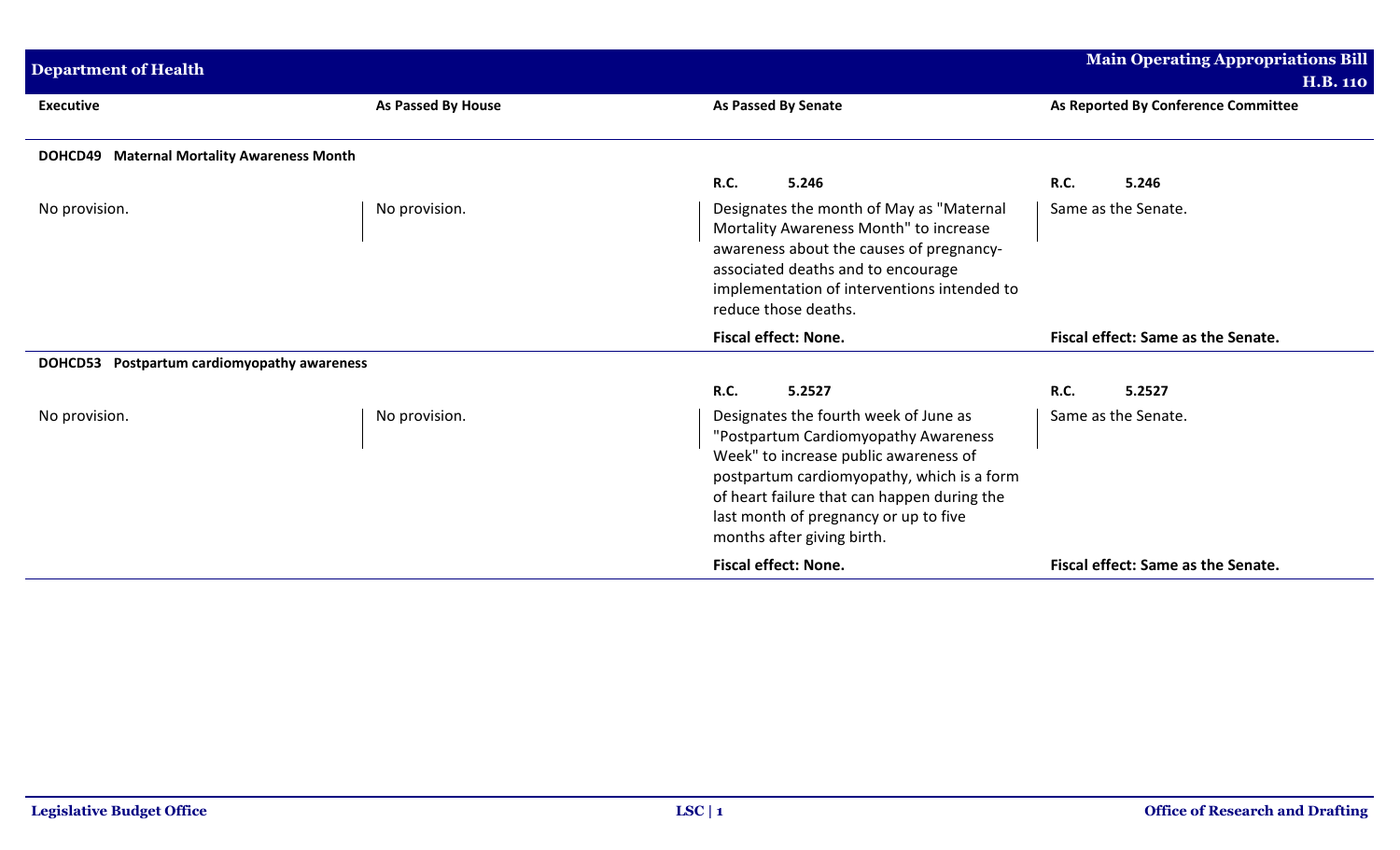| <b>Department of Health</b>                    |                    |                                                                                                                                                                                                                                                                                            | <b>Main Operating Appropriations Bill</b> |
|------------------------------------------------|--------------------|--------------------------------------------------------------------------------------------------------------------------------------------------------------------------------------------------------------------------------------------------------------------------------------------|-------------------------------------------|
|                                                |                    |                                                                                                                                                                                                                                                                                            | <b>H.B. 110</b>                           |
| <b>Executive</b>                               | As Passed By House | <b>As Passed By Senate</b>                                                                                                                                                                                                                                                                 | As Reported By Conference Committee       |
| DOHCD49 Maternal Mortality Awareness Month     |                    |                                                                                                                                                                                                                                                                                            |                                           |
|                                                |                    | <b>R.C.</b><br>5.246                                                                                                                                                                                                                                                                       | 5.246<br><b>R.C.</b>                      |
| No provision.                                  | No provision.      | Designates the month of May as "Maternal<br>Mortality Awareness Month" to increase<br>awareness about the causes of pregnancy-<br>associated deaths and to encourage<br>implementation of interventions intended to<br>reduce those deaths.                                                | Same as the Senate.                       |
|                                                |                    | <b>Fiscal effect: None.</b>                                                                                                                                                                                                                                                                | Fiscal effect: Same as the Senate.        |
| Postpartum cardiomyopathy awareness<br>DOHCD53 |                    |                                                                                                                                                                                                                                                                                            |                                           |
|                                                |                    | <b>R.C.</b><br>5.2527                                                                                                                                                                                                                                                                      | 5.2527<br><b>R.C.</b>                     |
| No provision.                                  | No provision.      | Designates the fourth week of June as<br>"Postpartum Cardiomyopathy Awareness<br>Week" to increase public awareness of<br>postpartum cardiomyopathy, which is a form<br>of heart failure that can happen during the<br>last month of pregnancy or up to five<br>months after giving birth. | Same as the Senate.                       |
|                                                |                    | <b>Fiscal effect: None.</b>                                                                                                                                                                                                                                                                | Fiscal effect: Same as the Senate.        |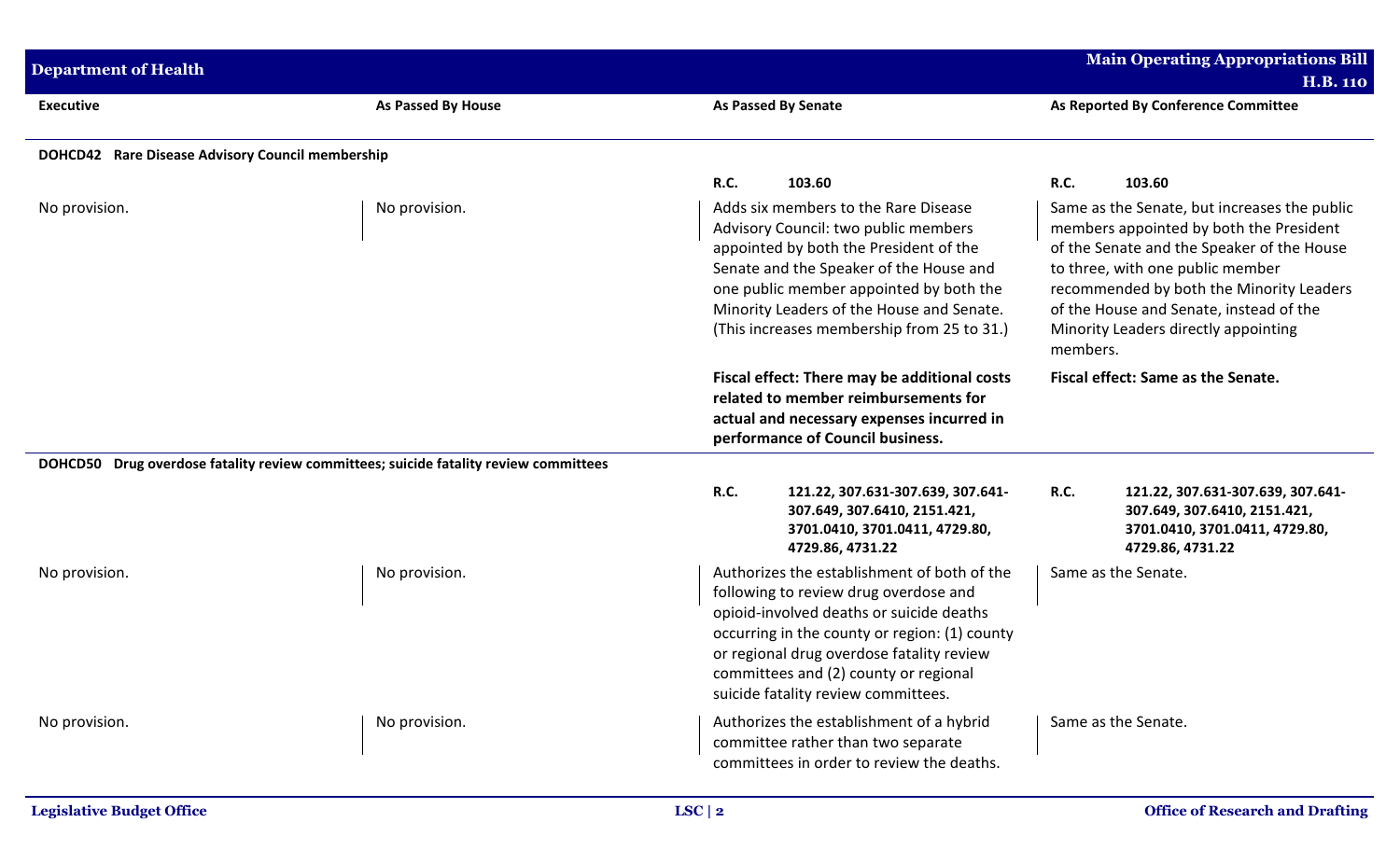| <b>Department of Health</b>                      |                                                                                      |                                                                                                                                                                                                                                                                                                                | Main Operating Appropriations Bill<br><b>H.B. 110</b>                                                                                                                                                                                                                                                                |
|--------------------------------------------------|--------------------------------------------------------------------------------------|----------------------------------------------------------------------------------------------------------------------------------------------------------------------------------------------------------------------------------------------------------------------------------------------------------------|----------------------------------------------------------------------------------------------------------------------------------------------------------------------------------------------------------------------------------------------------------------------------------------------------------------------|
| <b>Executive</b>                                 | As Passed By House                                                                   | <b>As Passed By Senate</b>                                                                                                                                                                                                                                                                                     | As Reported By Conference Committee                                                                                                                                                                                                                                                                                  |
| DOHCD42 Rare Disease Advisory Council membership |                                                                                      |                                                                                                                                                                                                                                                                                                                |                                                                                                                                                                                                                                                                                                                      |
|                                                  |                                                                                      | <b>R.C.</b><br>103.60                                                                                                                                                                                                                                                                                          | <b>R.C.</b><br>103.60                                                                                                                                                                                                                                                                                                |
| No provision.                                    | No provision.                                                                        | Adds six members to the Rare Disease<br>Advisory Council: two public members<br>appointed by both the President of the<br>Senate and the Speaker of the House and<br>one public member appointed by both the<br>Minority Leaders of the House and Senate.<br>(This increases membership from 25 to 31.)        | Same as the Senate, but increases the public<br>members appointed by both the President<br>of the Senate and the Speaker of the House<br>to three, with one public member<br>recommended by both the Minority Leaders<br>of the House and Senate, instead of the<br>Minority Leaders directly appointing<br>members. |
|                                                  |                                                                                      | Fiscal effect: There may be additional costs<br>related to member reimbursements for<br>actual and necessary expenses incurred in<br>performance of Council business.                                                                                                                                          | Fiscal effect: Same as the Senate.                                                                                                                                                                                                                                                                                   |
|                                                  | DOHCD50 Drug overdose fatality review committees; suicide fatality review committees |                                                                                                                                                                                                                                                                                                                |                                                                                                                                                                                                                                                                                                                      |
|                                                  |                                                                                      | <b>R.C.</b><br>121.22, 307.631-307.639, 307.641-<br>307.649, 307.6410, 2151.421,<br>3701.0410, 3701.0411, 4729.80,<br>4729.86, 4731.22                                                                                                                                                                         | <b>R.C.</b><br>121.22, 307.631-307.639, 307.641-<br>307.649, 307.6410, 2151.421,<br>3701.0410, 3701.0411, 4729.80,<br>4729.86, 4731.22                                                                                                                                                                               |
| No provision.                                    | No provision.                                                                        | Authorizes the establishment of both of the<br>following to review drug overdose and<br>opioid-involved deaths or suicide deaths<br>occurring in the county or region: (1) county<br>or regional drug overdose fatality review<br>committees and (2) county or regional<br>suicide fatality review committees. | Same as the Senate.                                                                                                                                                                                                                                                                                                  |
| No provision.                                    | No provision.                                                                        | Authorizes the establishment of a hybrid<br>committee rather than two separate<br>committees in order to review the deaths.                                                                                                                                                                                    | Same as the Senate.                                                                                                                                                                                                                                                                                                  |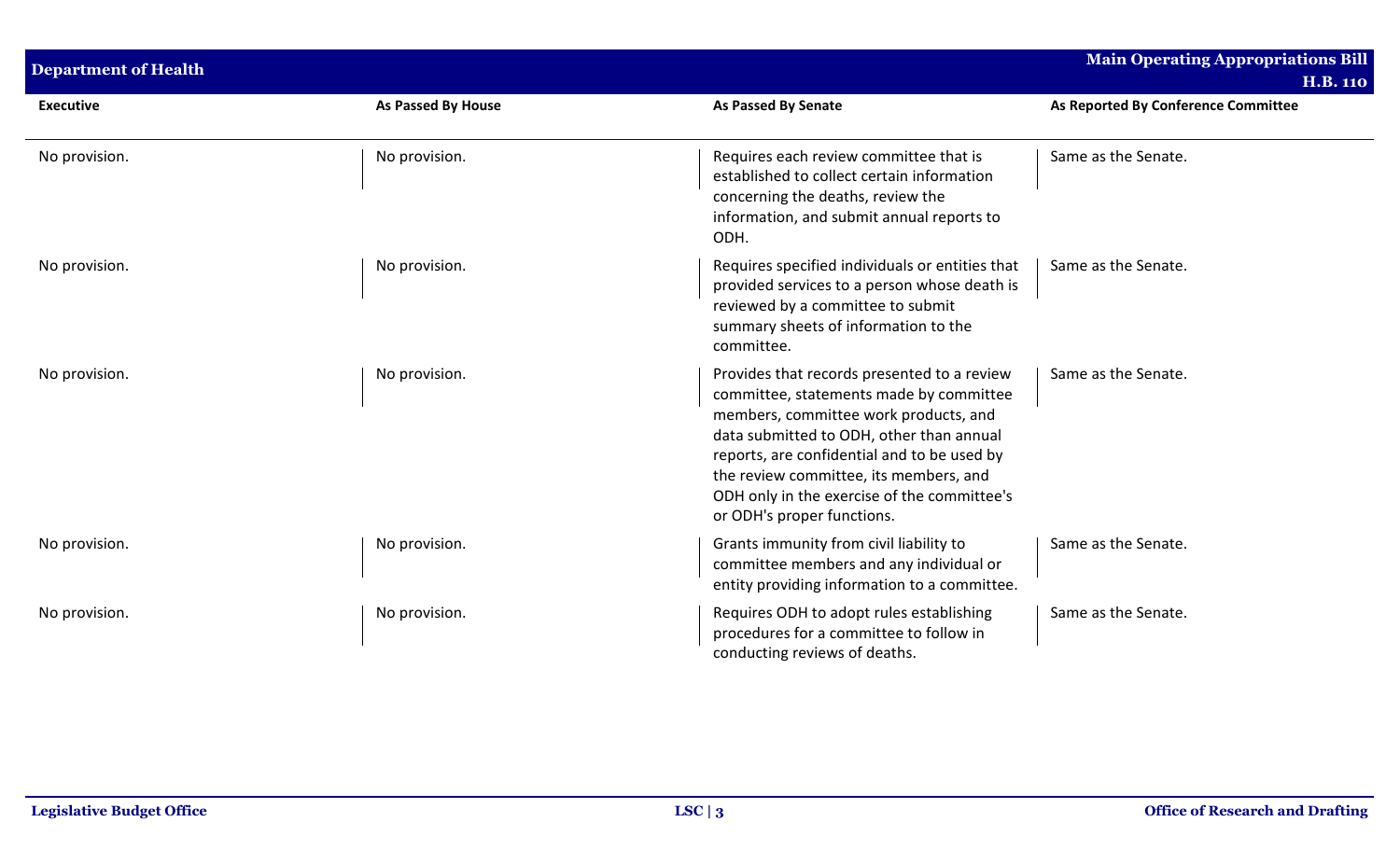| <b>Department of Health</b> |                    |                                                                                                                                                                                                                                                                                                                                                   | <b>Main Operating Appropriations Bill</b><br><b>H.B. 110</b> |
|-----------------------------|--------------------|---------------------------------------------------------------------------------------------------------------------------------------------------------------------------------------------------------------------------------------------------------------------------------------------------------------------------------------------------|--------------------------------------------------------------|
| <b>Executive</b>            | As Passed By House | <b>As Passed By Senate</b>                                                                                                                                                                                                                                                                                                                        | As Reported By Conference Committee                          |
| No provision.               | No provision.      | Requires each review committee that is<br>established to collect certain information<br>concerning the deaths, review the<br>information, and submit annual reports to<br>ODH.                                                                                                                                                                    | Same as the Senate.                                          |
| No provision.               | No provision.      | Requires specified individuals or entities that<br>provided services to a person whose death is<br>reviewed by a committee to submit<br>summary sheets of information to the<br>committee.                                                                                                                                                        | Same as the Senate.                                          |
| No provision.               | No provision.      | Provides that records presented to a review<br>committee, statements made by committee<br>members, committee work products, and<br>data submitted to ODH, other than annual<br>reports, are confidential and to be used by<br>the review committee, its members, and<br>ODH only in the exercise of the committee's<br>or ODH's proper functions. | Same as the Senate.                                          |
| No provision.               | No provision.      | Grants immunity from civil liability to<br>committee members and any individual or<br>entity providing information to a committee.                                                                                                                                                                                                                | Same as the Senate.                                          |
| No provision.               | No provision.      | Requires ODH to adopt rules establishing<br>procedures for a committee to follow in<br>conducting reviews of deaths.                                                                                                                                                                                                                              | Same as the Senate.                                          |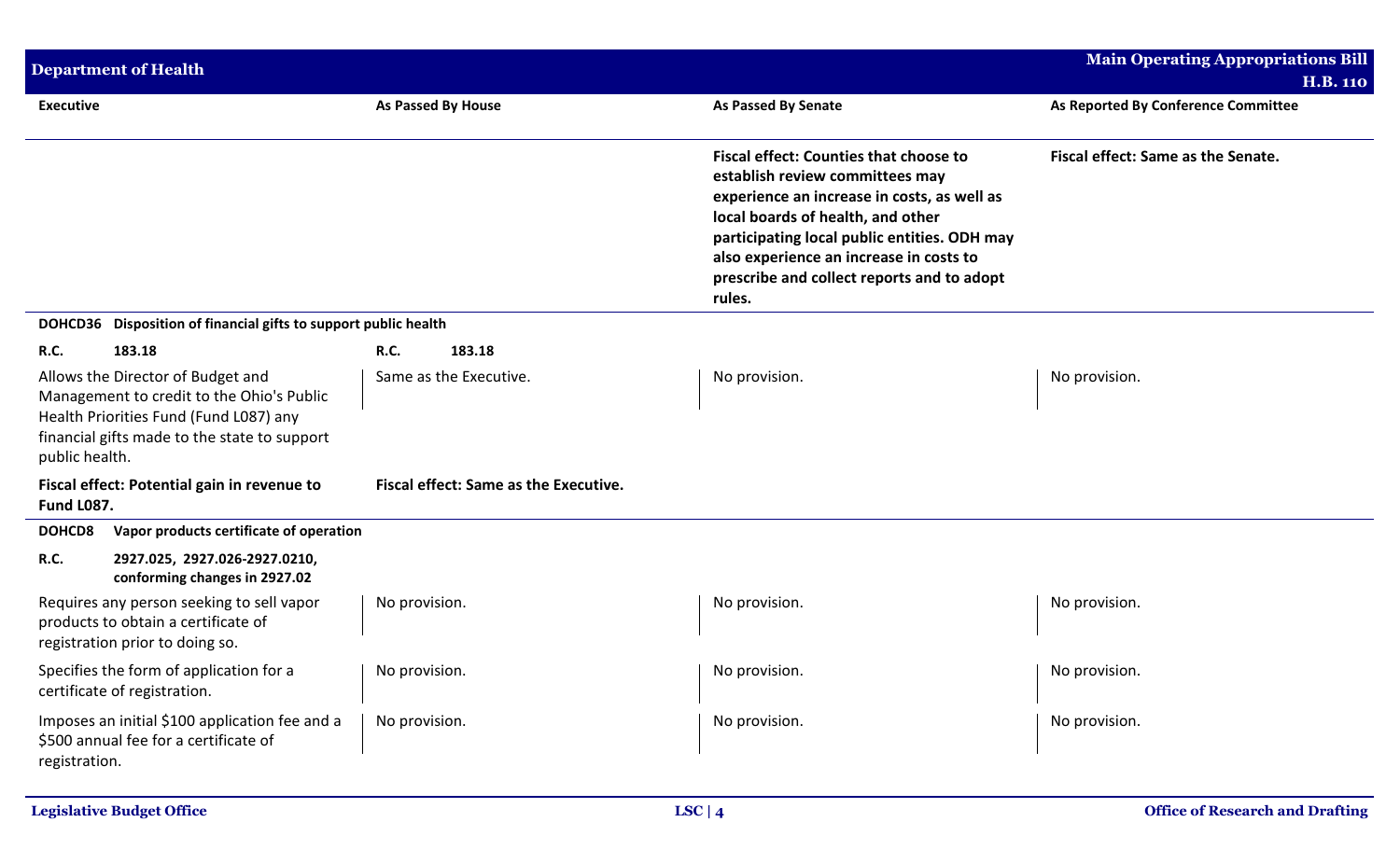| <b>Department of Health</b>                                                                                                                                                                |                                              |                                                                                                                                                                                                                                                                                                                         | <b>Main Operating Appropriations Bill</b><br><b>H.B. 110</b> |
|--------------------------------------------------------------------------------------------------------------------------------------------------------------------------------------------|----------------------------------------------|-------------------------------------------------------------------------------------------------------------------------------------------------------------------------------------------------------------------------------------------------------------------------------------------------------------------------|--------------------------------------------------------------|
| <b>Executive</b>                                                                                                                                                                           | As Passed By House                           | <b>As Passed By Senate</b>                                                                                                                                                                                                                                                                                              | As Reported By Conference Committee                          |
|                                                                                                                                                                                            |                                              | <b>Fiscal effect: Counties that choose to</b><br>establish review committees may<br>experience an increase in costs, as well as<br>local boards of health, and other<br>participating local public entities. ODH may<br>also experience an increase in costs to<br>prescribe and collect reports and to adopt<br>rules. | Fiscal effect: Same as the Senate.                           |
| DOHCD36 Disposition of financial gifts to support public health                                                                                                                            |                                              |                                                                                                                                                                                                                                                                                                                         |                                                              |
| 183.18<br>R.C.                                                                                                                                                                             | <b>R.C.</b><br>183.18                        |                                                                                                                                                                                                                                                                                                                         |                                                              |
| Allows the Director of Budget and<br>Management to credit to the Ohio's Public<br>Health Priorities Fund (Fund L087) any<br>financial gifts made to the state to support<br>public health. | Same as the Executive.                       | No provision.                                                                                                                                                                                                                                                                                                           | No provision.                                                |
| Fiscal effect: Potential gain in revenue to<br><b>Fund L087.</b>                                                                                                                           | <b>Fiscal effect: Same as the Executive.</b> |                                                                                                                                                                                                                                                                                                                         |                                                              |
| Vapor products certificate of operation<br>DOHCD8                                                                                                                                          |                                              |                                                                                                                                                                                                                                                                                                                         |                                                              |
| 2927.025, 2927.026-2927.0210,<br>R.C.<br>conforming changes in 2927.02                                                                                                                     |                                              |                                                                                                                                                                                                                                                                                                                         |                                                              |
| Requires any person seeking to sell vapor<br>products to obtain a certificate of<br>registration prior to doing so.                                                                        | No provision.                                | No provision.                                                                                                                                                                                                                                                                                                           | No provision.                                                |
| Specifies the form of application for a<br>certificate of registration.                                                                                                                    | No provision.                                | No provision.                                                                                                                                                                                                                                                                                                           | No provision.                                                |
| Imposes an initial \$100 application fee and a<br>\$500 annual fee for a certificate of<br>registration.                                                                                   | No provision.                                | No provision.                                                                                                                                                                                                                                                                                                           | No provision.                                                |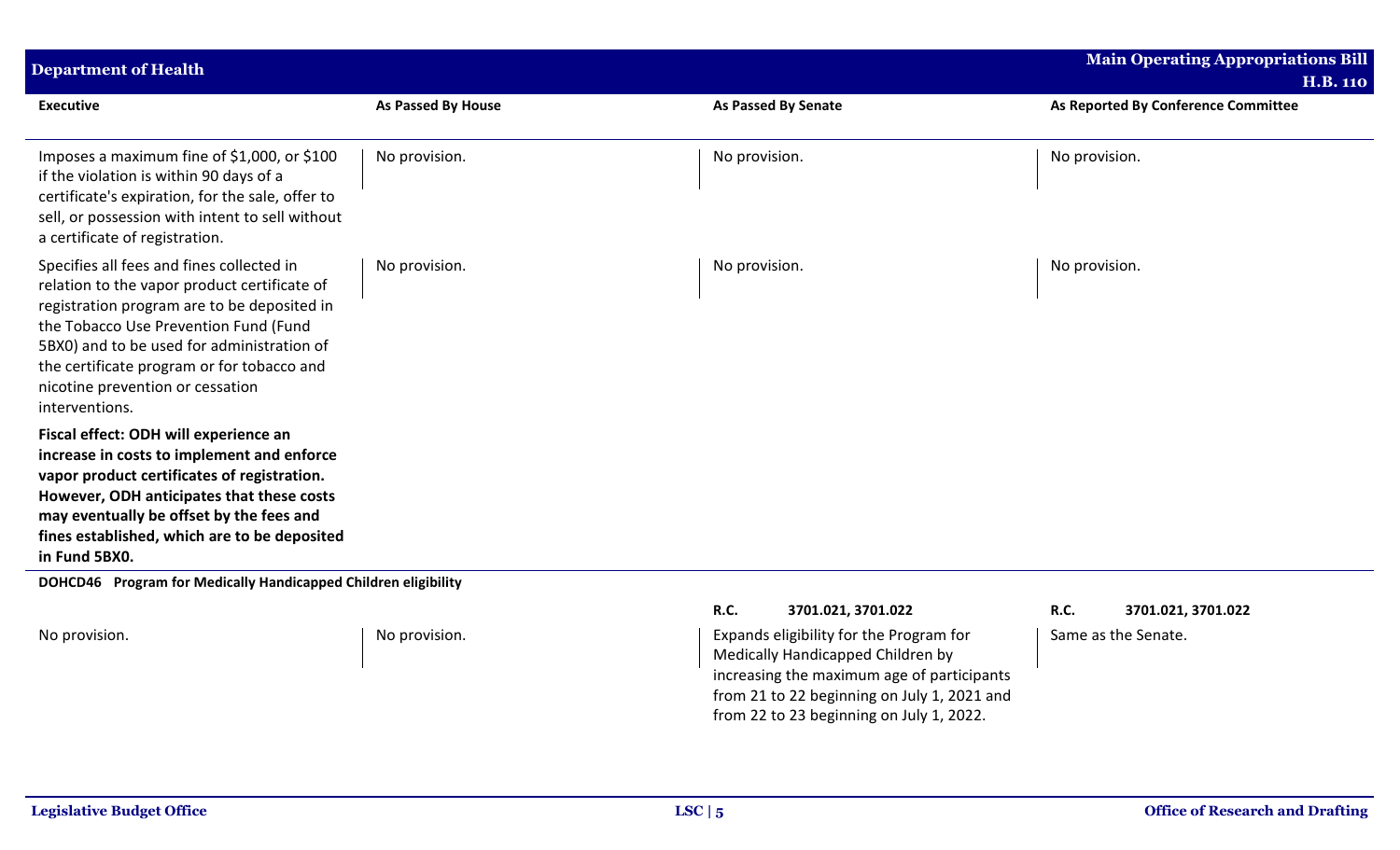| <b>Department of Health</b>                                                                                                                                                                                                                                                                                                         |                           |                     | <b>Main Operating Appropriations Bill</b> |
|-------------------------------------------------------------------------------------------------------------------------------------------------------------------------------------------------------------------------------------------------------------------------------------------------------------------------------------|---------------------------|---------------------|-------------------------------------------|
|                                                                                                                                                                                                                                                                                                                                     |                           |                     | <b>H.B. 110</b>                           |
| <b>Executive</b>                                                                                                                                                                                                                                                                                                                    | <b>As Passed By House</b> | As Passed By Senate | As Reported By Conference Committee       |
| Imposes a maximum fine of \$1,000, or \$100<br>if the violation is within 90 days of a<br>certificate's expiration, for the sale, offer to<br>sell, or possession with intent to sell without<br>a certificate of registration.                                                                                                     | No provision.             | No provision.       | No provision.                             |
| Specifies all fees and fines collected in<br>relation to the vapor product certificate of<br>registration program are to be deposited in<br>the Tobacco Use Prevention Fund (Fund<br>5BX0) and to be used for administration of<br>the certificate program or for tobacco and<br>nicotine prevention or cessation<br>interventions. | No provision.             | No provision.       | No provision.                             |
| Fiscal effect: ODH will experience an<br>increase in costs to implement and enforce<br>vapor product certificates of registration.<br>However, ODH anticipates that these costs<br>may eventually be offset by the fees and<br>fines established, which are to be deposited<br>in Fund 5BX0.                                        |                           |                     |                                           |
| DOHCD46 Program for Medically Handicapped Children eligibility                                                                                                                                                                                                                                                                      |                           |                     |                                           |

No provision. No provision. And the Mo provision. The expands eligibility for the Program for Medically Handicapped Children by increasing the maximum age of participants from 21 to 22 beginning on July 1, 2021 and from 22 to 23 beginning on July 1, 2022.

**R.C. 3701.021, 3701.022 R.C. 3701.021, 3701.022**

Same as the Senate.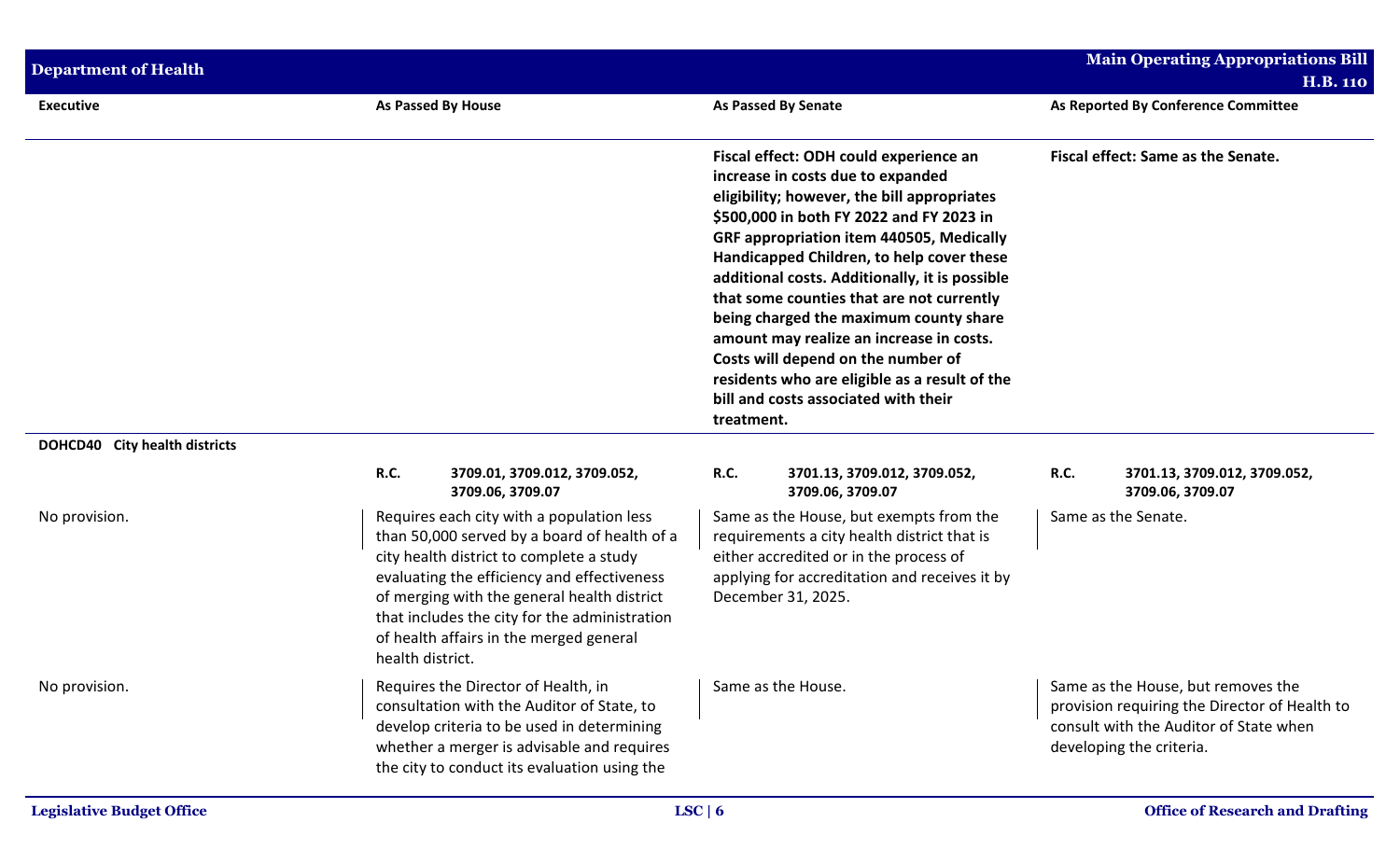| <b>Department of Health</b>   |                                                                                                                                                                                                                                                                                                                                                     |                                                                                                                                                                                                                                                                                                                                                                                                                         | <b>Main Operating Appropriations Bill</b>                                                                                                                 |
|-------------------------------|-----------------------------------------------------------------------------------------------------------------------------------------------------------------------------------------------------------------------------------------------------------------------------------------------------------------------------------------------------|-------------------------------------------------------------------------------------------------------------------------------------------------------------------------------------------------------------------------------------------------------------------------------------------------------------------------------------------------------------------------------------------------------------------------|-----------------------------------------------------------------------------------------------------------------------------------------------------------|
| <b>Executive</b>              | <b>As Passed By House</b>                                                                                                                                                                                                                                                                                                                           | <b>As Passed By Senate</b>                                                                                                                                                                                                                                                                                                                                                                                              | <b>H.B. 110</b><br>As Reported By Conference Committee                                                                                                    |
|                               |                                                                                                                                                                                                                                                                                                                                                     | Fiscal effect: ODH could experience an<br>increase in costs due to expanded<br>eligibility; however, the bill appropriates<br>\$500,000 in both FY 2022 and FY 2023 in                                                                                                                                                                                                                                                  | Fiscal effect: Same as the Senate.                                                                                                                        |
|                               |                                                                                                                                                                                                                                                                                                                                                     | GRF appropriation item 440505, Medically<br>Handicapped Children, to help cover these<br>additional costs. Additionally, it is possible<br>that some counties that are not currently<br>being charged the maximum county share<br>amount may realize an increase in costs.<br>Costs will depend on the number of<br>residents who are eligible as a result of the<br>bill and costs associated with their<br>treatment. |                                                                                                                                                           |
| DOHCD40 City health districts |                                                                                                                                                                                                                                                                                                                                                     |                                                                                                                                                                                                                                                                                                                                                                                                                         |                                                                                                                                                           |
|                               | R.C.<br>3709.01, 3709.012, 3709.052,<br>3709.06, 3709.07                                                                                                                                                                                                                                                                                            | R.C.<br>3701.13, 3709.012, 3709.052,<br>3709.06, 3709.07                                                                                                                                                                                                                                                                                                                                                                | R.C.<br>3701.13, 3709.012, 3709.052,<br>3709.06, 3709.07                                                                                                  |
| No provision.                 | Requires each city with a population less<br>than 50,000 served by a board of health of a<br>city health district to complete a study<br>evaluating the efficiency and effectiveness<br>of merging with the general health district<br>that includes the city for the administration<br>of health affairs in the merged general<br>health district. | Same as the House, but exempts from the<br>requirements a city health district that is<br>either accredited or in the process of<br>applying for accreditation and receives it by<br>December 31, 2025.                                                                                                                                                                                                                 | Same as the Senate.                                                                                                                                       |
| No provision.                 | Requires the Director of Health, in<br>consultation with the Auditor of State, to<br>develop criteria to be used in determining<br>whether a merger is advisable and requires<br>the city to conduct its evaluation using the                                                                                                                       | Same as the House.                                                                                                                                                                                                                                                                                                                                                                                                      | Same as the House, but removes the<br>provision requiring the Director of Health to<br>consult with the Auditor of State when<br>developing the criteria. |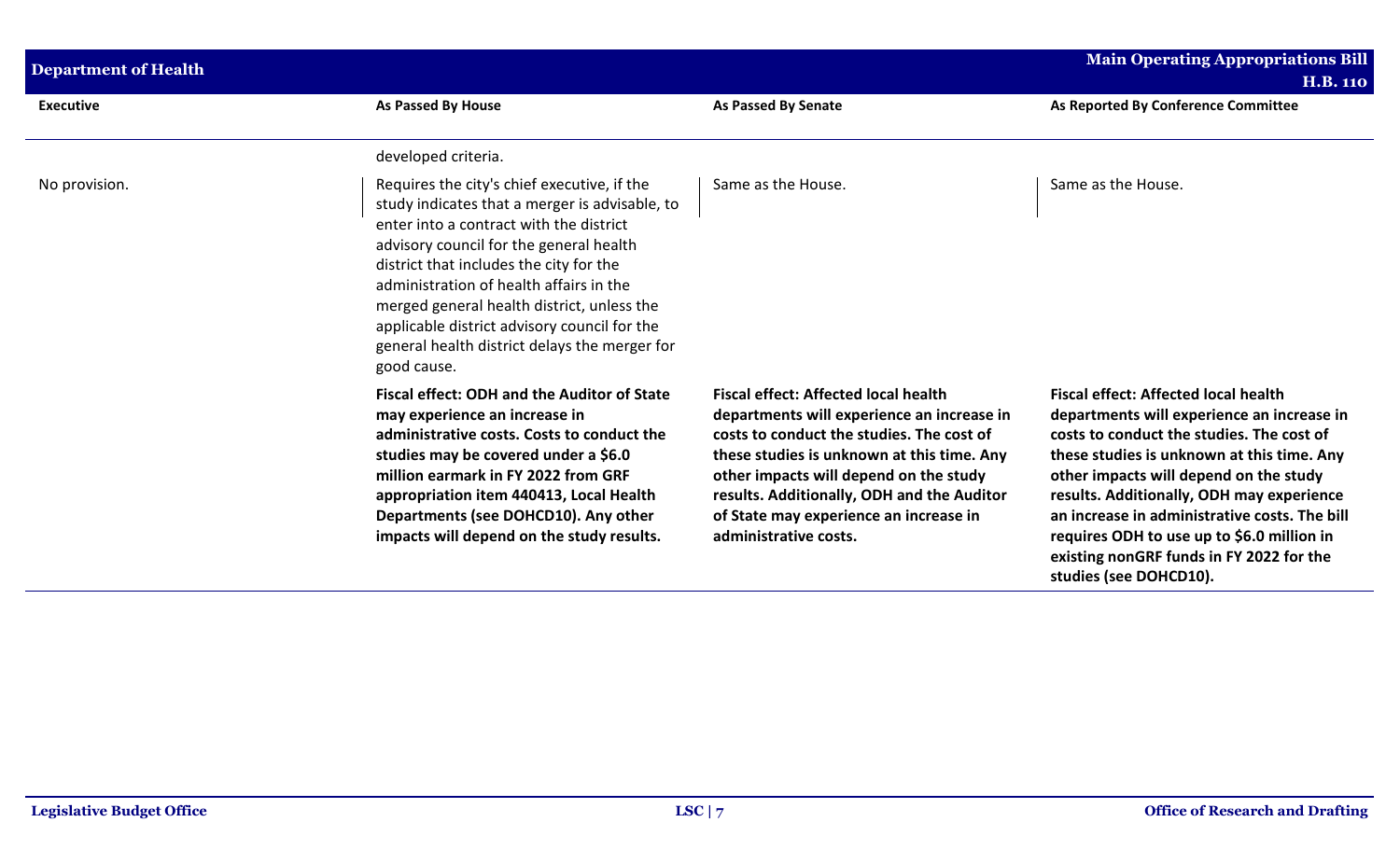| <b>Department of Health</b> |                                                                                                                                                                                                                                                                                                                                                                                                                                         |                                                                                                                                                                                                                                                                                                                                                 | <b>Main Operating Appropriations Bill</b><br><b>H.B. 110</b>                                                                                                                                                                                                                                                                                                                                                                                     |
|-----------------------------|-----------------------------------------------------------------------------------------------------------------------------------------------------------------------------------------------------------------------------------------------------------------------------------------------------------------------------------------------------------------------------------------------------------------------------------------|-------------------------------------------------------------------------------------------------------------------------------------------------------------------------------------------------------------------------------------------------------------------------------------------------------------------------------------------------|--------------------------------------------------------------------------------------------------------------------------------------------------------------------------------------------------------------------------------------------------------------------------------------------------------------------------------------------------------------------------------------------------------------------------------------------------|
| <b>Executive</b>            | <b>As Passed By House</b>                                                                                                                                                                                                                                                                                                                                                                                                               | <b>As Passed By Senate</b>                                                                                                                                                                                                                                                                                                                      | As Reported By Conference Committee                                                                                                                                                                                                                                                                                                                                                                                                              |
|                             | developed criteria.                                                                                                                                                                                                                                                                                                                                                                                                                     |                                                                                                                                                                                                                                                                                                                                                 |                                                                                                                                                                                                                                                                                                                                                                                                                                                  |
| No provision.               | Requires the city's chief executive, if the<br>study indicates that a merger is advisable, to<br>enter into a contract with the district<br>advisory council for the general health<br>district that includes the city for the<br>administration of health affairs in the<br>merged general health district, unless the<br>applicable district advisory council for the<br>general health district delays the merger for<br>good cause. | Same as the House.                                                                                                                                                                                                                                                                                                                              | Same as the House.                                                                                                                                                                                                                                                                                                                                                                                                                               |
|                             | <b>Fiscal effect: ODH and the Auditor of State</b><br>may experience an increase in<br>administrative costs. Costs to conduct the<br>studies may be covered under a \$6.0<br>million earmark in FY 2022 from GRF<br>appropriation item 440413, Local Health<br>Departments (see DOHCD10). Any other<br>impacts will depend on the study results.                                                                                        | <b>Fiscal effect: Affected local health</b><br>departments will experience an increase in<br>costs to conduct the studies. The cost of<br>these studies is unknown at this time. Any<br>other impacts will depend on the study<br>results. Additionally, ODH and the Auditor<br>of State may experience an increase in<br>administrative costs. | <b>Fiscal effect: Affected local health</b><br>departments will experience an increase in<br>costs to conduct the studies. The cost of<br>these studies is unknown at this time. Any<br>other impacts will depend on the study<br>results. Additionally, ODH may experience<br>an increase in administrative costs. The bill<br>requires ODH to use up to \$6.0 million in<br>existing nonGRF funds in FY 2022 for the<br>studies (see DOHCD10). |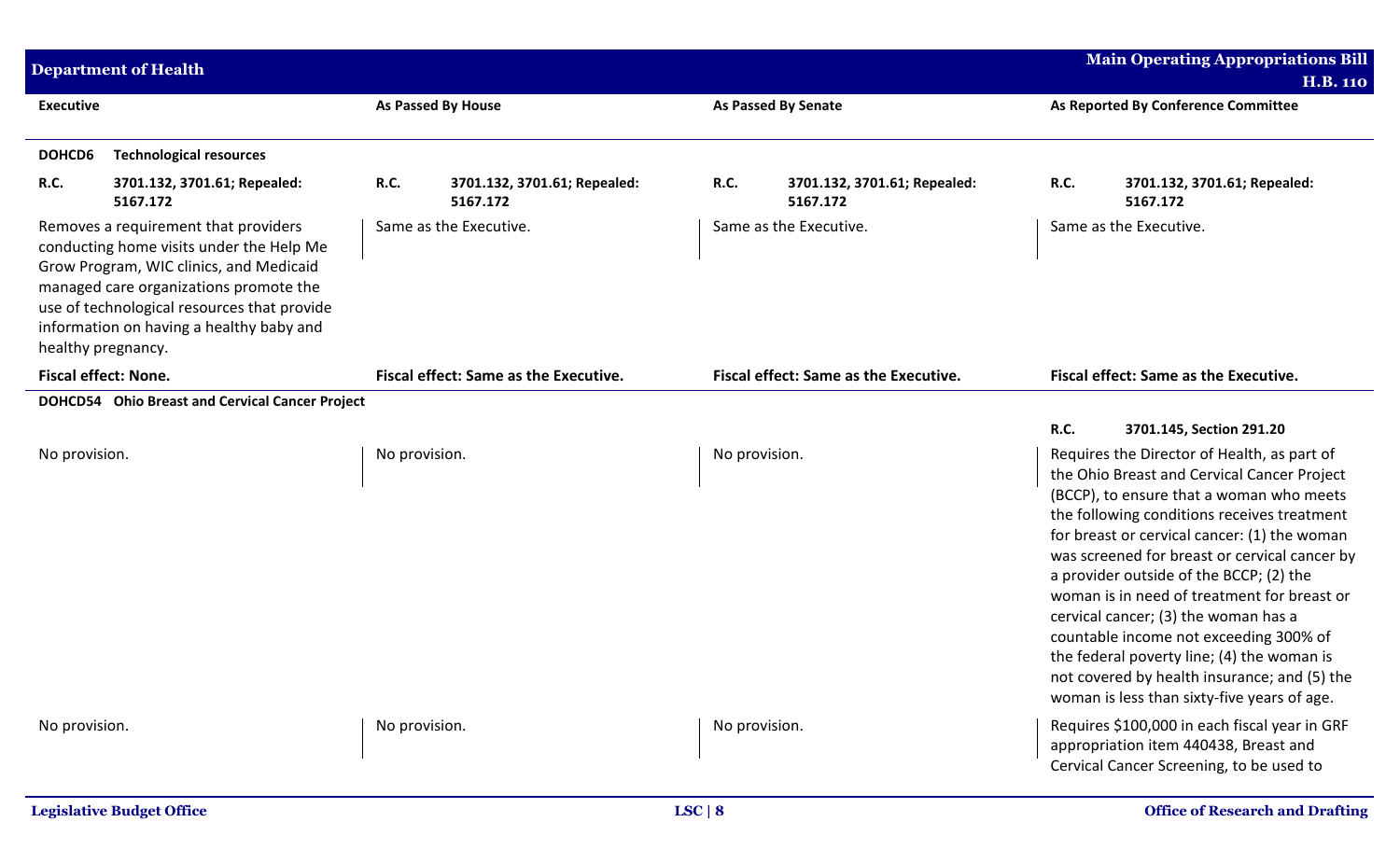| <b>Department of Health</b> |                                                                                                                                                                                                                                                                  |               |                                              | <b>Main Operating Appropriations Bill</b><br><b>H.B. 110</b> |                                          |      |                                                                                                                                                                                                                                                                                                                                                                                                                                                                                                                                                                                                                 |
|-----------------------------|------------------------------------------------------------------------------------------------------------------------------------------------------------------------------------------------------------------------------------------------------------------|---------------|----------------------------------------------|--------------------------------------------------------------|------------------------------------------|------|-----------------------------------------------------------------------------------------------------------------------------------------------------------------------------------------------------------------------------------------------------------------------------------------------------------------------------------------------------------------------------------------------------------------------------------------------------------------------------------------------------------------------------------------------------------------------------------------------------------------|
| <b>Executive</b>            |                                                                                                                                                                                                                                                                  |               | <b>As Passed By House</b>                    |                                                              | <b>As Passed By Senate</b>               |      | As Reported By Conference Committee                                                                                                                                                                                                                                                                                                                                                                                                                                                                                                                                                                             |
| DOHCD6                      | <b>Technological resources</b>                                                                                                                                                                                                                                   |               |                                              |                                                              |                                          |      |                                                                                                                                                                                                                                                                                                                                                                                                                                                                                                                                                                                                                 |
| <b>R.C.</b>                 | 3701.132, 3701.61; Repealed:<br>5167.172                                                                                                                                                                                                                         | R.C.          | 3701.132, 3701.61; Repealed:<br>5167.172     | R.C.                                                         | 3701.132, 3701.61; Repealed:<br>5167.172 | R.C. | 3701.132, 3701.61; Repealed:<br>5167.172                                                                                                                                                                                                                                                                                                                                                                                                                                                                                                                                                                        |
| healthy pregnancy.          | Removes a requirement that providers<br>conducting home visits under the Help Me<br>Grow Program, WIC clinics, and Medicaid<br>managed care organizations promote the<br>use of technological resources that provide<br>information on having a healthy baby and |               | Same as the Executive.                       | Same as the Executive.                                       |                                          |      | Same as the Executive.                                                                                                                                                                                                                                                                                                                                                                                                                                                                                                                                                                                          |
| <b>Fiscal effect: None.</b> |                                                                                                                                                                                                                                                                  |               | <b>Fiscal effect: Same as the Executive.</b> | Fiscal effect: Same as the Executive.                        |                                          |      | <b>Fiscal effect: Same as the Executive.</b>                                                                                                                                                                                                                                                                                                                                                                                                                                                                                                                                                                    |
|                             | DOHCD54 Ohio Breast and Cervical Cancer Project                                                                                                                                                                                                                  |               |                                              |                                                              |                                          |      |                                                                                                                                                                                                                                                                                                                                                                                                                                                                                                                                                                                                                 |
|                             |                                                                                                                                                                                                                                                                  |               |                                              |                                                              |                                          | R.C. | 3701.145, Section 291.20                                                                                                                                                                                                                                                                                                                                                                                                                                                                                                                                                                                        |
| No provision.               |                                                                                                                                                                                                                                                                  | No provision. |                                              | No provision.                                                |                                          |      | Requires the Director of Health, as part of<br>the Ohio Breast and Cervical Cancer Project<br>(BCCP), to ensure that a woman who meets<br>the following conditions receives treatment<br>for breast or cervical cancer: (1) the woman<br>was screened for breast or cervical cancer by<br>a provider outside of the BCCP; (2) the<br>woman is in need of treatment for breast or<br>cervical cancer; (3) the woman has a<br>countable income not exceeding 300% of<br>the federal poverty line; (4) the woman is<br>not covered by health insurance; and (5) the<br>woman is less than sixty-five years of age. |
| No provision.               |                                                                                                                                                                                                                                                                  | No provision. |                                              | No provision.                                                |                                          |      | Requires \$100,000 in each fiscal year in GRF<br>appropriation item 440438, Breast and<br>Cervical Cancer Screening, to be used to                                                                                                                                                                                                                                                                                                                                                                                                                                                                              |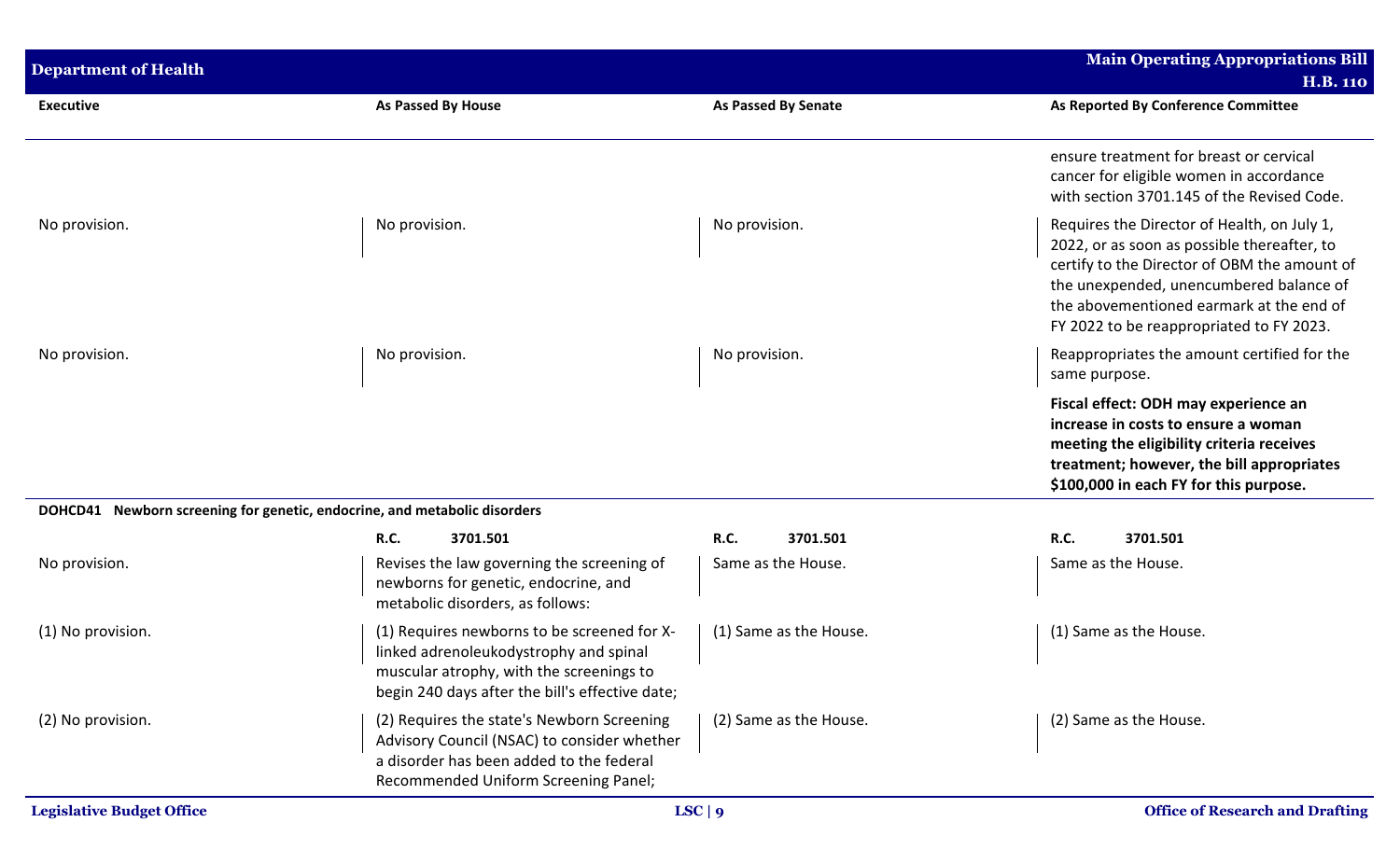| <b>Department of Health</b>                                               |                                                                                                                                                                                      |                            | <b>Main Operating Appropriations Bill</b><br><b>H.B. 110</b>                                                                                                                                                                                                                  |
|---------------------------------------------------------------------------|--------------------------------------------------------------------------------------------------------------------------------------------------------------------------------------|----------------------------|-------------------------------------------------------------------------------------------------------------------------------------------------------------------------------------------------------------------------------------------------------------------------------|
| <b>Executive</b>                                                          | As Passed By House                                                                                                                                                                   | <b>As Passed By Senate</b> | As Reported By Conference Committee                                                                                                                                                                                                                                           |
|                                                                           |                                                                                                                                                                                      |                            | ensure treatment for breast or cervical<br>cancer for eligible women in accordance<br>with section 3701.145 of the Revised Code.                                                                                                                                              |
| No provision.                                                             | No provision.                                                                                                                                                                        | No provision.              | Requires the Director of Health, on July 1,<br>2022, or as soon as possible thereafter, to<br>certify to the Director of OBM the amount of<br>the unexpended, unencumbered balance of<br>the abovementioned earmark at the end of<br>FY 2022 to be reappropriated to FY 2023. |
| No provision.                                                             | No provision.                                                                                                                                                                        | No provision.              | Reappropriates the amount certified for the<br>same purpose.                                                                                                                                                                                                                  |
|                                                                           |                                                                                                                                                                                      |                            | Fiscal effect: ODH may experience an<br>increase in costs to ensure a woman<br>meeting the eligibility criteria receives<br>treatment; however, the bill appropriates<br>\$100,000 in each FY for this purpose.                                                               |
| DOHCD41 Newborn screening for genetic, endocrine, and metabolic disorders |                                                                                                                                                                                      |                            |                                                                                                                                                                                                                                                                               |
|                                                                           | <b>R.C.</b><br>3701.501                                                                                                                                                              | R.C.<br>3701.501           | <b>R.C.</b><br>3701.501                                                                                                                                                                                                                                                       |
| No provision.                                                             | Revises the law governing the screening of<br>newborns for genetic, endocrine, and<br>metabolic disorders, as follows:                                                               | Same as the House.         | Same as the House.                                                                                                                                                                                                                                                            |
| (1) No provision.                                                         | (1) Requires newborns to be screened for X-<br>linked adrenoleukodystrophy and spinal<br>muscular atrophy, with the screenings to<br>begin 240 days after the bill's effective date; | (1) Same as the House.     | (1) Same as the House.                                                                                                                                                                                                                                                        |
| (2) No provision.                                                         | (2) Requires the state's Newborn Screening<br>Advisory Council (NSAC) to consider whether<br>a disorder has been added to the federal<br>Recommended Uniform Screening Panel;        | (2) Same as the House.     | (2) Same as the House.                                                                                                                                                                                                                                                        |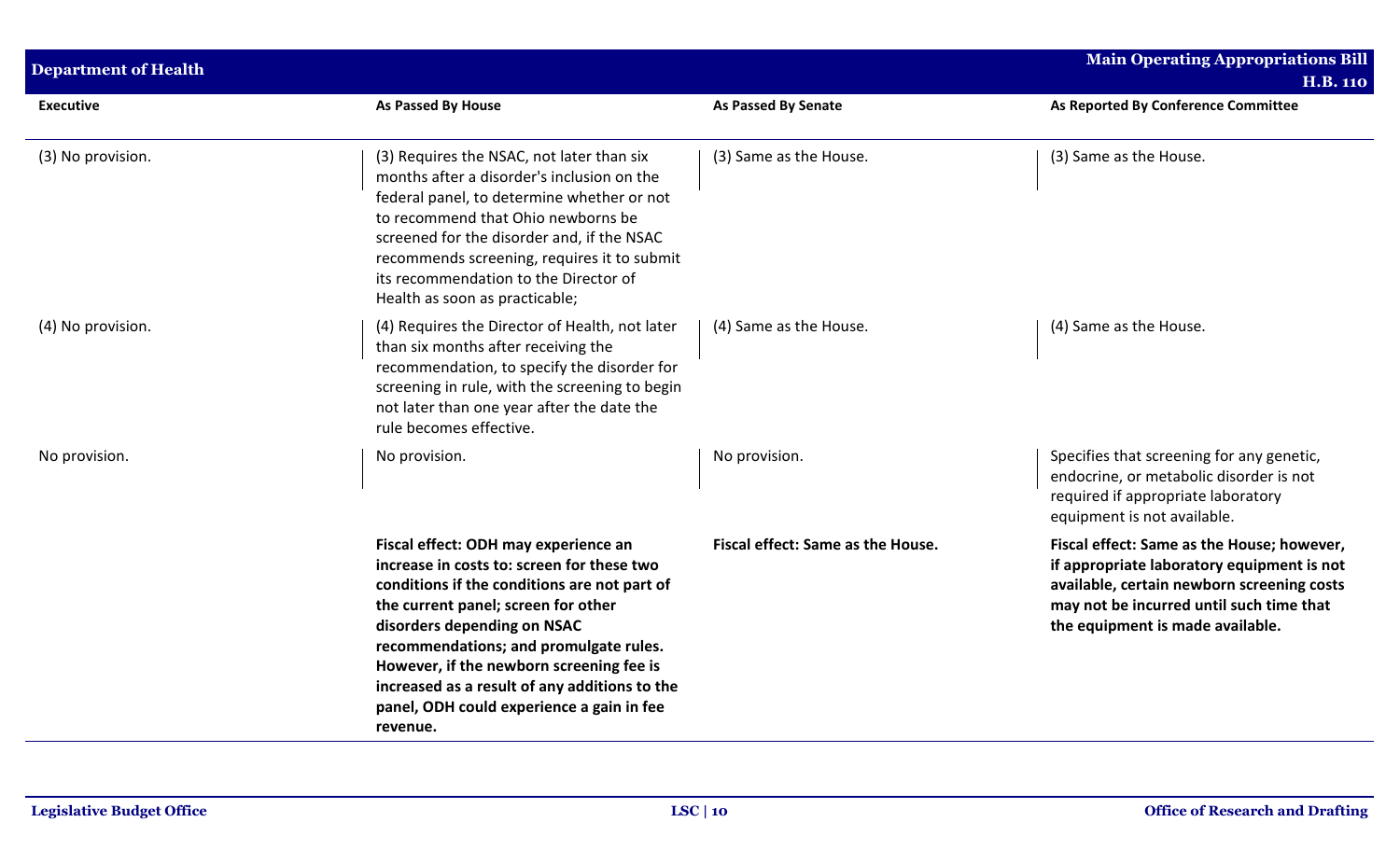| <b>Department of Health</b> |                                                                                                                                                                                                                                                                                                                                                                                                          |                                   | <b>Main Operating Appropriations Bill</b>                                                                                                                                                                              |
|-----------------------------|----------------------------------------------------------------------------------------------------------------------------------------------------------------------------------------------------------------------------------------------------------------------------------------------------------------------------------------------------------------------------------------------------------|-----------------------------------|------------------------------------------------------------------------------------------------------------------------------------------------------------------------------------------------------------------------|
| <b>Executive</b>            | As Passed By House                                                                                                                                                                                                                                                                                                                                                                                       | <b>As Passed By Senate</b>        | <b>H.B. 110</b><br>As Reported By Conference Committee                                                                                                                                                                 |
|                             |                                                                                                                                                                                                                                                                                                                                                                                                          |                                   |                                                                                                                                                                                                                        |
| (3) No provision.           | (3) Requires the NSAC, not later than six<br>months after a disorder's inclusion on the<br>federal panel, to determine whether or not<br>to recommend that Ohio newborns be<br>screened for the disorder and, if the NSAC<br>recommends screening, requires it to submit<br>its recommendation to the Director of<br>Health as soon as practicable;                                                      | (3) Same as the House.            | (3) Same as the House.                                                                                                                                                                                                 |
| (4) No provision.           | (4) Requires the Director of Health, not later<br>than six months after receiving the<br>recommendation, to specify the disorder for<br>screening in rule, with the screening to begin<br>not later than one year after the date the<br>rule becomes effective.                                                                                                                                          | (4) Same as the House.            | (4) Same as the House.                                                                                                                                                                                                 |
| No provision.               | No provision.                                                                                                                                                                                                                                                                                                                                                                                            | No provision.                     | Specifies that screening for any genetic,<br>endocrine, or metabolic disorder is not<br>required if appropriate laboratory<br>equipment is not available.                                                              |
|                             | Fiscal effect: ODH may experience an<br>increase in costs to: screen for these two<br>conditions if the conditions are not part of<br>the current panel; screen for other<br>disorders depending on NSAC<br>recommendations; and promulgate rules.<br>However, if the newborn screening fee is<br>increased as a result of any additions to the<br>panel, ODH could experience a gain in fee<br>revenue. | Fiscal effect: Same as the House. | Fiscal effect: Same as the House; however,<br>if appropriate laboratory equipment is not<br>available, certain newborn screening costs<br>may not be incurred until such time that<br>the equipment is made available. |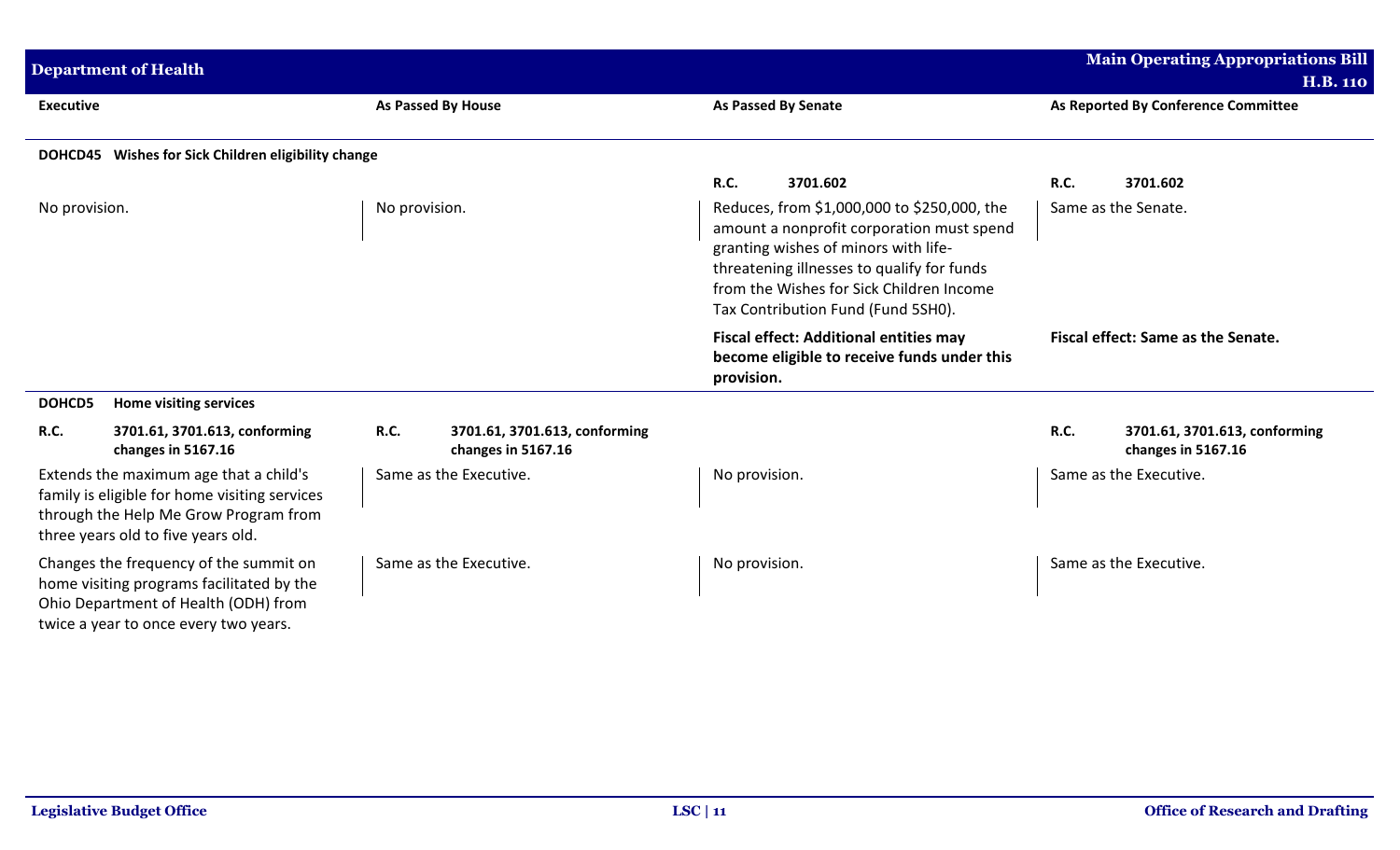| <b>Department of Health</b>                                                                                                                                            |                           |                                                     |                                                                                                                                                                                                                                                                  |                                                                                              |                     | <b>Main Operating Appropriations Bill</b><br><b>H.B. 110</b> |
|------------------------------------------------------------------------------------------------------------------------------------------------------------------------|---------------------------|-----------------------------------------------------|------------------------------------------------------------------------------------------------------------------------------------------------------------------------------------------------------------------------------------------------------------------|----------------------------------------------------------------------------------------------|---------------------|--------------------------------------------------------------|
| <b>Executive</b>                                                                                                                                                       | <b>As Passed By House</b> |                                                     | As Reported By Conference Committee<br><b>As Passed By Senate</b>                                                                                                                                                                                                |                                                                                              |                     |                                                              |
| DOHCD45 Wishes for Sick Children eligibility change                                                                                                                    |                           |                                                     |                                                                                                                                                                                                                                                                  |                                                                                              |                     |                                                              |
|                                                                                                                                                                        |                           |                                                     | <b>R.C.</b>                                                                                                                                                                                                                                                      | 3701.602                                                                                     | <b>R.C.</b>         | 3701.602                                                     |
| No provision.                                                                                                                                                          | No provision.             |                                                     | Reduces, from \$1,000,000 to \$250,000, the<br>amount a nonprofit corporation must spend<br>granting wishes of minors with life-<br>threatening illnesses to qualify for funds<br>from the Wishes for Sick Children Income<br>Tax Contribution Fund (Fund 5SH0). |                                                                                              | Same as the Senate. |                                                              |
|                                                                                                                                                                        |                           |                                                     | provision.                                                                                                                                                                                                                                                       | <b>Fiscal effect: Additional entities may</b><br>become eligible to receive funds under this |                     | Fiscal effect: Same as the Senate.                           |
| <b>Home visiting services</b><br>DOHCD5                                                                                                                                |                           |                                                     |                                                                                                                                                                                                                                                                  |                                                                                              |                     |                                                              |
| R.C.<br>3701.61, 3701.613, conforming<br>changes in 5167.16                                                                                                            | R.C.                      | 3701.61, 3701.613, conforming<br>changes in 5167.16 |                                                                                                                                                                                                                                                                  |                                                                                              | <b>R.C.</b>         | 3701.61, 3701.613, conforming<br>changes in 5167.16          |
| Extends the maximum age that a child's<br>family is eligible for home visiting services<br>through the Help Me Grow Program from<br>three years old to five years old. |                           | Same as the Executive.                              | No provision.                                                                                                                                                                                                                                                    |                                                                                              |                     | Same as the Executive.                                       |
| Changes the frequency of the summit on<br>home visiting programs facilitated by the<br>Ohio Department of Health (ODH) from<br>twice a year to once every two years.   |                           | Same as the Executive.                              | No provision.                                                                                                                                                                                                                                                    |                                                                                              |                     | Same as the Executive.                                       |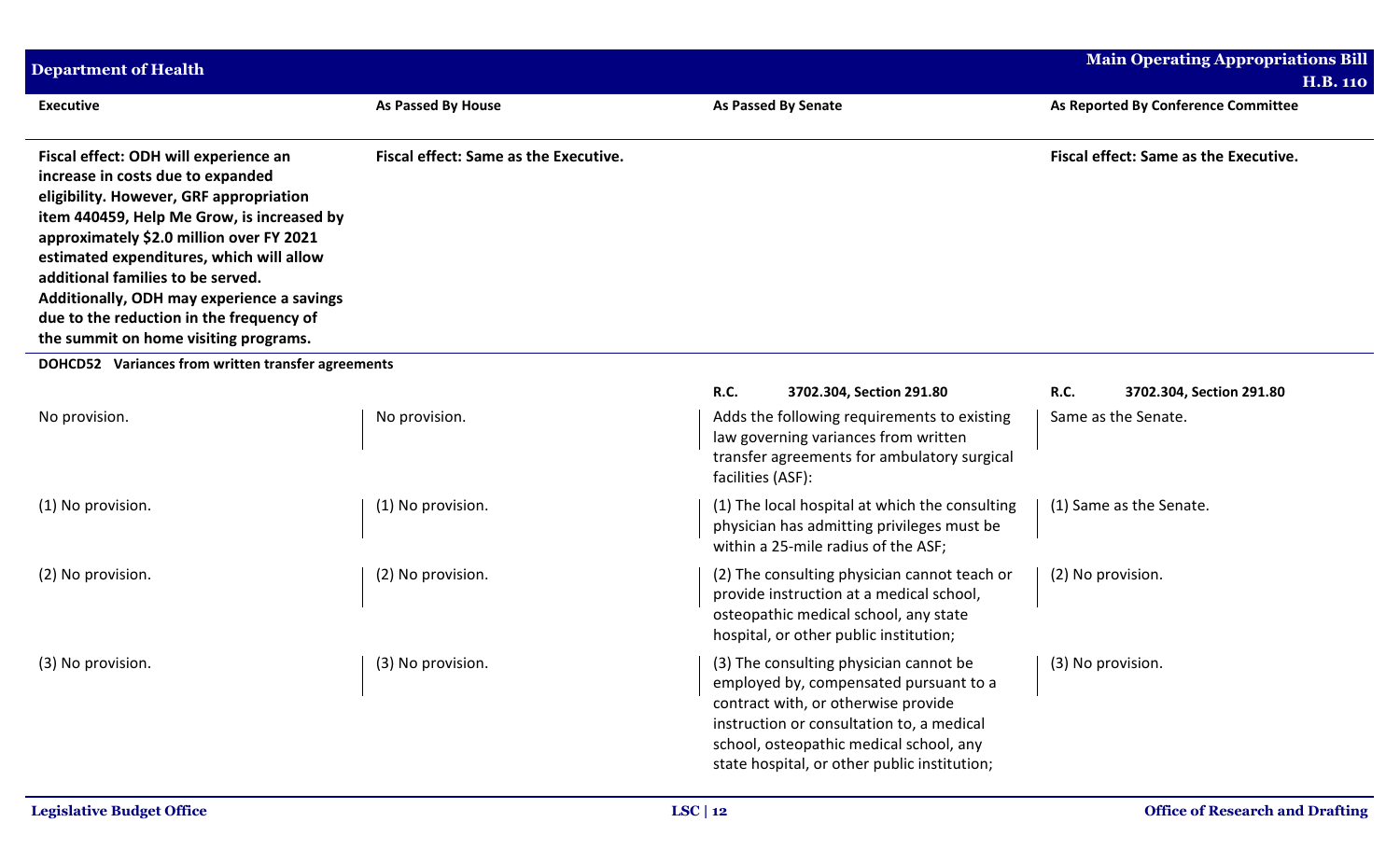| <b>Department of Health</b>                                                                                                                                                                                                                                                                                                                                                                                                         |                                              |                                                                                                                                                                                                                                                                 | Main Operating Appropriations Bill      |
|-------------------------------------------------------------------------------------------------------------------------------------------------------------------------------------------------------------------------------------------------------------------------------------------------------------------------------------------------------------------------------------------------------------------------------------|----------------------------------------------|-----------------------------------------------------------------------------------------------------------------------------------------------------------------------------------------------------------------------------------------------------------------|-----------------------------------------|
|                                                                                                                                                                                                                                                                                                                                                                                                                                     |                                              |                                                                                                                                                                                                                                                                 | <b>H.B. 110</b>                         |
| <b>Executive</b>                                                                                                                                                                                                                                                                                                                                                                                                                    | <b>As Passed By House</b>                    | <b>As Passed By Senate</b>                                                                                                                                                                                                                                      | As Reported By Conference Committee     |
| Fiscal effect: ODH will experience an<br>increase in costs due to expanded<br>eligibility. However, GRF appropriation<br>item 440459, Help Me Grow, is increased by<br>approximately \$2.0 million over FY 2021<br>estimated expenditures, which will allow<br>additional families to be served.<br>Additionally, ODH may experience a savings<br>due to the reduction in the frequency of<br>the summit on home visiting programs. | <b>Fiscal effect: Same as the Executive.</b> | Fiscal effect: Same as the Executive.                                                                                                                                                                                                                           |                                         |
| DOHCD52 Variances from written transfer agreements                                                                                                                                                                                                                                                                                                                                                                                  |                                              |                                                                                                                                                                                                                                                                 |                                         |
|                                                                                                                                                                                                                                                                                                                                                                                                                                     |                                              | <b>R.C.</b><br>3702.304, Section 291.80                                                                                                                                                                                                                         | <b>R.C.</b><br>3702.304, Section 291.80 |
| No provision.                                                                                                                                                                                                                                                                                                                                                                                                                       | No provision.                                | Adds the following requirements to existing<br>law governing variances from written<br>transfer agreements for ambulatory surgical<br>facilities (ASF):                                                                                                         | Same as the Senate.                     |
| (1) No provision.                                                                                                                                                                                                                                                                                                                                                                                                                   | (1) No provision.                            | (1) The local hospital at which the consulting<br>physician has admitting privileges must be<br>within a 25-mile radius of the ASF;                                                                                                                             | (1) Same as the Senate.                 |
| (2) No provision.                                                                                                                                                                                                                                                                                                                                                                                                                   | (2) No provision.                            | (2) The consulting physician cannot teach or<br>provide instruction at a medical school,<br>osteopathic medical school, any state<br>hospital, or other public institution;                                                                                     | (2) No provision.                       |
| (3) No provision.                                                                                                                                                                                                                                                                                                                                                                                                                   | (3) No provision.                            | (3) The consulting physician cannot be<br>employed by, compensated pursuant to a<br>contract with, or otherwise provide<br>instruction or consultation to, a medical<br>school, osteopathic medical school, any<br>state hospital, or other public institution; | (3) No provision.                       |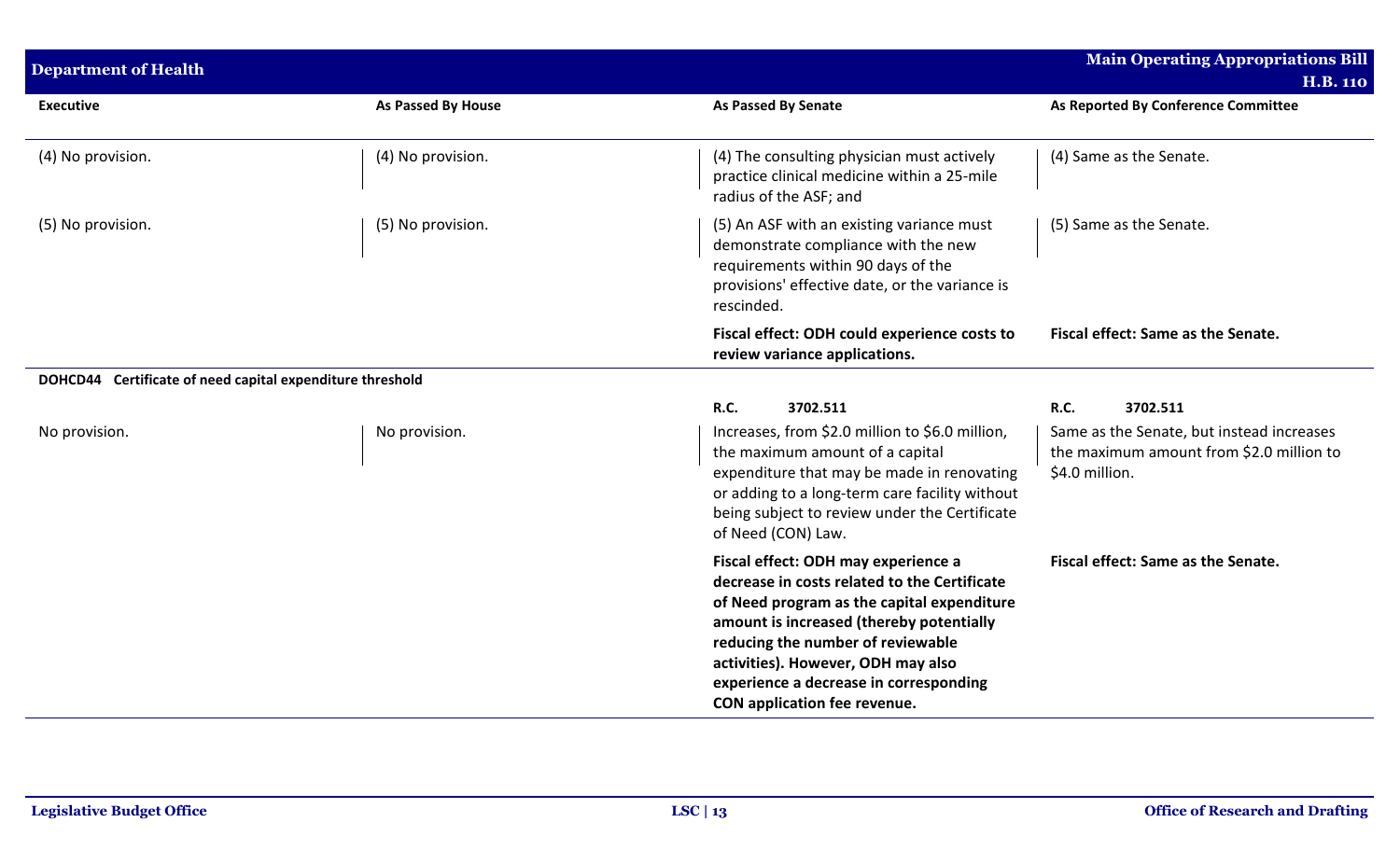| <b>Department of Health</b>                               |                    |                                                                                                                                                                                                                                                                                                                                    | <b>Main Operating Appropriations Bill</b><br><b>H.B. 110</b>                                            |
|-----------------------------------------------------------|--------------------|------------------------------------------------------------------------------------------------------------------------------------------------------------------------------------------------------------------------------------------------------------------------------------------------------------------------------------|---------------------------------------------------------------------------------------------------------|
| <b>Executive</b>                                          | As Passed By House | <b>As Passed By Senate</b>                                                                                                                                                                                                                                                                                                         | As Reported By Conference Committee                                                                     |
| (4) No provision.                                         | (4) No provision.  | (4) The consulting physician must actively<br>practice clinical medicine within a 25-mile<br>radius of the ASF; and                                                                                                                                                                                                                | (4) Same as the Senate.                                                                                 |
| (5) No provision.                                         | (5) No provision.  | (5) An ASF with an existing variance must<br>demonstrate compliance with the new<br>requirements within 90 days of the<br>provisions' effective date, or the variance is<br>rescinded.                                                                                                                                             | (5) Same as the Senate.                                                                                 |
|                                                           |                    | Fiscal effect: ODH could experience costs to<br>review variance applications.                                                                                                                                                                                                                                                      | Fiscal effect: Same as the Senate.                                                                      |
| DOHCD44 Certificate of need capital expenditure threshold |                    |                                                                                                                                                                                                                                                                                                                                    |                                                                                                         |
|                                                           |                    | R.C.<br>3702.511                                                                                                                                                                                                                                                                                                                   | R.C.<br>3702.511                                                                                        |
| No provision.                                             | No provision.      | Increases, from \$2.0 million to \$6.0 million,<br>the maximum amount of a capital<br>expenditure that may be made in renovating<br>or adding to a long-term care facility without<br>being subject to review under the Certificate<br>of Need (CON) Law.                                                                          | Same as the Senate, but instead increases<br>the maximum amount from \$2.0 million to<br>\$4.0 million. |
|                                                           |                    | Fiscal effect: ODH may experience a<br>decrease in costs related to the Certificate<br>of Need program as the capital expenditure<br>amount is increased (thereby potentially<br>reducing the number of reviewable<br>activities). However, ODH may also<br>experience a decrease in corresponding<br>CON application fee revenue. | Fiscal effect: Same as the Senate.                                                                      |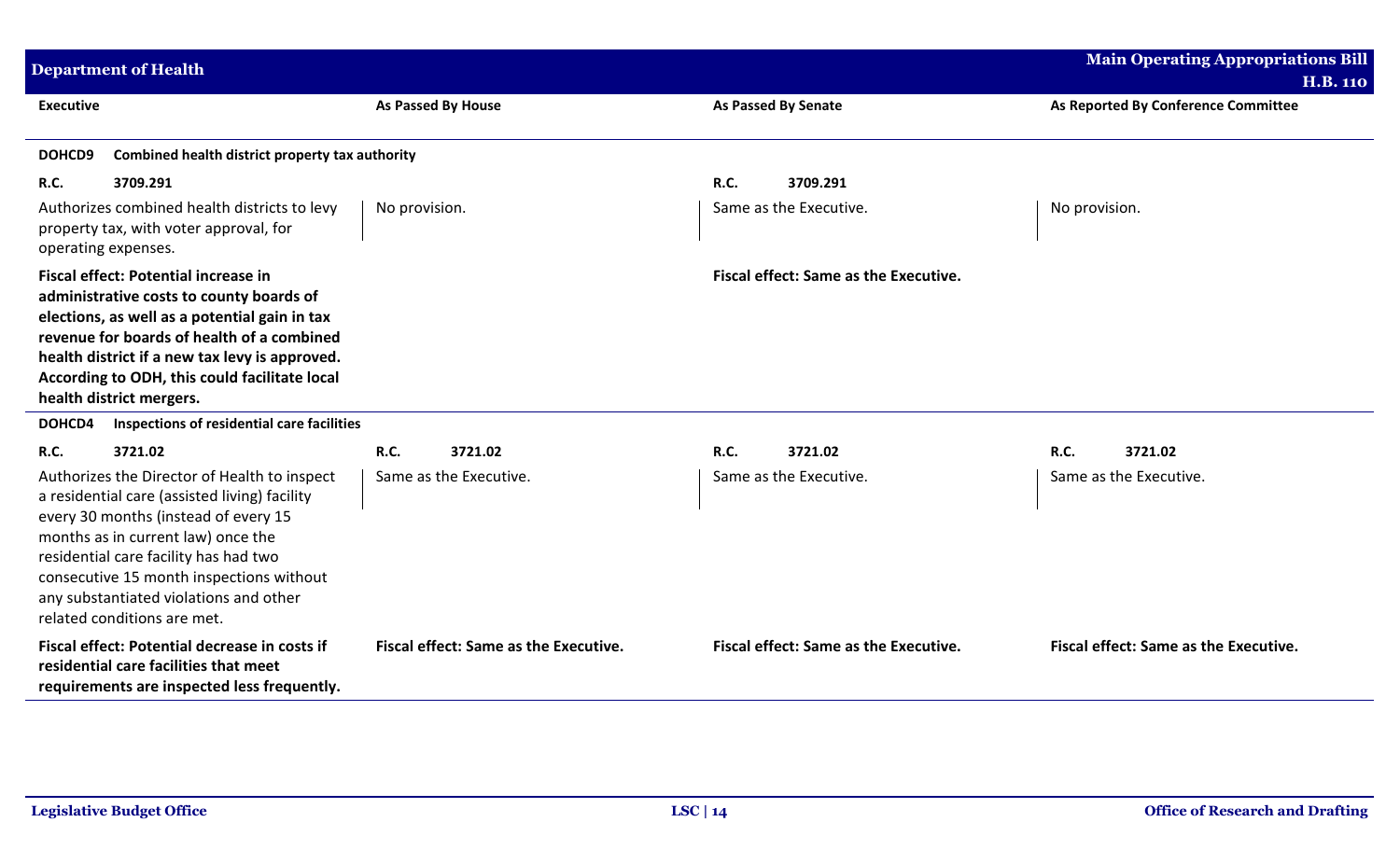| <b>Department of Health</b>                                                                                                                                                                                                                                                                                                               |                                       |                                       | <b>Main Operating Appropriations Bill</b><br><b>H.B. 110</b> |
|-------------------------------------------------------------------------------------------------------------------------------------------------------------------------------------------------------------------------------------------------------------------------------------------------------------------------------------------|---------------------------------------|---------------------------------------|--------------------------------------------------------------|
| <b>Executive</b>                                                                                                                                                                                                                                                                                                                          | <b>As Passed By House</b>             | <b>As Passed By Senate</b>            | As Reported By Conference Committee                          |
| Combined health district property tax authority<br>DOHCD9                                                                                                                                                                                                                                                                                 |                                       |                                       |                                                              |
| <b>R.C.</b><br>3709.291                                                                                                                                                                                                                                                                                                                   |                                       | R.C.<br>3709.291                      |                                                              |
| Authorizes combined health districts to levy<br>property tax, with voter approval, for<br>operating expenses.                                                                                                                                                                                                                             | No provision.                         | Same as the Executive.                | No provision.                                                |
| Fiscal effect: Potential increase in<br>administrative costs to county boards of<br>elections, as well as a potential gain in tax<br>revenue for boards of health of a combined<br>health district if a new tax levy is approved.<br>According to ODH, this could facilitate local<br>health district mergers.                            |                                       | Fiscal effect: Same as the Executive. |                                                              |
| DOHCD4<br>Inspections of residential care facilities                                                                                                                                                                                                                                                                                      |                                       |                                       |                                                              |
| 3721.02<br><b>R.C.</b>                                                                                                                                                                                                                                                                                                                    | 3721.02<br><b>R.C.</b>                | R.C.<br>3721.02                       | 3721.02<br><b>R.C.</b>                                       |
| Authorizes the Director of Health to inspect<br>a residential care (assisted living) facility<br>every 30 months (instead of every 15<br>months as in current law) once the<br>residential care facility has had two<br>consecutive 15 month inspections without<br>any substantiated violations and other<br>related conditions are met. | Same as the Executive.                | Same as the Executive.                | Same as the Executive.                                       |
| Fiscal effect: Potential decrease in costs if<br>residential care facilities that meet<br>requirements are inspected less frequently.                                                                                                                                                                                                     | Fiscal effect: Same as the Executive. | Fiscal effect: Same as the Executive. | Fiscal effect: Same as the Executive.                        |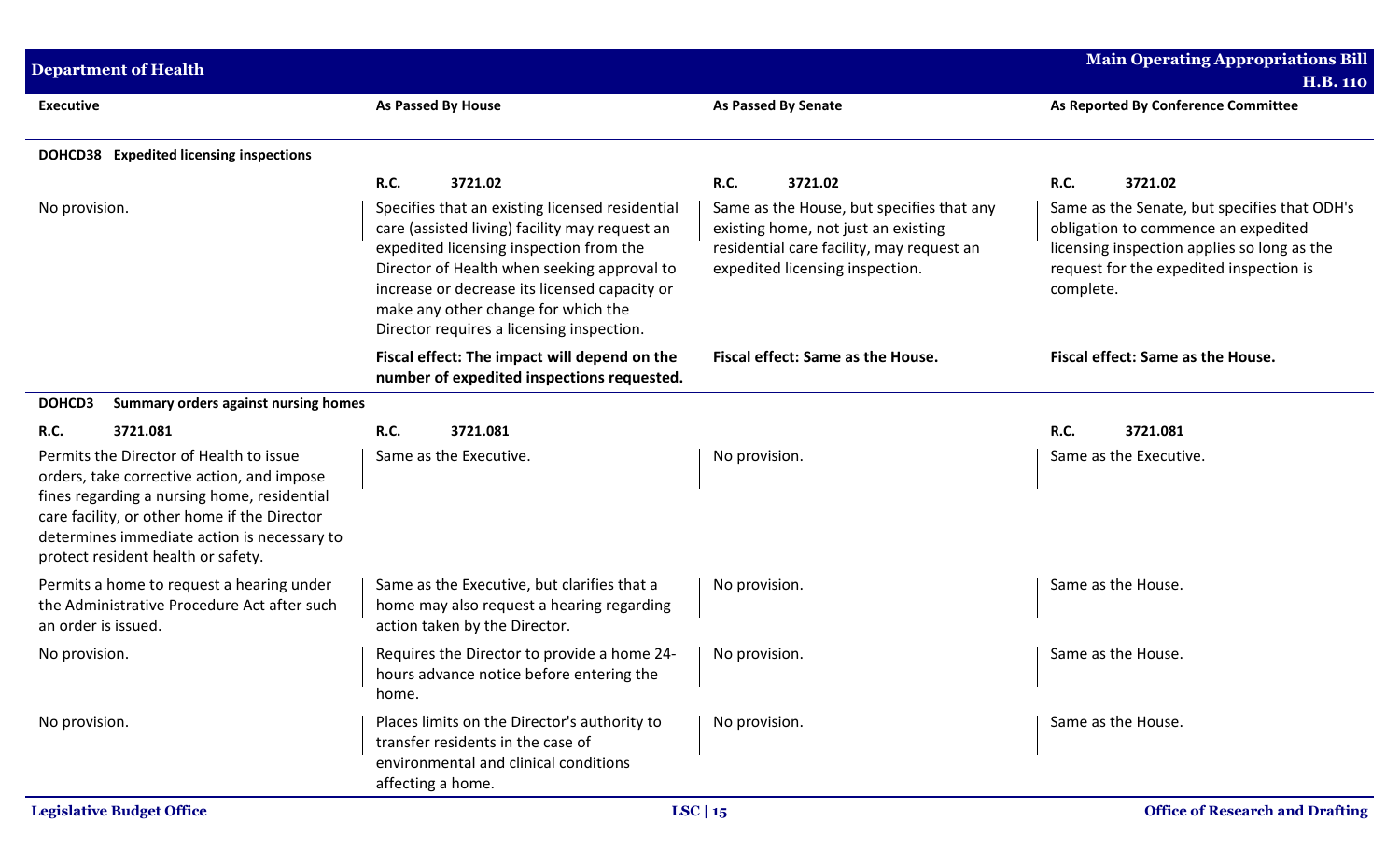| <b>Department of Health</b>                                                                                                                                                                                                                                               |                                                                                                                                                                                                                                                                                                                                  |                                                                                                                                                                  | <b>Main Operating Appropriations Bill</b><br><b>H.B. 110</b>                                                                                                                               |
|---------------------------------------------------------------------------------------------------------------------------------------------------------------------------------------------------------------------------------------------------------------------------|----------------------------------------------------------------------------------------------------------------------------------------------------------------------------------------------------------------------------------------------------------------------------------------------------------------------------------|------------------------------------------------------------------------------------------------------------------------------------------------------------------|--------------------------------------------------------------------------------------------------------------------------------------------------------------------------------------------|
| <b>Executive</b>                                                                                                                                                                                                                                                          | <b>As Passed By House</b>                                                                                                                                                                                                                                                                                                        | <b>As Passed By Senate</b>                                                                                                                                       | As Reported By Conference Committee                                                                                                                                                        |
| DOHCD38 Expedited licensing inspections                                                                                                                                                                                                                                   |                                                                                                                                                                                                                                                                                                                                  |                                                                                                                                                                  |                                                                                                                                                                                            |
|                                                                                                                                                                                                                                                                           | <b>R.C.</b><br>3721.02                                                                                                                                                                                                                                                                                                           | R.C.<br>3721.02                                                                                                                                                  | R.C.<br>3721.02                                                                                                                                                                            |
| No provision.                                                                                                                                                                                                                                                             | Specifies that an existing licensed residential<br>care (assisted living) facility may request an<br>expedited licensing inspection from the<br>Director of Health when seeking approval to<br>increase or decrease its licensed capacity or<br>make any other change for which the<br>Director requires a licensing inspection. | Same as the House, but specifies that any<br>existing home, not just an existing<br>residential care facility, may request an<br>expedited licensing inspection. | Same as the Senate, but specifies that ODH's<br>obligation to commence an expedited<br>licensing inspection applies so long as the<br>request for the expedited inspection is<br>complete. |
|                                                                                                                                                                                                                                                                           | Fiscal effect: The impact will depend on the<br>number of expedited inspections requested.                                                                                                                                                                                                                                       | Fiscal effect: Same as the House.                                                                                                                                | Fiscal effect: Same as the House.                                                                                                                                                          |
| DOHCD3<br>Summary orders against nursing homes                                                                                                                                                                                                                            |                                                                                                                                                                                                                                                                                                                                  |                                                                                                                                                                  |                                                                                                                                                                                            |
| <b>R.C.</b><br>3721.081                                                                                                                                                                                                                                                   | R.C.<br>3721.081                                                                                                                                                                                                                                                                                                                 |                                                                                                                                                                  | R.C.<br>3721.081                                                                                                                                                                           |
| Permits the Director of Health to issue<br>orders, take corrective action, and impose<br>fines regarding a nursing home, residential<br>care facility, or other home if the Director<br>determines immediate action is necessary to<br>protect resident health or safety. | Same as the Executive.                                                                                                                                                                                                                                                                                                           | No provision.                                                                                                                                                    | Same as the Executive.                                                                                                                                                                     |
| Permits a home to request a hearing under<br>the Administrative Procedure Act after such<br>an order is issued.                                                                                                                                                           | Same as the Executive, but clarifies that a<br>home may also request a hearing regarding<br>action taken by the Director.                                                                                                                                                                                                        | No provision.                                                                                                                                                    | Same as the House.                                                                                                                                                                         |
| No provision.                                                                                                                                                                                                                                                             | Requires the Director to provide a home 24-<br>hours advance notice before entering the<br>home.                                                                                                                                                                                                                                 | No provision.                                                                                                                                                    | Same as the House.                                                                                                                                                                         |
| No provision.                                                                                                                                                                                                                                                             | Places limits on the Director's authority to<br>transfer residents in the case of<br>environmental and clinical conditions<br>affecting a home.                                                                                                                                                                                  | No provision.                                                                                                                                                    | Same as the House.                                                                                                                                                                         |
| <b>Legislative Budget Office</b>                                                                                                                                                                                                                                          |                                                                                                                                                                                                                                                                                                                                  | LSC   $15$                                                                                                                                                       | <b>Office of Research and Drafting</b>                                                                                                                                                     |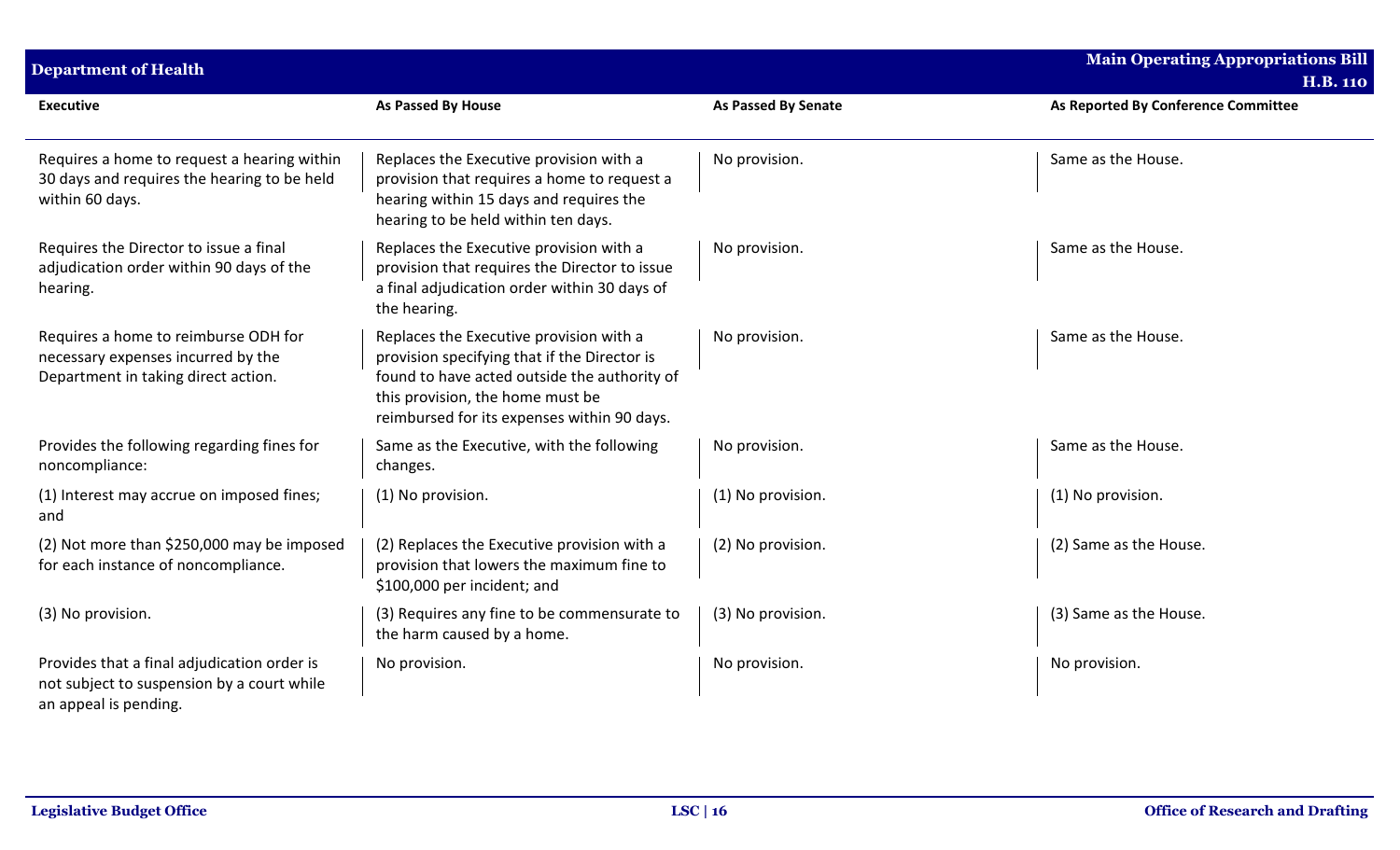| <b>Department of Health</b>                                                                                        |                                                                                                                                                                                                                            |                            | <b>Main Operating Appropriations Bill</b><br><b>H.B. 110</b> |
|--------------------------------------------------------------------------------------------------------------------|----------------------------------------------------------------------------------------------------------------------------------------------------------------------------------------------------------------------------|----------------------------|--------------------------------------------------------------|
| <b>Executive</b>                                                                                                   | As Passed By House                                                                                                                                                                                                         | <b>As Passed By Senate</b> | As Reported By Conference Committee                          |
| Requires a home to request a hearing within<br>30 days and requires the hearing to be held<br>within 60 days.      | Replaces the Executive provision with a<br>provision that requires a home to request a<br>hearing within 15 days and requires the<br>hearing to be held within ten days.                                                   | No provision.              | Same as the House.                                           |
| Requires the Director to issue a final<br>adjudication order within 90 days of the<br>hearing.                     | Replaces the Executive provision with a<br>provision that requires the Director to issue<br>a final adjudication order within 30 days of<br>the hearing.                                                                   | No provision.              | Same as the House.                                           |
| Requires a home to reimburse ODH for<br>necessary expenses incurred by the<br>Department in taking direct action.  | Replaces the Executive provision with a<br>provision specifying that if the Director is<br>found to have acted outside the authority of<br>this provision, the home must be<br>reimbursed for its expenses within 90 days. | No provision.              | Same as the House.                                           |
| Provides the following regarding fines for<br>noncompliance:                                                       | Same as the Executive, with the following<br>changes.                                                                                                                                                                      | No provision.              | Same as the House.                                           |
| (1) Interest may accrue on imposed fines;<br>and                                                                   | (1) No provision.                                                                                                                                                                                                          | (1) No provision.          | (1) No provision.                                            |
| (2) Not more than \$250,000 may be imposed<br>for each instance of noncompliance.                                  | (2) Replaces the Executive provision with a<br>provision that lowers the maximum fine to<br>\$100,000 per incident; and                                                                                                    | (2) No provision.          | (2) Same as the House.                                       |
| (3) No provision.                                                                                                  | (3) Requires any fine to be commensurate to<br>the harm caused by a home.                                                                                                                                                  | (3) No provision.          | (3) Same as the House.                                       |
| Provides that a final adjudication order is<br>not subject to suspension by a court while<br>an appeal is pending. | No provision.                                                                                                                                                                                                              | No provision.              | No provision.                                                |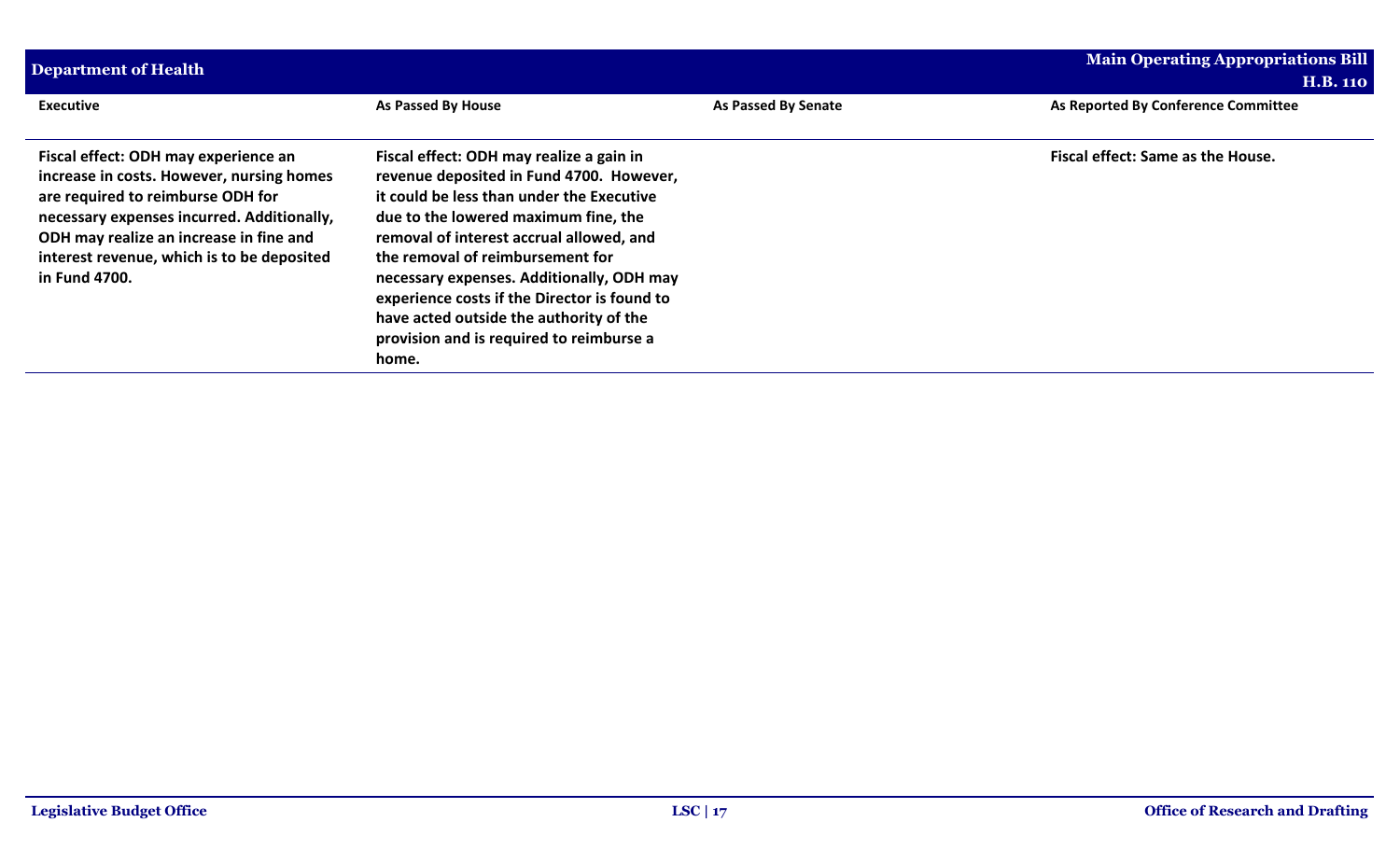| Department of Health                                                                                                                                                                                                                                                           |                                                                                                                                                                                                                                                                                                                                                                                                                                                        |                     | <b>Main Operating Appropriations Bill</b><br><b>H.B. 110</b> |
|--------------------------------------------------------------------------------------------------------------------------------------------------------------------------------------------------------------------------------------------------------------------------------|--------------------------------------------------------------------------------------------------------------------------------------------------------------------------------------------------------------------------------------------------------------------------------------------------------------------------------------------------------------------------------------------------------------------------------------------------------|---------------------|--------------------------------------------------------------|
| <b>Executive</b>                                                                                                                                                                                                                                                               | As Passed By House                                                                                                                                                                                                                                                                                                                                                                                                                                     | As Passed By Senate | As Reported By Conference Committee                          |
| Fiscal effect: ODH may experience an<br>increase in costs. However, nursing homes<br>are required to reimburse ODH for<br>necessary expenses incurred. Additionally,<br>ODH may realize an increase in fine and<br>interest revenue, which is to be deposited<br>in Fund 4700. | Fiscal effect: ODH may realize a gain in<br>revenue deposited in Fund 4700. However,<br>it could be less than under the Executive<br>due to the lowered maximum fine, the<br>removal of interest accrual allowed, and<br>the removal of reimbursement for<br>necessary expenses. Additionally, ODH may<br>experience costs if the Director is found to<br>have acted outside the authority of the<br>provision and is required to reimburse a<br>home. |                     | Fiscal effect: Same as the House.                            |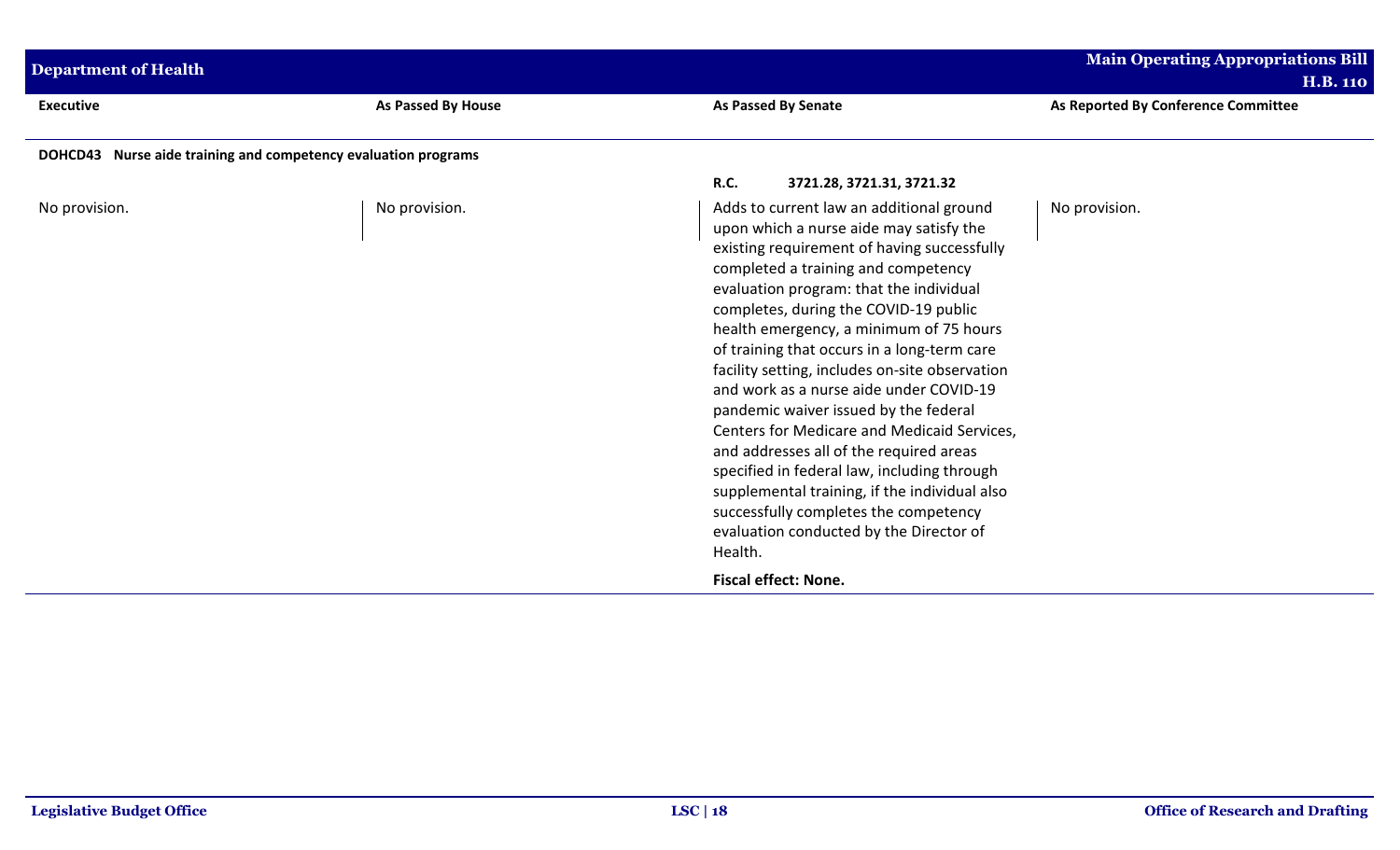| <b>Department of Health</b>                                    |                           |                                                                                                                                                                                                                                                                                                                                                                                                                                                                                                                                                                                                                                                                                                                                                                                        | <b>Main Operating Appropriations Bill</b>              |
|----------------------------------------------------------------|---------------------------|----------------------------------------------------------------------------------------------------------------------------------------------------------------------------------------------------------------------------------------------------------------------------------------------------------------------------------------------------------------------------------------------------------------------------------------------------------------------------------------------------------------------------------------------------------------------------------------------------------------------------------------------------------------------------------------------------------------------------------------------------------------------------------------|--------------------------------------------------------|
| <b>Executive</b>                                               | <b>As Passed By House</b> | As Passed By Senate                                                                                                                                                                                                                                                                                                                                                                                                                                                                                                                                                                                                                                                                                                                                                                    | <b>H.B. 110</b><br>As Reported By Conference Committee |
| DOHCD43 Nurse aide training and competency evaluation programs |                           |                                                                                                                                                                                                                                                                                                                                                                                                                                                                                                                                                                                                                                                                                                                                                                                        |                                                        |
|                                                                |                           | <b>R.C.</b><br>3721.28, 3721.31, 3721.32                                                                                                                                                                                                                                                                                                                                                                                                                                                                                                                                                                                                                                                                                                                                               |                                                        |
| No provision.                                                  | No provision.             | Adds to current law an additional ground<br>upon which a nurse aide may satisfy the<br>existing requirement of having successfully<br>completed a training and competency<br>evaluation program: that the individual<br>completes, during the COVID-19 public<br>health emergency, a minimum of 75 hours<br>of training that occurs in a long-term care<br>facility setting, includes on-site observation<br>and work as a nurse aide under COVID-19<br>pandemic waiver issued by the federal<br>Centers for Medicare and Medicaid Services,<br>and addresses all of the required areas<br>specified in federal law, including through<br>supplemental training, if the individual also<br>successfully completes the competency<br>evaluation conducted by the Director of<br>Health. | No provision.                                          |
|                                                                |                           | <b>Fiscal effect: None.</b>                                                                                                                                                                                                                                                                                                                                                                                                                                                                                                                                                                                                                                                                                                                                                            |                                                        |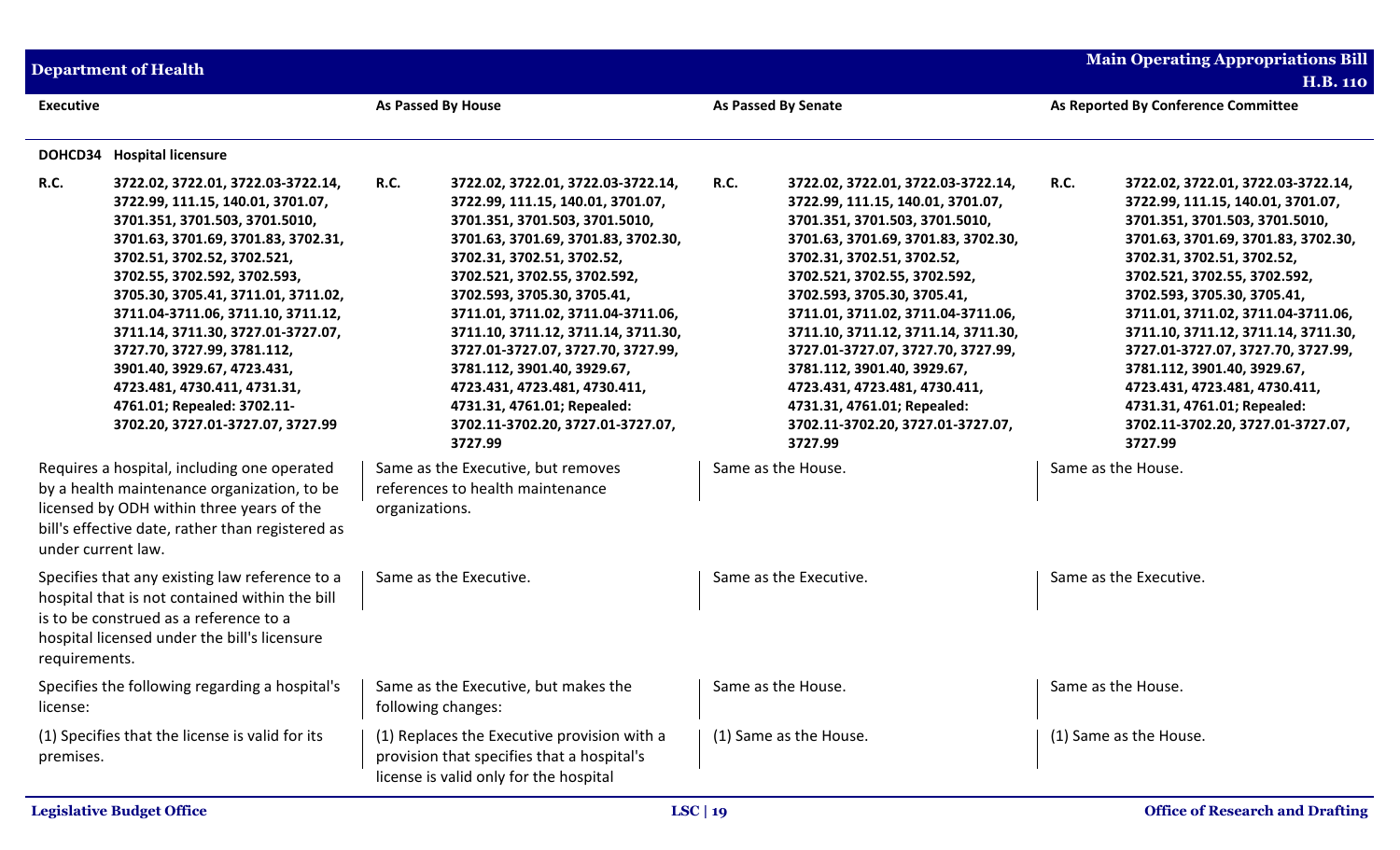|                        | <b>Department of Health</b>                                                                                                                                                                                                                                                                                                                                                                                                                                                                                                       |                                                                                                                                                                                                                                                                                                                                                                                                                                                                                                                                |                                                                                                                                                                                                                                                                                                                                                                                                                                                                                                                                | <b>Main Operating Appropriations Bill</b><br><b>H.B. 110</b>                                                                                                                                                                                                                                                                                                                                                                                                                                                                   |
|------------------------|-----------------------------------------------------------------------------------------------------------------------------------------------------------------------------------------------------------------------------------------------------------------------------------------------------------------------------------------------------------------------------------------------------------------------------------------------------------------------------------------------------------------------------------|--------------------------------------------------------------------------------------------------------------------------------------------------------------------------------------------------------------------------------------------------------------------------------------------------------------------------------------------------------------------------------------------------------------------------------------------------------------------------------------------------------------------------------|--------------------------------------------------------------------------------------------------------------------------------------------------------------------------------------------------------------------------------------------------------------------------------------------------------------------------------------------------------------------------------------------------------------------------------------------------------------------------------------------------------------------------------|--------------------------------------------------------------------------------------------------------------------------------------------------------------------------------------------------------------------------------------------------------------------------------------------------------------------------------------------------------------------------------------------------------------------------------------------------------------------------------------------------------------------------------|
| <b>Executive</b>       |                                                                                                                                                                                                                                                                                                                                                                                                                                                                                                                                   | As Passed By House                                                                                                                                                                                                                                                                                                                                                                                                                                                                                                             | <b>As Passed By Senate</b>                                                                                                                                                                                                                                                                                                                                                                                                                                                                                                     | As Reported By Conference Committee                                                                                                                                                                                                                                                                                                                                                                                                                                                                                            |
| DOHCD34<br><b>R.C.</b> | <b>Hospital licensure</b><br>3722.02, 3722.01, 3722.03-3722.14,<br>3722.99, 111.15, 140.01, 3701.07,<br>3701.351, 3701.503, 3701.5010,<br>3701.63, 3701.69, 3701.83, 3702.31,<br>3702.51, 3702.52, 3702.521,<br>3702.55, 3702.592, 3702.593,<br>3705.30, 3705.41, 3711.01, 3711.02,<br>3711.04-3711.06, 3711.10, 3711.12,<br>3711.14, 3711.30, 3727.01-3727.07,<br>3727.70, 3727.99, 3781.112,<br>3901.40, 3929.67, 4723.431,<br>4723.481, 4730.411, 4731.31,<br>4761.01; Repealed: 3702.11-<br>3702.20, 3727.01-3727.07, 3727.99 | <b>R.C.</b><br>3722.02, 3722.01, 3722.03-3722.14,<br>3722.99, 111.15, 140.01, 3701.07,<br>3701.351, 3701.503, 3701.5010,<br>3701.63, 3701.69, 3701.83, 3702.30,<br>3702.31, 3702.51, 3702.52,<br>3702.521, 3702.55, 3702.592,<br>3702.593, 3705.30, 3705.41,<br>3711.01, 3711.02, 3711.04-3711.06,<br>3711.10, 3711.12, 3711.14, 3711.30,<br>3727.01-3727.07, 3727.70, 3727.99,<br>3781.112, 3901.40, 3929.67,<br>4723.431, 4723.481, 4730.411,<br>4731.31, 4761.01; Repealed:<br>3702.11-3702.20, 3727.01-3727.07,<br>3727.99 | <b>R.C.</b><br>3722.02, 3722.01, 3722.03-3722.14,<br>3722.99, 111.15, 140.01, 3701.07,<br>3701.351, 3701.503, 3701.5010,<br>3701.63, 3701.69, 3701.83, 3702.30,<br>3702.31, 3702.51, 3702.52,<br>3702.521, 3702.55, 3702.592,<br>3702.593, 3705.30, 3705.41,<br>3711.01, 3711.02, 3711.04-3711.06,<br>3711.10, 3711.12, 3711.14, 3711.30,<br>3727.01-3727.07, 3727.70, 3727.99,<br>3781.112, 3901.40, 3929.67,<br>4723.431, 4723.481, 4730.411,<br>4731.31, 4761.01; Repealed:<br>3702.11-3702.20, 3727.01-3727.07,<br>3727.99 | <b>R.C.</b><br>3722.02, 3722.01, 3722.03-3722.14,<br>3722.99, 111.15, 140.01, 3701.07,<br>3701.351, 3701.503, 3701.5010,<br>3701.63, 3701.69, 3701.83, 3702.30,<br>3702.31, 3702.51, 3702.52,<br>3702.521, 3702.55, 3702.592,<br>3702.593, 3705.30, 3705.41,<br>3711.01, 3711.02, 3711.04-3711.06,<br>3711.10, 3711.12, 3711.14, 3711.30,<br>3727.01-3727.07, 3727.70, 3727.99,<br>3781.112, 3901.40, 3929.67,<br>4723.431, 4723.481, 4730.411,<br>4731.31, 4761.01; Repealed:<br>3702.11-3702.20, 3727.01-3727.07,<br>3727.99 |
| under current law.     | Requires a hospital, including one operated<br>by a health maintenance organization, to be<br>licensed by ODH within three years of the<br>bill's effective date, rather than registered as                                                                                                                                                                                                                                                                                                                                       | Same as the Executive, but removes<br>references to health maintenance<br>organizations.                                                                                                                                                                                                                                                                                                                                                                                                                                       | Same as the House.                                                                                                                                                                                                                                                                                                                                                                                                                                                                                                             | Same as the House.                                                                                                                                                                                                                                                                                                                                                                                                                                                                                                             |
| requirements.          | Specifies that any existing law reference to a<br>hospital that is not contained within the bill<br>is to be construed as a reference to a<br>hospital licensed under the bill's licensure                                                                                                                                                                                                                                                                                                                                        | Same as the Executive.                                                                                                                                                                                                                                                                                                                                                                                                                                                                                                         | Same as the Executive.                                                                                                                                                                                                                                                                                                                                                                                                                                                                                                         | Same as the Executive.                                                                                                                                                                                                                                                                                                                                                                                                                                                                                                         |
| license:               | Specifies the following regarding a hospital's                                                                                                                                                                                                                                                                                                                                                                                                                                                                                    | Same as the Executive, but makes the<br>following changes:                                                                                                                                                                                                                                                                                                                                                                                                                                                                     | Same as the House.                                                                                                                                                                                                                                                                                                                                                                                                                                                                                                             | Same as the House.                                                                                                                                                                                                                                                                                                                                                                                                                                                                                                             |
| premises.              | (1) Specifies that the license is valid for its                                                                                                                                                                                                                                                                                                                                                                                                                                                                                   | (1) Replaces the Executive provision with a<br>provision that specifies that a hospital's<br>license is valid only for the hospital                                                                                                                                                                                                                                                                                                                                                                                            | (1) Same as the House.                                                                                                                                                                                                                                                                                                                                                                                                                                                                                                         | (1) Same as the House.                                                                                                                                                                                                                                                                                                                                                                                                                                                                                                         |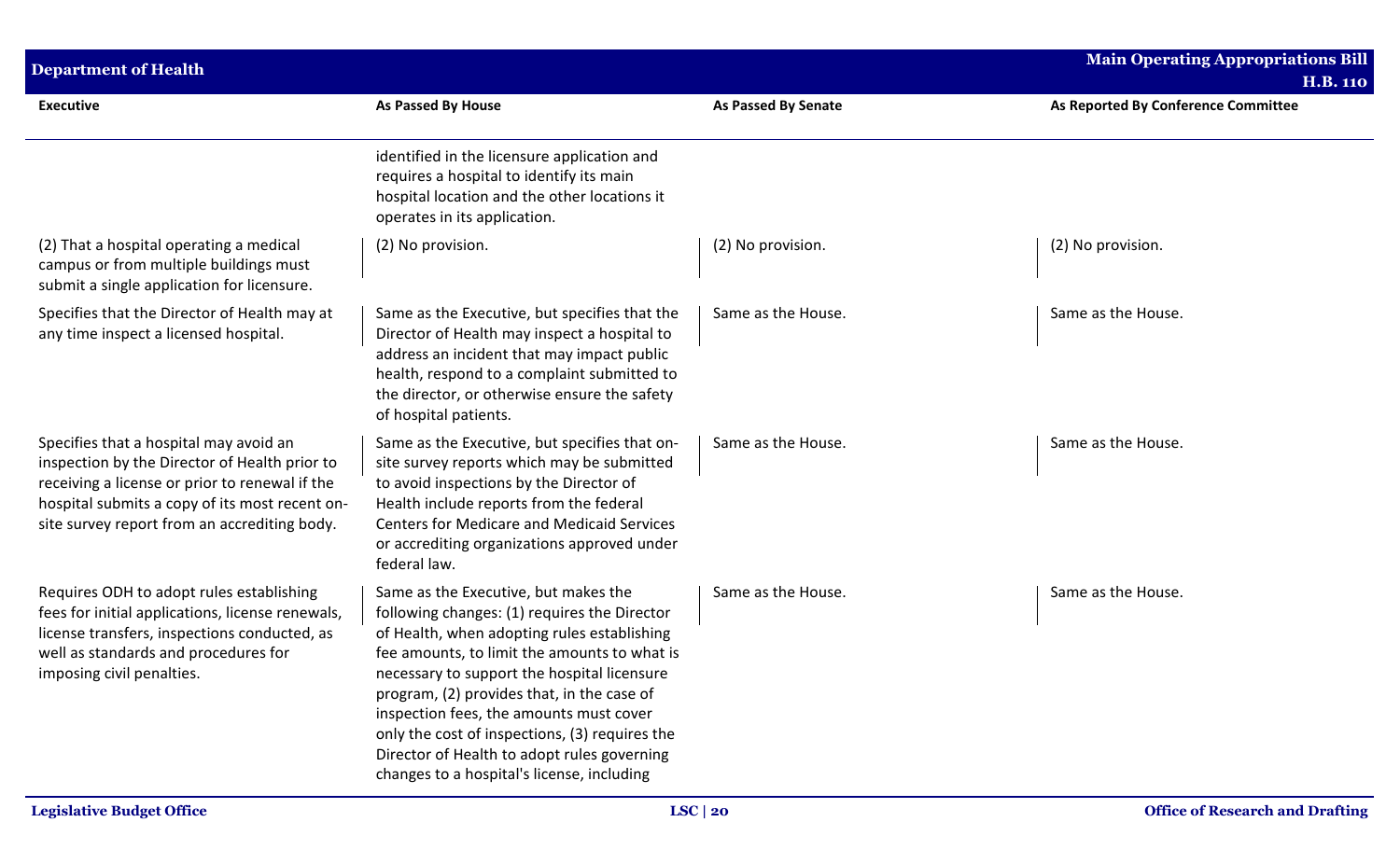| <b>Department of Health</b>                                                                                                                                                                                                                 |                                                                                                                                                                                                                                                                                                                                                                                                                                                                            |                            | Main Operating Appropriations Bill<br><b>H.B. 110</b> |
|---------------------------------------------------------------------------------------------------------------------------------------------------------------------------------------------------------------------------------------------|----------------------------------------------------------------------------------------------------------------------------------------------------------------------------------------------------------------------------------------------------------------------------------------------------------------------------------------------------------------------------------------------------------------------------------------------------------------------------|----------------------------|-------------------------------------------------------|
| <b>Executive</b>                                                                                                                                                                                                                            | As Passed By House                                                                                                                                                                                                                                                                                                                                                                                                                                                         | <b>As Passed By Senate</b> | As Reported By Conference Committee                   |
|                                                                                                                                                                                                                                             | identified in the licensure application and<br>requires a hospital to identify its main<br>hospital location and the other locations it<br>operates in its application.                                                                                                                                                                                                                                                                                                    |                            |                                                       |
| (2) That a hospital operating a medical<br>campus or from multiple buildings must<br>submit a single application for licensure.                                                                                                             | (2) No provision.                                                                                                                                                                                                                                                                                                                                                                                                                                                          | (2) No provision.          | (2) No provision.                                     |
| Specifies that the Director of Health may at<br>any time inspect a licensed hospital.                                                                                                                                                       | Same as the Executive, but specifies that the<br>Director of Health may inspect a hospital to<br>address an incident that may impact public<br>health, respond to a complaint submitted to<br>the director, or otherwise ensure the safety<br>of hospital patients.                                                                                                                                                                                                        | Same as the House.         | Same as the House.                                    |
| Specifies that a hospital may avoid an<br>inspection by the Director of Health prior to<br>receiving a license or prior to renewal if the<br>hospital submits a copy of its most recent on-<br>site survey report from an accrediting body. | Same as the Executive, but specifies that on-<br>site survey reports which may be submitted<br>to avoid inspections by the Director of<br>Health include reports from the federal<br><b>Centers for Medicare and Medicaid Services</b><br>or accrediting organizations approved under<br>federal law.                                                                                                                                                                      | Same as the House.         | Same as the House.                                    |
| Requires ODH to adopt rules establishing<br>fees for initial applications, license renewals,<br>license transfers, inspections conducted, as<br>well as standards and procedures for<br>imposing civil penalties.                           | Same as the Executive, but makes the<br>following changes: (1) requires the Director<br>of Health, when adopting rules establishing<br>fee amounts, to limit the amounts to what is<br>necessary to support the hospital licensure<br>program, (2) provides that, in the case of<br>inspection fees, the amounts must cover<br>only the cost of inspections, (3) requires the<br>Director of Health to adopt rules governing<br>changes to a hospital's license, including | Same as the House.         | Same as the House.                                    |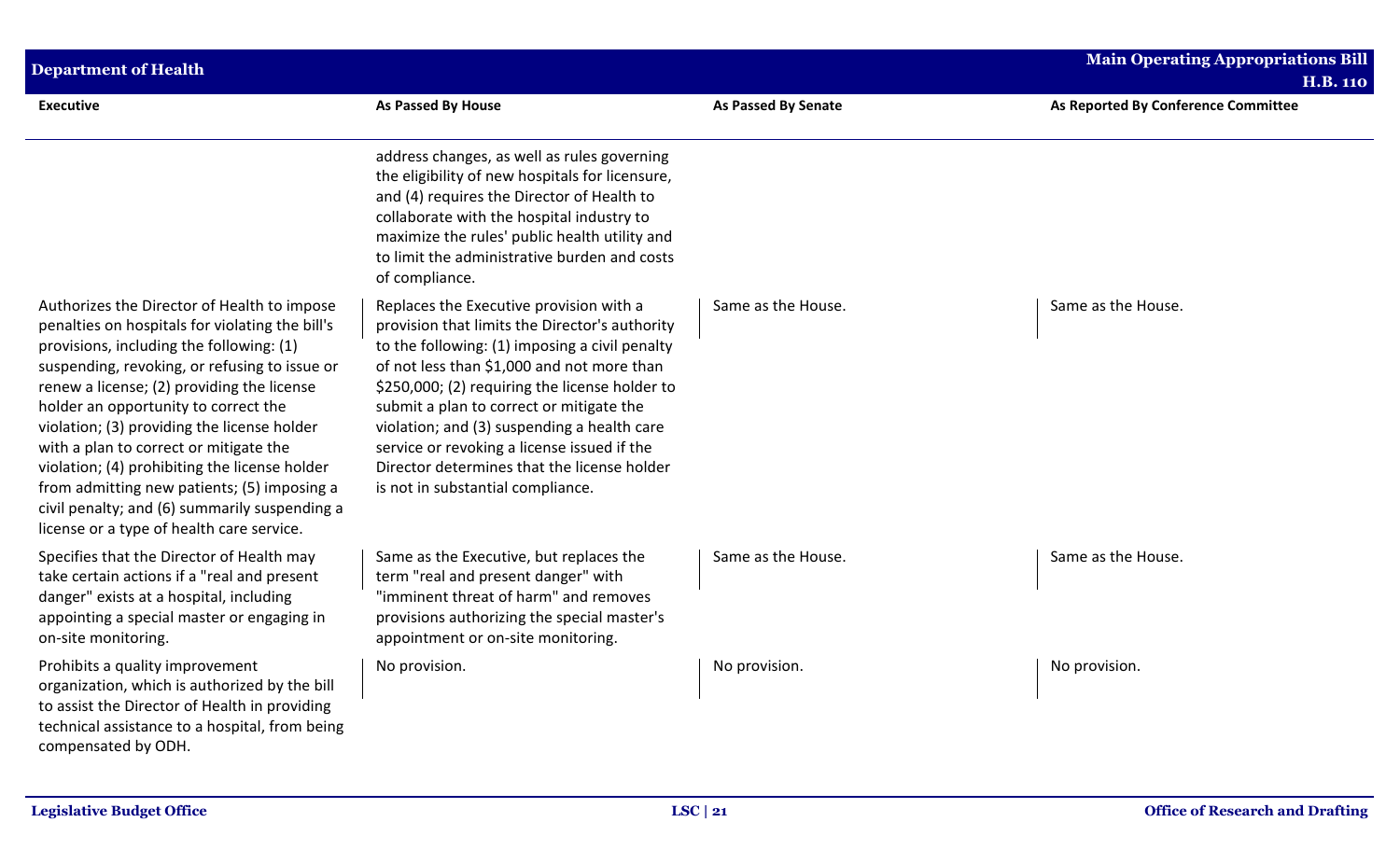| <b>Department of Health</b>                                                                                                                                                                                                                                                                                                                                                                                                                                                                                                                                              |                                                                                                                                                                                                                                                                                                                                                                                                                                                                           |                            | <b>Main Operating Appropriations Bill</b><br><b>H.B. 110</b> |
|--------------------------------------------------------------------------------------------------------------------------------------------------------------------------------------------------------------------------------------------------------------------------------------------------------------------------------------------------------------------------------------------------------------------------------------------------------------------------------------------------------------------------------------------------------------------------|---------------------------------------------------------------------------------------------------------------------------------------------------------------------------------------------------------------------------------------------------------------------------------------------------------------------------------------------------------------------------------------------------------------------------------------------------------------------------|----------------------------|--------------------------------------------------------------|
| Executive                                                                                                                                                                                                                                                                                                                                                                                                                                                                                                                                                                | As Passed By House                                                                                                                                                                                                                                                                                                                                                                                                                                                        | <b>As Passed By Senate</b> | As Reported By Conference Committee                          |
|                                                                                                                                                                                                                                                                                                                                                                                                                                                                                                                                                                          | address changes, as well as rules governing<br>the eligibility of new hospitals for licensure,<br>and (4) requires the Director of Health to<br>collaborate with the hospital industry to<br>maximize the rules' public health utility and<br>to limit the administrative burden and costs<br>of compliance.                                                                                                                                                              |                            |                                                              |
| Authorizes the Director of Health to impose<br>penalties on hospitals for violating the bill's<br>provisions, including the following: (1)<br>suspending, revoking, or refusing to issue or<br>renew a license; (2) providing the license<br>holder an opportunity to correct the<br>violation; (3) providing the license holder<br>with a plan to correct or mitigate the<br>violation; (4) prohibiting the license holder<br>from admitting new patients; (5) imposing a<br>civil penalty; and (6) summarily suspending a<br>license or a type of health care service. | Replaces the Executive provision with a<br>provision that limits the Director's authority<br>to the following: (1) imposing a civil penalty<br>of not less than \$1,000 and not more than<br>\$250,000; (2) requiring the license holder to<br>submit a plan to correct or mitigate the<br>violation; and (3) suspending a health care<br>service or revoking a license issued if the<br>Director determines that the license holder<br>is not in substantial compliance. | Same as the House.         | Same as the House.                                           |
| Specifies that the Director of Health may<br>take certain actions if a "real and present<br>danger" exists at a hospital, including<br>appointing a special master or engaging in<br>on-site monitoring.                                                                                                                                                                                                                                                                                                                                                                 | Same as the Executive, but replaces the<br>term "real and present danger" with<br>"imminent threat of harm" and removes<br>provisions authorizing the special master's<br>appointment or on-site monitoring.                                                                                                                                                                                                                                                              | Same as the House.         | Same as the House.                                           |
| Prohibits a quality improvement<br>organization, which is authorized by the bill<br>to assist the Director of Health in providing<br>technical assistance to a hospital, from being<br>compensated by ODH.                                                                                                                                                                                                                                                                                                                                                               | No provision.                                                                                                                                                                                                                                                                                                                                                                                                                                                             | No provision.              | No provision.                                                |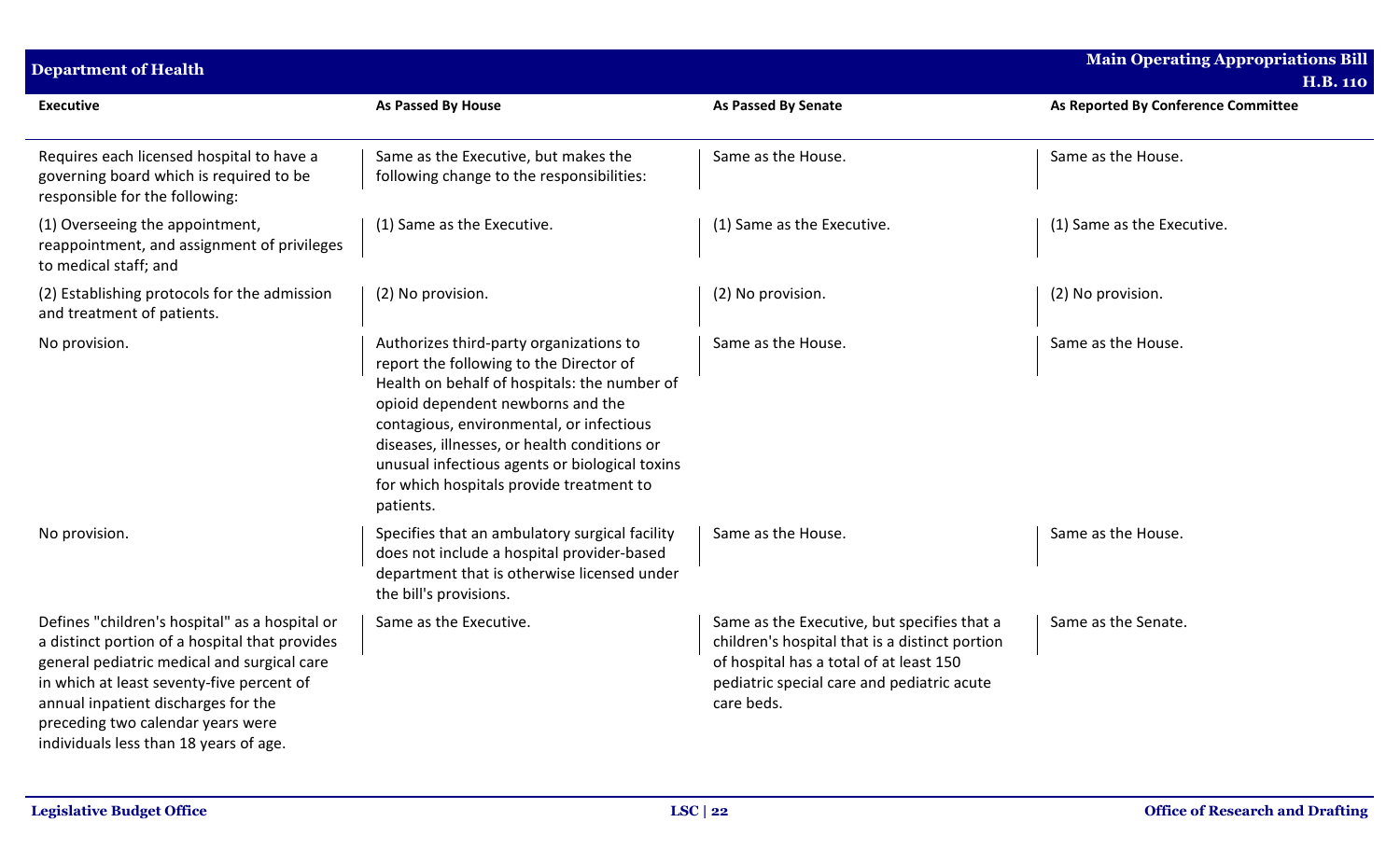| <b>Department of Health</b>                                                                                                                                                                                                                                                                                        |                                                                                                                                                                                                                                                                                                                                                                                |                                                                                                                                                                                                      | <b>Main Operating Appropriations Bill</b> |
|--------------------------------------------------------------------------------------------------------------------------------------------------------------------------------------------------------------------------------------------------------------------------------------------------------------------|--------------------------------------------------------------------------------------------------------------------------------------------------------------------------------------------------------------------------------------------------------------------------------------------------------------------------------------------------------------------------------|------------------------------------------------------------------------------------------------------------------------------------------------------------------------------------------------------|-------------------------------------------|
|                                                                                                                                                                                                                                                                                                                    |                                                                                                                                                                                                                                                                                                                                                                                |                                                                                                                                                                                                      | <b>H.B. 110</b>                           |
| <b>Executive</b>                                                                                                                                                                                                                                                                                                   | As Passed By House                                                                                                                                                                                                                                                                                                                                                             | As Passed By Senate                                                                                                                                                                                  | As Reported By Conference Committee       |
| Requires each licensed hospital to have a<br>governing board which is required to be<br>responsible for the following:                                                                                                                                                                                             | Same as the Executive, but makes the<br>following change to the responsibilities:                                                                                                                                                                                                                                                                                              | Same as the House.                                                                                                                                                                                   | Same as the House.                        |
| (1) Overseeing the appointment,<br>reappointment, and assignment of privileges<br>to medical staff; and                                                                                                                                                                                                            | (1) Same as the Executive.                                                                                                                                                                                                                                                                                                                                                     | (1) Same as the Executive.                                                                                                                                                                           | (1) Same as the Executive.                |
| (2) Establishing protocols for the admission<br>and treatment of patients.                                                                                                                                                                                                                                         | (2) No provision.                                                                                                                                                                                                                                                                                                                                                              | (2) No provision.                                                                                                                                                                                    | (2) No provision.                         |
| No provision.                                                                                                                                                                                                                                                                                                      | Authorizes third-party organizations to<br>report the following to the Director of<br>Health on behalf of hospitals: the number of<br>opioid dependent newborns and the<br>contagious, environmental, or infectious<br>diseases, illnesses, or health conditions or<br>unusual infectious agents or biological toxins<br>for which hospitals provide treatment to<br>patients. | Same as the House.                                                                                                                                                                                   | Same as the House.                        |
| No provision.                                                                                                                                                                                                                                                                                                      | Specifies that an ambulatory surgical facility<br>does not include a hospital provider-based<br>department that is otherwise licensed under<br>the bill's provisions.                                                                                                                                                                                                          | Same as the House.                                                                                                                                                                                   | Same as the House.                        |
| Defines "children's hospital" as a hospital or<br>a distinct portion of a hospital that provides<br>general pediatric medical and surgical care<br>in which at least seventy-five percent of<br>annual inpatient discharges for the<br>preceding two calendar years were<br>individuals less than 18 years of age. | Same as the Executive.                                                                                                                                                                                                                                                                                                                                                         | Same as the Executive, but specifies that a<br>children's hospital that is a distinct portion<br>of hospital has a total of at least 150<br>pediatric special care and pediatric acute<br>care beds. | Same as the Senate.                       |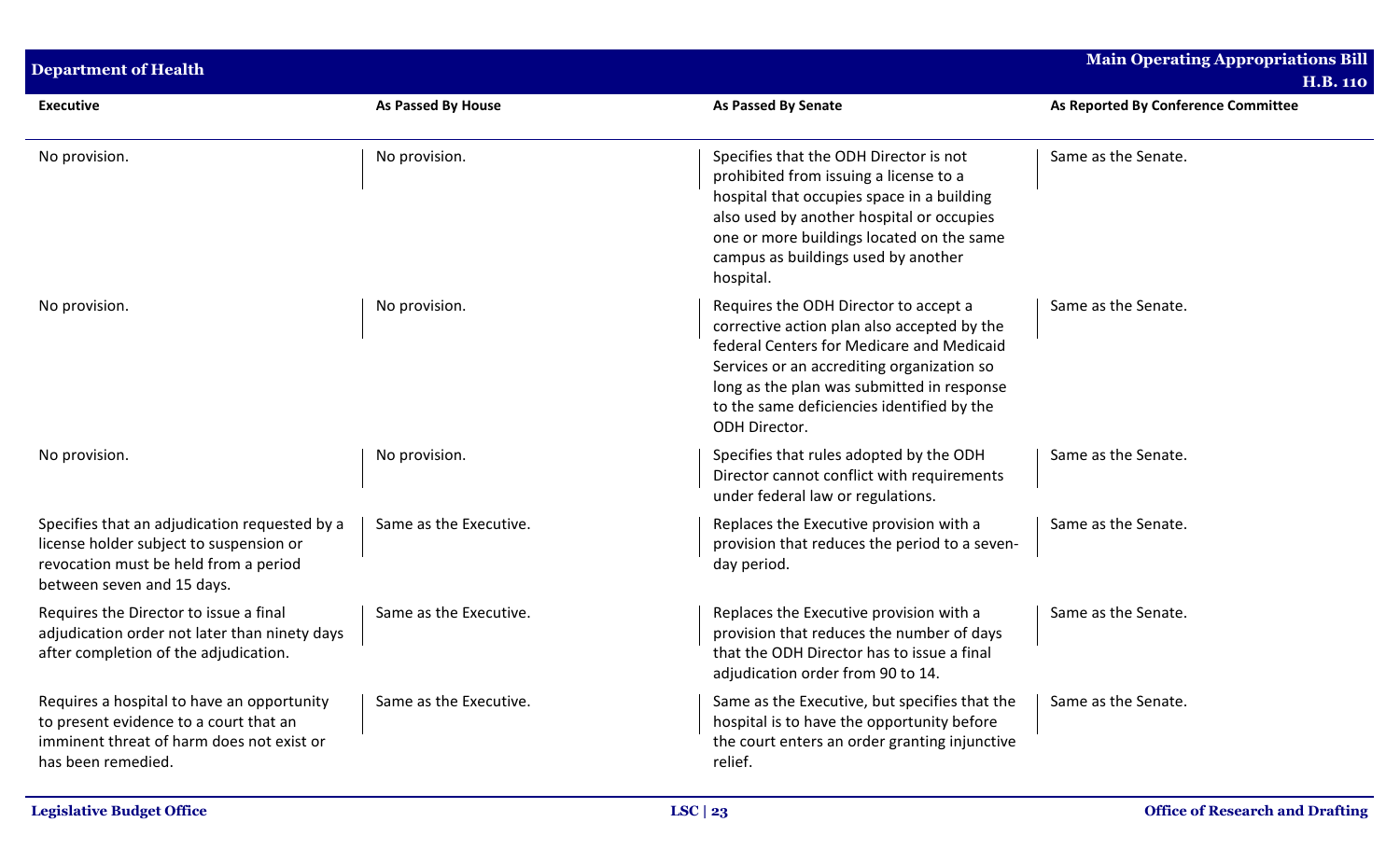| <b>Department of Health</b>                                                                                                                                     |                        |                                                                                                                                                                                                                                                                                              | <b>Main Operating Appropriations Bill</b><br><b>H.B. 110</b> |
|-----------------------------------------------------------------------------------------------------------------------------------------------------------------|------------------------|----------------------------------------------------------------------------------------------------------------------------------------------------------------------------------------------------------------------------------------------------------------------------------------------|--------------------------------------------------------------|
| <b>Executive</b>                                                                                                                                                | As Passed By House     | <b>As Passed By Senate</b>                                                                                                                                                                                                                                                                   | As Reported By Conference Committee                          |
| No provision.                                                                                                                                                   | No provision.          | Specifies that the ODH Director is not<br>prohibited from issuing a license to a<br>hospital that occupies space in a building<br>also used by another hospital or occupies<br>one or more buildings located on the same<br>campus as buildings used by another<br>hospital.                 | Same as the Senate.                                          |
| No provision.                                                                                                                                                   | No provision.          | Requires the ODH Director to accept a<br>corrective action plan also accepted by the<br>federal Centers for Medicare and Medicaid<br>Services or an accrediting organization so<br>long as the plan was submitted in response<br>to the same deficiencies identified by the<br>ODH Director. | Same as the Senate.                                          |
| No provision.                                                                                                                                                   | No provision.          | Specifies that rules adopted by the ODH<br>Director cannot conflict with requirements<br>under federal law or regulations.                                                                                                                                                                   | Same as the Senate.                                          |
| Specifies that an adjudication requested by a<br>license holder subject to suspension or<br>revocation must be held from a period<br>between seven and 15 days. | Same as the Executive. | Replaces the Executive provision with a<br>provision that reduces the period to a seven-<br>day period.                                                                                                                                                                                      | Same as the Senate.                                          |
| Requires the Director to issue a final<br>adjudication order not later than ninety days<br>after completion of the adjudication.                                | Same as the Executive. | Replaces the Executive provision with a<br>provision that reduces the number of days<br>that the ODH Director has to issue a final<br>adjudication order from 90 to 14.                                                                                                                      | Same as the Senate.                                          |
| Requires a hospital to have an opportunity<br>to present evidence to a court that an<br>imminent threat of harm does not exist or<br>has been remedied.         | Same as the Executive. | Same as the Executive, but specifies that the<br>hospital is to have the opportunity before<br>the court enters an order granting injunctive<br>relief.                                                                                                                                      | Same as the Senate.                                          |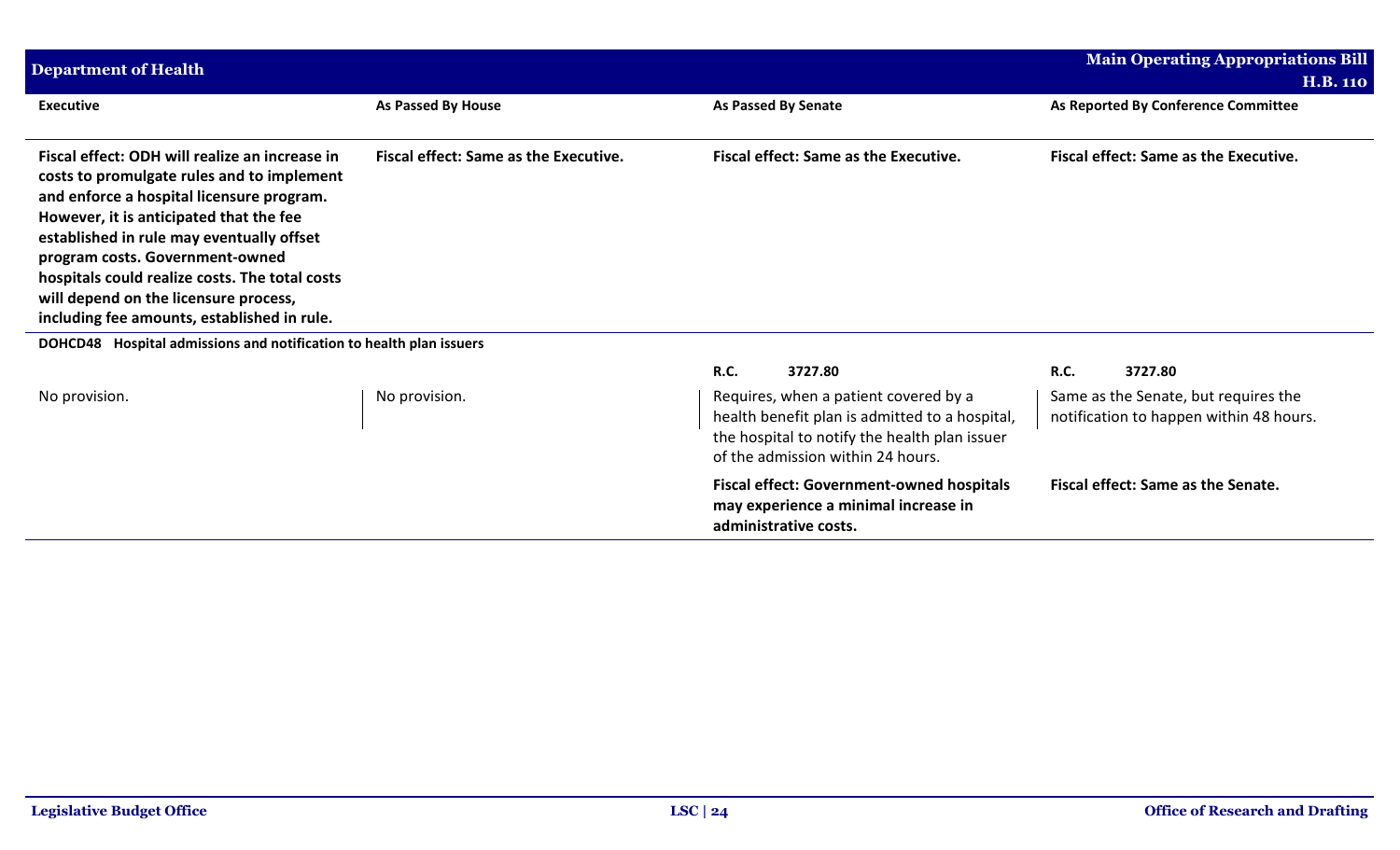| <b>Department of Health</b>                                                                                                                                                                                                                                                                                                                                                                                    |                                       |                                                                                                                                                                               | <b>Main Operating Appropriations Bill</b><br><b>H.B. 110</b>                    |
|----------------------------------------------------------------------------------------------------------------------------------------------------------------------------------------------------------------------------------------------------------------------------------------------------------------------------------------------------------------------------------------------------------------|---------------------------------------|-------------------------------------------------------------------------------------------------------------------------------------------------------------------------------|---------------------------------------------------------------------------------|
| <b>Executive</b>                                                                                                                                                                                                                                                                                                                                                                                               | As Passed By House                    | <b>As Passed By Senate</b>                                                                                                                                                    | As Reported By Conference Committee                                             |
| Fiscal effect: ODH will realize an increase in<br>costs to promulgate rules and to implement<br>and enforce a hospital licensure program.<br>However, it is anticipated that the fee<br>established in rule may eventually offset<br>program costs. Government-owned<br>hospitals could realize costs. The total costs<br>will depend on the licensure process,<br>including fee amounts, established in rule. | Fiscal effect: Same as the Executive. | Fiscal effect: Same as the Executive.                                                                                                                                         | <b>Fiscal effect: Same as the Executive.</b>                                    |
| DOHCD48 Hospital admissions and notification to health plan issuers                                                                                                                                                                                                                                                                                                                                            |                                       |                                                                                                                                                                               |                                                                                 |
|                                                                                                                                                                                                                                                                                                                                                                                                                |                                       | <b>R.C.</b><br>3727.80                                                                                                                                                        | R.C.<br>3727.80                                                                 |
| No provision.                                                                                                                                                                                                                                                                                                                                                                                                  | No provision.                         | Requires, when a patient covered by a<br>health benefit plan is admitted to a hospital,<br>the hospital to notify the health plan issuer<br>of the admission within 24 hours. | Same as the Senate, but requires the<br>notification to happen within 48 hours. |
|                                                                                                                                                                                                                                                                                                                                                                                                                |                                       | <b>Fiscal effect: Government-owned hospitals</b><br>may experience a minimal increase in<br>administrative costs.                                                             | Fiscal effect: Same as the Senate.                                              |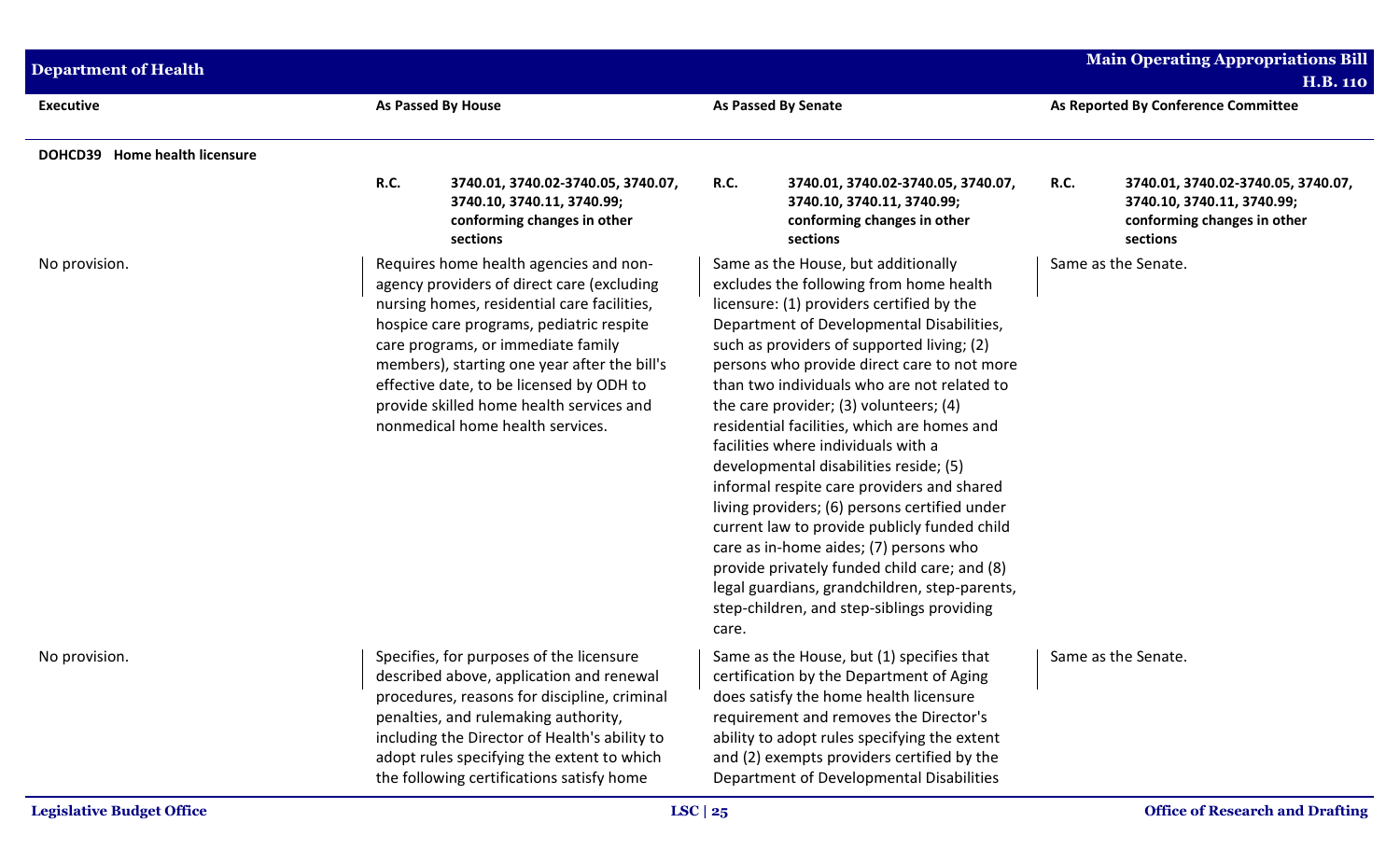| <b>As Passed By House</b><br><b>As Passed By Senate</b><br>As Reported By Conference Committee<br><b>Executive</b><br>DOHCD39 Home health licensure<br><b>R.C.</b><br>3740.01, 3740.02-3740.05, 3740.07,<br><b>R.C.</b><br>3740.01, 3740.02-3740.05, 3740.07,<br><b>R.C.</b><br>3740.01, 3740.02-3740.05, 3740.07,<br>3740.10, 3740.11, 3740.99;<br>3740.10, 3740.11, 3740.99;<br>3740.10, 3740.11, 3740.99;<br>conforming changes in other<br>conforming changes in other<br>conforming changes in other<br>sections<br>sections<br>sections<br>Requires home health agencies and non-<br>Same as the House, but additionally<br>Same as the Senate.<br>No provision.<br>agency providers of direct care (excluding<br>excludes the following from home health<br>nursing homes, residential care facilities,<br>licensure: (1) providers certified by the<br>Department of Developmental Disabilities,<br>hospice care programs, pediatric respite<br>care programs, or immediate family<br>such as providers of supported living; (2)<br>members), starting one year after the bill's<br>persons who provide direct care to not more<br>effective date, to be licensed by ODH to<br>than two individuals who are not related to<br>provide skilled home health services and<br>the care provider; (3) volunteers; (4)<br>nonmedical home health services.<br>residential facilities, which are homes and<br>facilities where individuals with a<br>developmental disabilities reside; (5)<br>informal respite care providers and shared<br>living providers; (6) persons certified under<br>current law to provide publicly funded child<br>care as in-home aides; (7) persons who<br>provide privately funded child care; and (8)<br>legal guardians, grandchildren, step-parents,<br>step-children, and step-siblings providing<br>care.<br>Specifies, for purposes of the licensure<br>Same as the House, but (1) specifies that<br>Same as the Senate.<br>No provision.<br>described above, application and renewal<br>certification by the Department of Aging<br>procedures, reasons for discipline, criminal<br>does satisfy the home health licensure<br>requirement and removes the Director's<br>penalties, and rulemaking authority,<br>including the Director of Health's ability to<br>ability to adopt rules specifying the extent | <b>Department of Health</b> |                                            |                                            | <b>Main Operating Appropriations Bill</b><br><b>H.B. 110</b> |
|-----------------------------------------------------------------------------------------------------------------------------------------------------------------------------------------------------------------------------------------------------------------------------------------------------------------------------------------------------------------------------------------------------------------------------------------------------------------------------------------------------------------------------------------------------------------------------------------------------------------------------------------------------------------------------------------------------------------------------------------------------------------------------------------------------------------------------------------------------------------------------------------------------------------------------------------------------------------------------------------------------------------------------------------------------------------------------------------------------------------------------------------------------------------------------------------------------------------------------------------------------------------------------------------------------------------------------------------------------------------------------------------------------------------------------------------------------------------------------------------------------------------------------------------------------------------------------------------------------------------------------------------------------------------------------------------------------------------------------------------------------------------------------------------------------------------------------------------------------------------------------------------------------------------------------------------------------------------------------------------------------------------------------------------------------------------------------------------------------------------------------------------------------------------------------------------------------------------------------------------------------------------------------------------------------------------------------------------------------|-----------------------------|--------------------------------------------|--------------------------------------------|--------------------------------------------------------------|
|                                                                                                                                                                                                                                                                                                                                                                                                                                                                                                                                                                                                                                                                                                                                                                                                                                                                                                                                                                                                                                                                                                                                                                                                                                                                                                                                                                                                                                                                                                                                                                                                                                                                                                                                                                                                                                                                                                                                                                                                                                                                                                                                                                                                                                                                                                                                                     |                             |                                            |                                            |                                                              |
|                                                                                                                                                                                                                                                                                                                                                                                                                                                                                                                                                                                                                                                                                                                                                                                                                                                                                                                                                                                                                                                                                                                                                                                                                                                                                                                                                                                                                                                                                                                                                                                                                                                                                                                                                                                                                                                                                                                                                                                                                                                                                                                                                                                                                                                                                                                                                     |                             |                                            |                                            |                                                              |
|                                                                                                                                                                                                                                                                                                                                                                                                                                                                                                                                                                                                                                                                                                                                                                                                                                                                                                                                                                                                                                                                                                                                                                                                                                                                                                                                                                                                                                                                                                                                                                                                                                                                                                                                                                                                                                                                                                                                                                                                                                                                                                                                                                                                                                                                                                                                                     |                             |                                            |                                            |                                                              |
|                                                                                                                                                                                                                                                                                                                                                                                                                                                                                                                                                                                                                                                                                                                                                                                                                                                                                                                                                                                                                                                                                                                                                                                                                                                                                                                                                                                                                                                                                                                                                                                                                                                                                                                                                                                                                                                                                                                                                                                                                                                                                                                                                                                                                                                                                                                                                     |                             |                                            |                                            |                                                              |
| the following certifications satisfy home<br>Department of Developmental Disabilities                                                                                                                                                                                                                                                                                                                                                                                                                                                                                                                                                                                                                                                                                                                                                                                                                                                                                                                                                                                                                                                                                                                                                                                                                                                                                                                                                                                                                                                                                                                                                                                                                                                                                                                                                                                                                                                                                                                                                                                                                                                                                                                                                                                                                                                               |                             | adopt rules specifying the extent to which | and (2) exempts providers certified by the |                                                              |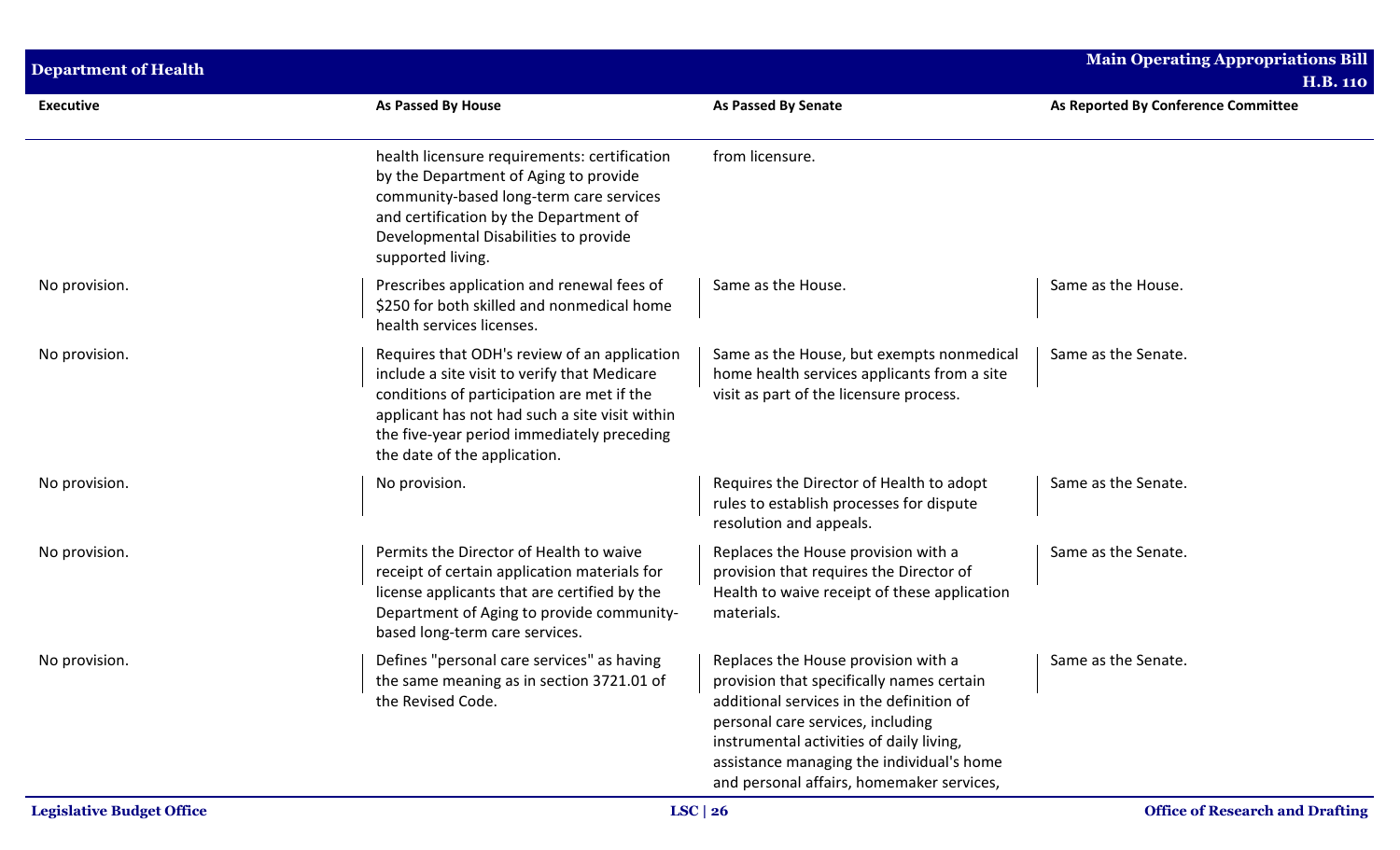| <b>Department of Health</b> |                                                                                                                                                                                                                                                                            |                                                                                                                                                                                                                                                                                                         | <b>Main Operating Appropriations Bill</b>              |
|-----------------------------|----------------------------------------------------------------------------------------------------------------------------------------------------------------------------------------------------------------------------------------------------------------------------|---------------------------------------------------------------------------------------------------------------------------------------------------------------------------------------------------------------------------------------------------------------------------------------------------------|--------------------------------------------------------|
| <b>Executive</b>            | <b>As Passed By House</b>                                                                                                                                                                                                                                                  | <b>As Passed By Senate</b>                                                                                                                                                                                                                                                                              | <b>H.B. 110</b><br>As Reported By Conference Committee |
|                             | health licensure requirements: certification<br>by the Department of Aging to provide<br>community-based long-term care services<br>and certification by the Department of<br>Developmental Disabilities to provide<br>supported living.                                   | from licensure.                                                                                                                                                                                                                                                                                         |                                                        |
| No provision.               | Prescribes application and renewal fees of<br>\$250 for both skilled and nonmedical home<br>health services licenses.                                                                                                                                                      | Same as the House.                                                                                                                                                                                                                                                                                      | Same as the House.                                     |
| No provision.               | Requires that ODH's review of an application<br>include a site visit to verify that Medicare<br>conditions of participation are met if the<br>applicant has not had such a site visit within<br>the five-year period immediately preceding<br>the date of the application. | Same as the House, but exempts nonmedical<br>home health services applicants from a site<br>visit as part of the licensure process.                                                                                                                                                                     | Same as the Senate.                                    |
| No provision.               | No provision.                                                                                                                                                                                                                                                              | Requires the Director of Health to adopt<br>rules to establish processes for dispute<br>resolution and appeals.                                                                                                                                                                                         | Same as the Senate.                                    |
| No provision.               | Permits the Director of Health to waive<br>receipt of certain application materials for<br>license applicants that are certified by the<br>Department of Aging to provide community-<br>based long-term care services.                                                     | Replaces the House provision with a<br>provision that requires the Director of<br>Health to waive receipt of these application<br>materials.                                                                                                                                                            | Same as the Senate.                                    |
| No provision.               | Defines "personal care services" as having<br>the same meaning as in section 3721.01 of<br>the Revised Code.                                                                                                                                                               | Replaces the House provision with a<br>provision that specifically names certain<br>additional services in the definition of<br>personal care services, including<br>instrumental activities of daily living,<br>assistance managing the individual's home<br>and personal affairs, homemaker services, | Same as the Senate.                                    |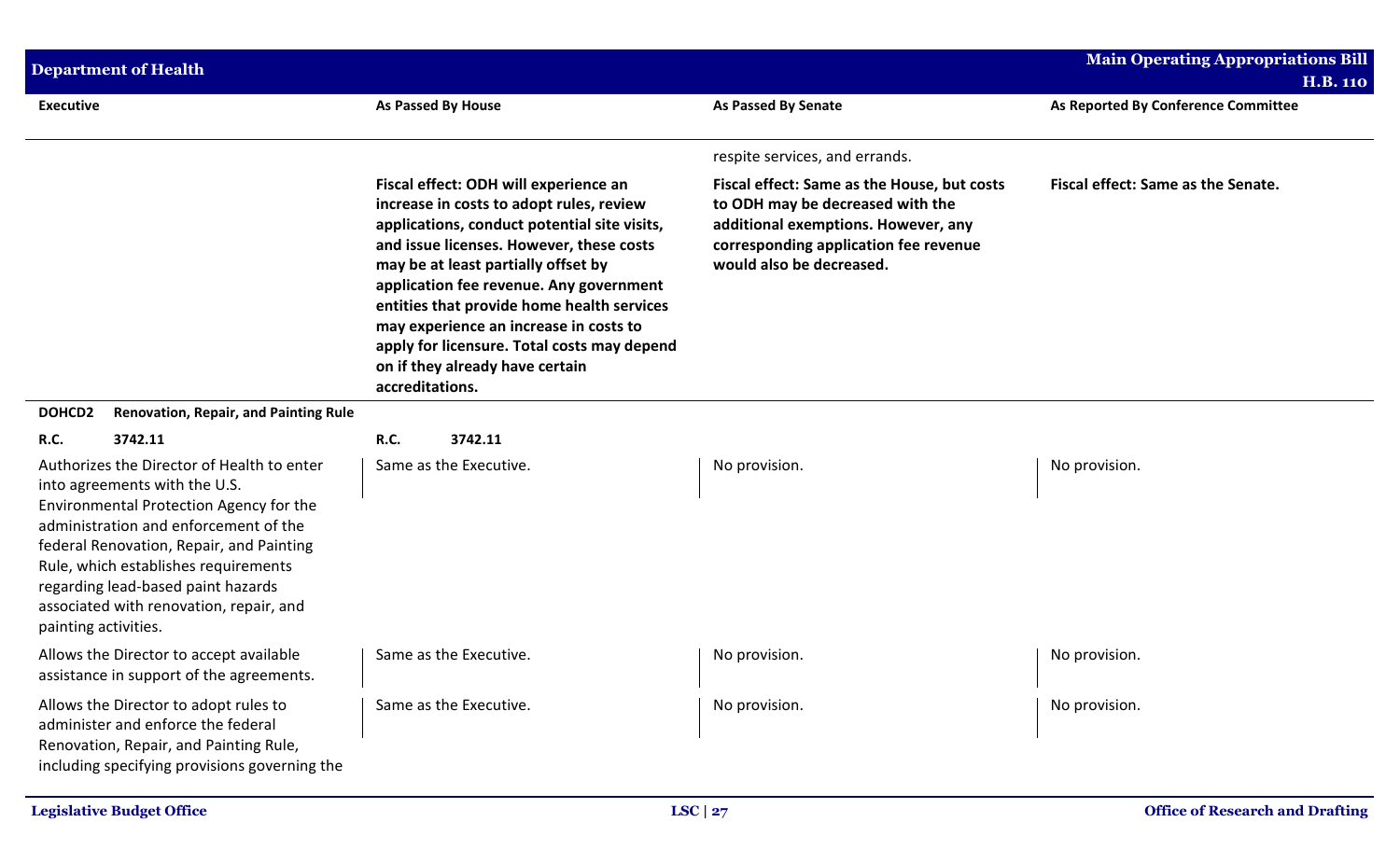| <b>Department of Health</b>                                                                                                                                                                                                                                                                                                                                                     |                                                                                                                                                                                                                                                                                                                                                                                                                                                              |                                                                                                                                                                                             | <b>Main Operating Appropriations Bill</b><br><b>H.B. 110</b> |
|---------------------------------------------------------------------------------------------------------------------------------------------------------------------------------------------------------------------------------------------------------------------------------------------------------------------------------------------------------------------------------|--------------------------------------------------------------------------------------------------------------------------------------------------------------------------------------------------------------------------------------------------------------------------------------------------------------------------------------------------------------------------------------------------------------------------------------------------------------|---------------------------------------------------------------------------------------------------------------------------------------------------------------------------------------------|--------------------------------------------------------------|
| <b>Executive</b>                                                                                                                                                                                                                                                                                                                                                                | As Passed By House                                                                                                                                                                                                                                                                                                                                                                                                                                           | <b>As Passed By Senate</b>                                                                                                                                                                  | As Reported By Conference Committee                          |
|                                                                                                                                                                                                                                                                                                                                                                                 |                                                                                                                                                                                                                                                                                                                                                                                                                                                              | respite services, and errands.                                                                                                                                                              |                                                              |
|                                                                                                                                                                                                                                                                                                                                                                                 | Fiscal effect: ODH will experience an<br>increase in costs to adopt rules, review<br>applications, conduct potential site visits,<br>and issue licenses. However, these costs<br>may be at least partially offset by<br>application fee revenue. Any government<br>entities that provide home health services<br>may experience an increase in costs to<br>apply for licensure. Total costs may depend<br>on if they already have certain<br>accreditations. | Fiscal effect: Same as the House, but costs<br>to ODH may be decreased with the<br>additional exemptions. However, any<br>corresponding application fee revenue<br>would also be decreased. | Fiscal effect: Same as the Senate.                           |
| DOHCD <sub>2</sub><br><b>Renovation, Repair, and Painting Rule</b>                                                                                                                                                                                                                                                                                                              |                                                                                                                                                                                                                                                                                                                                                                                                                                                              |                                                                                                                                                                                             |                                                              |
| R.C.<br>3742.11<br>Authorizes the Director of Health to enter<br>into agreements with the U.S.<br>Environmental Protection Agency for the<br>administration and enforcement of the<br>federal Renovation, Repair, and Painting<br>Rule, which establishes requirements<br>regarding lead-based paint hazards<br>associated with renovation, repair, and<br>painting activities. | R.C.<br>3742.11<br>Same as the Executive.                                                                                                                                                                                                                                                                                                                                                                                                                    | No provision.                                                                                                                                                                               | No provision.                                                |
| Allows the Director to accept available<br>assistance in support of the agreements.                                                                                                                                                                                                                                                                                             | Same as the Executive.                                                                                                                                                                                                                                                                                                                                                                                                                                       | No provision.                                                                                                                                                                               | No provision.                                                |
| Allows the Director to adopt rules to<br>administer and enforce the federal<br>Renovation, Repair, and Painting Rule,<br>including specifying provisions governing the                                                                                                                                                                                                          | Same as the Executive.                                                                                                                                                                                                                                                                                                                                                                                                                                       | No provision.                                                                                                                                                                               | No provision.                                                |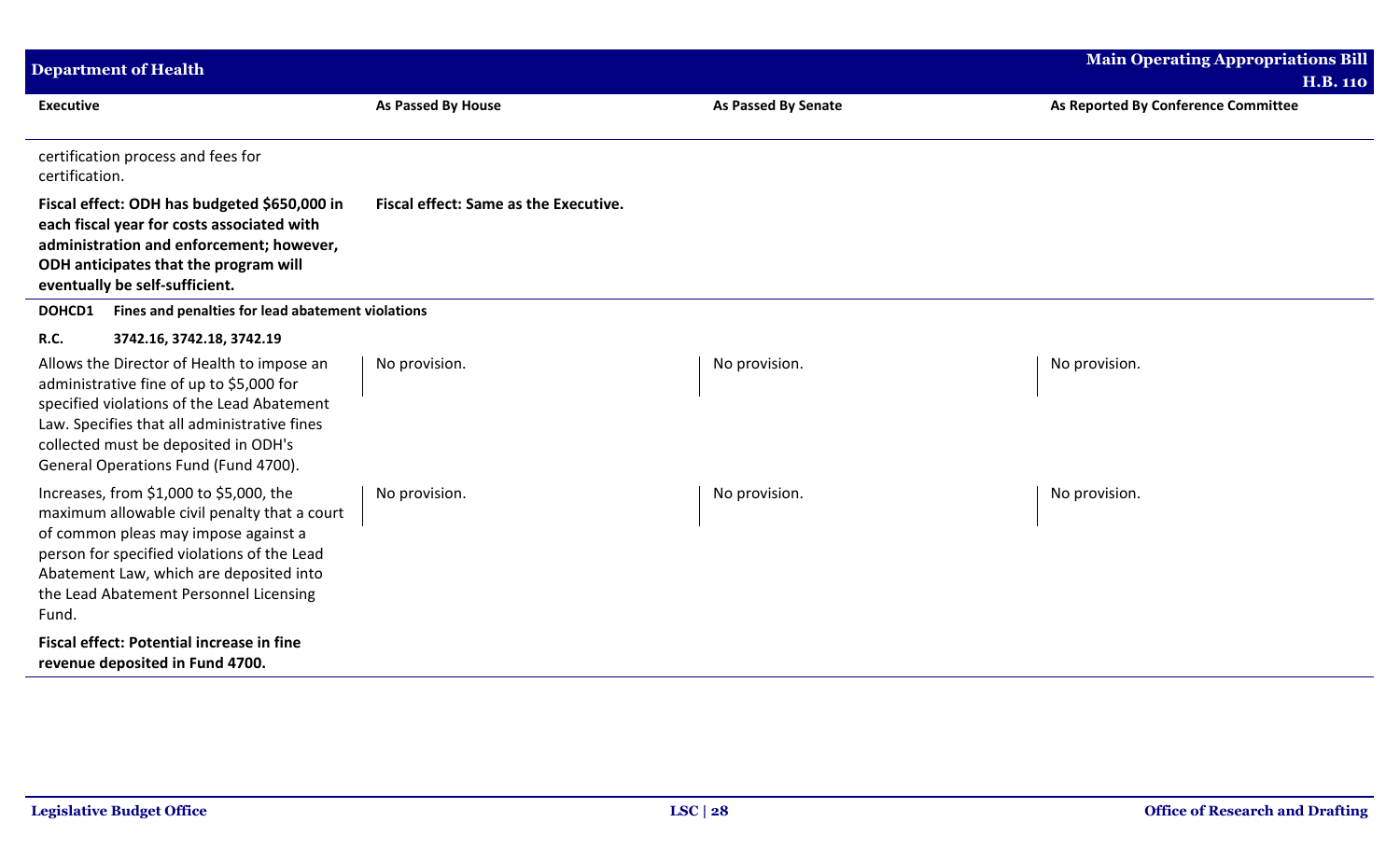| <b>Department of Health</b>                                                                                                                                                                                                                                                                               |                                              |                     | <b>Main Operating Appropriations Bill</b><br><b>H.B. 110</b> |
|-----------------------------------------------------------------------------------------------------------------------------------------------------------------------------------------------------------------------------------------------------------------------------------------------------------|----------------------------------------------|---------------------|--------------------------------------------------------------|
| <b>Executive</b>                                                                                                                                                                                                                                                                                          | As Passed By House                           | As Passed By Senate | As Reported By Conference Committee                          |
| certification process and fees for<br>certification.                                                                                                                                                                                                                                                      |                                              |                     |                                                              |
| Fiscal effect: ODH has budgeted \$650,000 in<br>each fiscal year for costs associated with<br>administration and enforcement; however,<br>ODH anticipates that the program will<br>eventually be self-sufficient.                                                                                         | <b>Fiscal effect: Same as the Executive.</b> |                     |                                                              |
| Fines and penalties for lead abatement violations<br>DOHCD1                                                                                                                                                                                                                                               |                                              |                     |                                                              |
| R.C.<br>3742.16, 3742.18, 3742.19<br>Allows the Director of Health to impose an<br>administrative fine of up to \$5,000 for<br>specified violations of the Lead Abatement<br>Law. Specifies that all administrative fines<br>collected must be deposited in ODH's<br>General Operations Fund (Fund 4700). | No provision.                                | No provision.       | No provision.                                                |
| Increases, from \$1,000 to \$5,000, the<br>maximum allowable civil penalty that a court<br>of common pleas may impose against a<br>person for specified violations of the Lead<br>Abatement Law, which are deposited into<br>the Lead Abatement Personnel Licensing<br>Fund.                              | No provision.                                | No provision.       | No provision.                                                |
| Fiscal effect: Potential increase in fine<br>revenue deposited in Fund 4700.                                                                                                                                                                                                                              |                                              |                     |                                                              |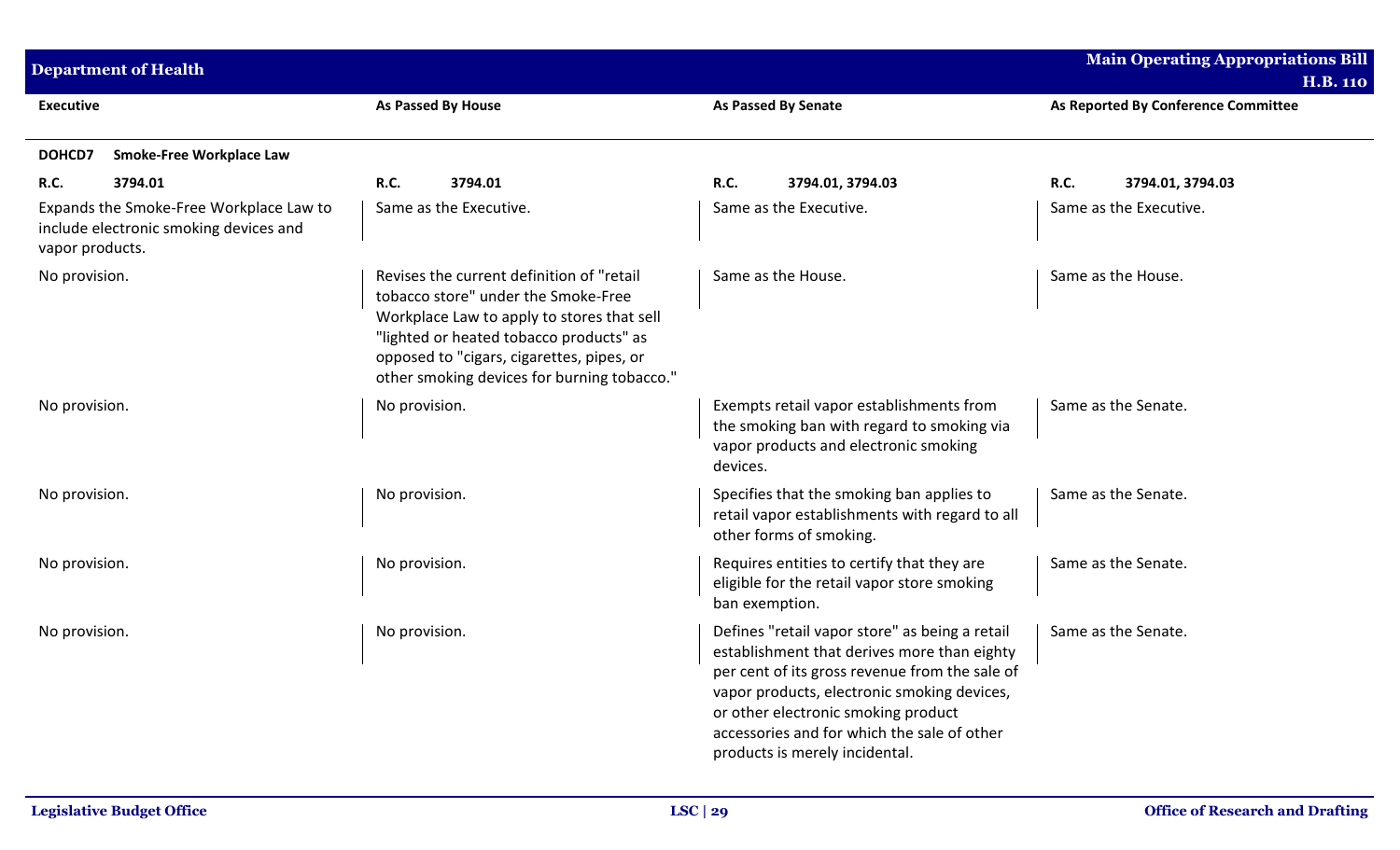|                  | <b>Department of Health</b>                                                       |                    |                                                                                                                                                                                                                                                                       |                |                                                                                                                                                                                                                                                                                                                        |                    | <b>Main Operating Appropriations Bill</b><br><b>H.B. 110</b> |
|------------------|-----------------------------------------------------------------------------------|--------------------|-----------------------------------------------------------------------------------------------------------------------------------------------------------------------------------------------------------------------------------------------------------------------|----------------|------------------------------------------------------------------------------------------------------------------------------------------------------------------------------------------------------------------------------------------------------------------------------------------------------------------------|--------------------|--------------------------------------------------------------|
| <b>Executive</b> |                                                                                   | As Passed By House |                                                                                                                                                                                                                                                                       |                | As Passed By Senate                                                                                                                                                                                                                                                                                                    |                    | As Reported By Conference Committee                          |
| <b>DOHCD7</b>    | Smoke-Free Workplace Law                                                          |                    |                                                                                                                                                                                                                                                                       |                |                                                                                                                                                                                                                                                                                                                        |                    |                                                              |
| <b>R.C.</b>      | 3794.01                                                                           | <b>R.C.</b>        | 3794.01                                                                                                                                                                                                                                                               | <b>R.C.</b>    | 3794.01, 3794.03                                                                                                                                                                                                                                                                                                       | <b>R.C.</b>        | 3794.01, 3794.03                                             |
| vapor products.  | Expands the Smoke-Free Workplace Law to<br>include electronic smoking devices and |                    | Same as the Executive.                                                                                                                                                                                                                                                |                | Same as the Executive.                                                                                                                                                                                                                                                                                                 |                    | Same as the Executive.                                       |
| No provision.    |                                                                                   |                    | Revises the current definition of "retail<br>tobacco store" under the Smoke-Free<br>Workplace Law to apply to stores that sell<br>"lighted or heated tobacco products" as<br>opposed to "cigars, cigarettes, pipes, or<br>other smoking devices for burning tobacco." |                | Same as the House.                                                                                                                                                                                                                                                                                                     | Same as the House. |                                                              |
| No provision.    |                                                                                   | No provision.      |                                                                                                                                                                                                                                                                       | devices.       | Exempts retail vapor establishments from<br>the smoking ban with regard to smoking via<br>vapor products and electronic smoking                                                                                                                                                                                        |                    | Same as the Senate.                                          |
| No provision.    |                                                                                   | No provision.      |                                                                                                                                                                                                                                                                       |                | Specifies that the smoking ban applies to<br>retail vapor establishments with regard to all<br>other forms of smoking.                                                                                                                                                                                                 |                    | Same as the Senate.                                          |
| No provision.    |                                                                                   | No provision.      |                                                                                                                                                                                                                                                                       | ban exemption. | Requires entities to certify that they are<br>eligible for the retail vapor store smoking                                                                                                                                                                                                                              |                    | Same as the Senate.                                          |
| No provision.    |                                                                                   | No provision.      |                                                                                                                                                                                                                                                                       |                | Defines "retail vapor store" as being a retail<br>establishment that derives more than eighty<br>per cent of its gross revenue from the sale of<br>vapor products, electronic smoking devices,<br>or other electronic smoking product<br>accessories and for which the sale of other<br>products is merely incidental. |                    | Same as the Senate.                                          |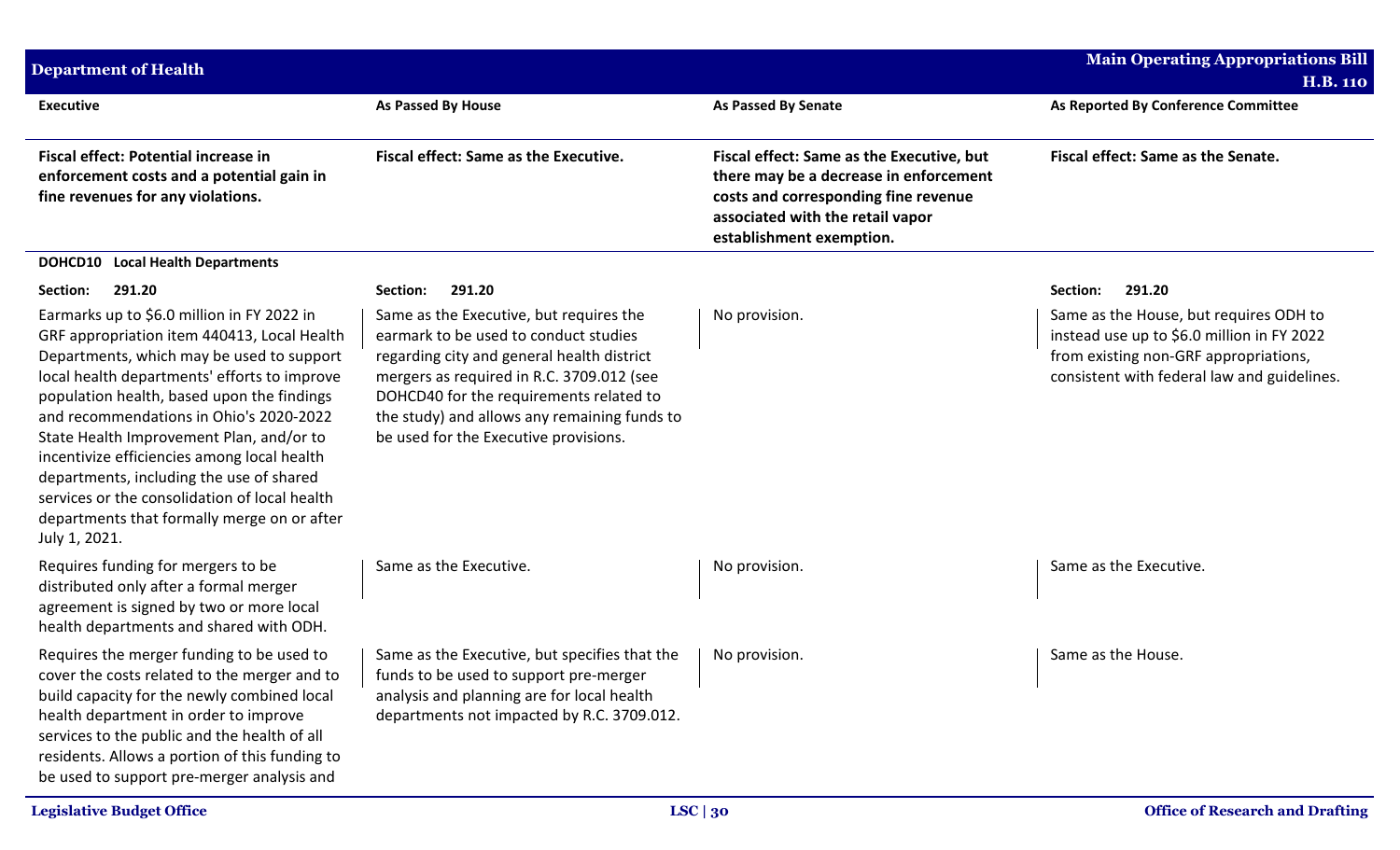| <b>Department of Health</b>                                                                                                                                                                                                                                                                                                                                                                                                                                                                                                             |                                                                                                                                                                                                                                                                                                                 |                                                                                                                                                                                             | <b>Main Operating Appropriations Bill</b><br><b>H.B. 110</b>                                                                                                                 |
|-----------------------------------------------------------------------------------------------------------------------------------------------------------------------------------------------------------------------------------------------------------------------------------------------------------------------------------------------------------------------------------------------------------------------------------------------------------------------------------------------------------------------------------------|-----------------------------------------------------------------------------------------------------------------------------------------------------------------------------------------------------------------------------------------------------------------------------------------------------------------|---------------------------------------------------------------------------------------------------------------------------------------------------------------------------------------------|------------------------------------------------------------------------------------------------------------------------------------------------------------------------------|
| <b>Executive</b>                                                                                                                                                                                                                                                                                                                                                                                                                                                                                                                        | <b>As Passed By House</b>                                                                                                                                                                                                                                                                                       | <b>As Passed By Senate</b>                                                                                                                                                                  | As Reported By Conference Committee                                                                                                                                          |
| <b>Fiscal effect: Potential increase in</b><br>enforcement costs and a potential gain in<br>fine revenues for any violations.                                                                                                                                                                                                                                                                                                                                                                                                           | <b>Fiscal effect: Same as the Executive.</b>                                                                                                                                                                                                                                                                    | Fiscal effect: Same as the Executive, but<br>there may be a decrease in enforcement<br>costs and corresponding fine revenue<br>associated with the retail vapor<br>establishment exemption. | Fiscal effect: Same as the Senate.                                                                                                                                           |
| <b>DOHCD10</b> Local Health Departments                                                                                                                                                                                                                                                                                                                                                                                                                                                                                                 |                                                                                                                                                                                                                                                                                                                 |                                                                                                                                                                                             |                                                                                                                                                                              |
| 291.20<br>Section:                                                                                                                                                                                                                                                                                                                                                                                                                                                                                                                      | 291.20<br>Section:                                                                                                                                                                                                                                                                                              |                                                                                                                                                                                             | 291.20<br>Section:                                                                                                                                                           |
| Earmarks up to \$6.0 million in FY 2022 in<br>GRF appropriation item 440413, Local Health<br>Departments, which may be used to support<br>local health departments' efforts to improve<br>population health, based upon the findings<br>and recommendations in Ohio's 2020-2022<br>State Health Improvement Plan, and/or to<br>incentivize efficiencies among local health<br>departments, including the use of shared<br>services or the consolidation of local health<br>departments that formally merge on or after<br>July 1, 2021. | Same as the Executive, but requires the<br>earmark to be used to conduct studies<br>regarding city and general health district<br>mergers as required in R.C. 3709.012 (see<br>DOHCD40 for the requirements related to<br>the study) and allows any remaining funds to<br>be used for the Executive provisions. | No provision.                                                                                                                                                                               | Same as the House, but requires ODH to<br>instead use up to \$6.0 million in FY 2022<br>from existing non-GRF appropriations,<br>consistent with federal law and guidelines. |
| Requires funding for mergers to be<br>distributed only after a formal merger<br>agreement is signed by two or more local<br>health departments and shared with ODH.                                                                                                                                                                                                                                                                                                                                                                     | Same as the Executive.                                                                                                                                                                                                                                                                                          | No provision.                                                                                                                                                                               | Same as the Executive.                                                                                                                                                       |
| Requires the merger funding to be used to<br>cover the costs related to the merger and to<br>build capacity for the newly combined local<br>health department in order to improve<br>services to the public and the health of all<br>residents. Allows a portion of this funding to<br>be used to support pre-merger analysis and                                                                                                                                                                                                       | Same as the Executive, but specifies that the<br>funds to be used to support pre-merger<br>analysis and planning are for local health<br>departments not impacted by R.C. 3709.012.                                                                                                                             | No provision.                                                                                                                                                                               | Same as the House.                                                                                                                                                           |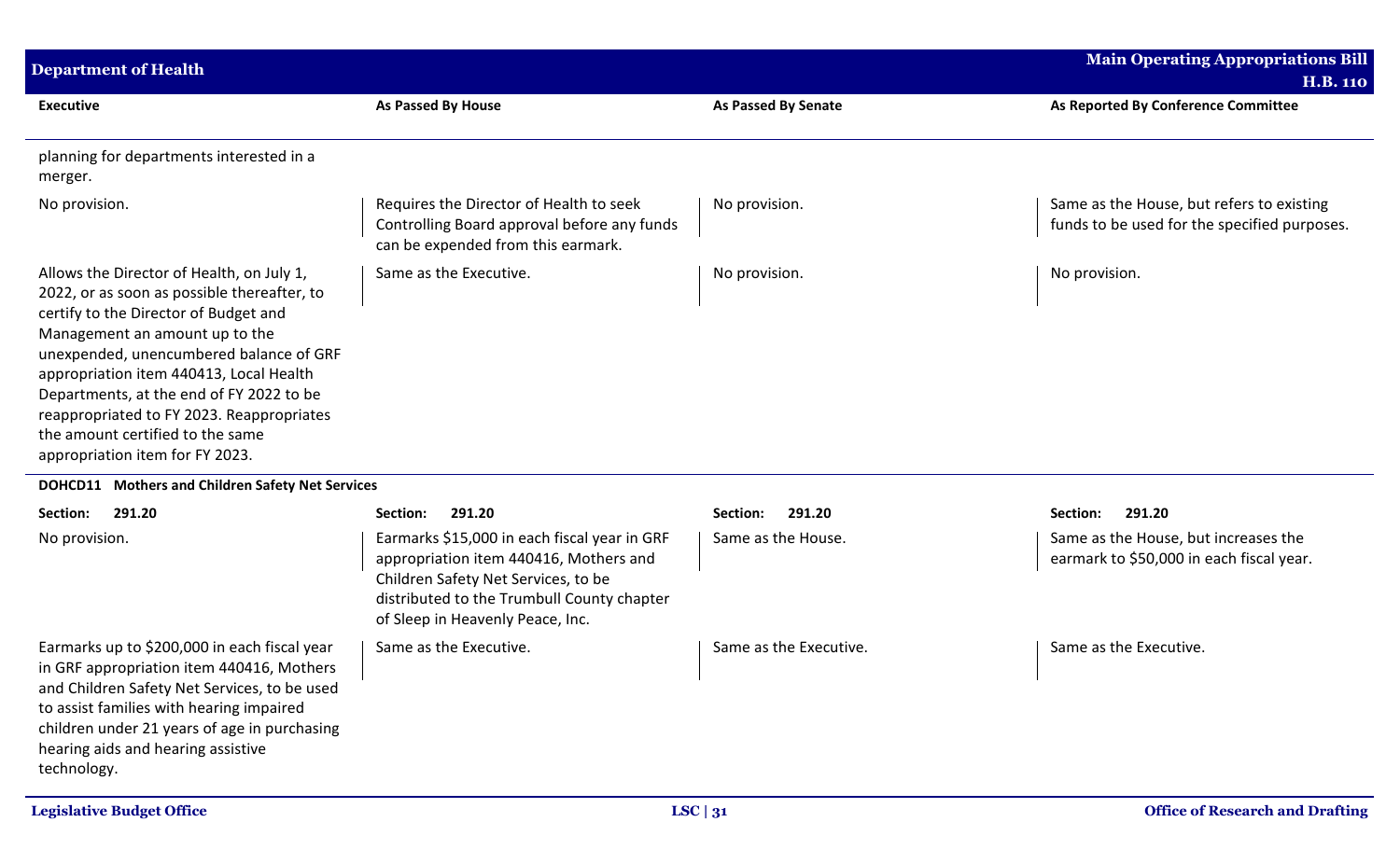| <b>Department of Health</b>                                                                                                                                                                                                                                                                                                                                                                                               |                                                                                                                                                                                                                 |                            | <b>Main Operating Appropriations Bill</b><br><b>H.B. 110</b>                              |
|---------------------------------------------------------------------------------------------------------------------------------------------------------------------------------------------------------------------------------------------------------------------------------------------------------------------------------------------------------------------------------------------------------------------------|-----------------------------------------------------------------------------------------------------------------------------------------------------------------------------------------------------------------|----------------------------|-------------------------------------------------------------------------------------------|
| <b>Executive</b>                                                                                                                                                                                                                                                                                                                                                                                                          | As Passed By House                                                                                                                                                                                              | <b>As Passed By Senate</b> | As Reported By Conference Committee                                                       |
| planning for departments interested in a<br>merger.                                                                                                                                                                                                                                                                                                                                                                       |                                                                                                                                                                                                                 |                            |                                                                                           |
| No provision.                                                                                                                                                                                                                                                                                                                                                                                                             | Requires the Director of Health to seek<br>Controlling Board approval before any funds<br>can be expended from this earmark.                                                                                    | No provision.              | Same as the House, but refers to existing<br>funds to be used for the specified purposes. |
| Allows the Director of Health, on July 1,<br>2022, or as soon as possible thereafter, to<br>certify to the Director of Budget and<br>Management an amount up to the<br>unexpended, unencumbered balance of GRF<br>appropriation item 440413, Local Health<br>Departments, at the end of FY 2022 to be<br>reappropriated to FY 2023. Reappropriates<br>the amount certified to the same<br>appropriation item for FY 2023. | Same as the Executive.                                                                                                                                                                                          | No provision.              | No provision.                                                                             |
| DOHCD11 Mothers and Children Safety Net Services                                                                                                                                                                                                                                                                                                                                                                          |                                                                                                                                                                                                                 |                            |                                                                                           |
| Section:<br>291.20                                                                                                                                                                                                                                                                                                                                                                                                        | 291.20<br>Section:                                                                                                                                                                                              | 291.20<br>Section:         | 291.20<br>Section:                                                                        |
| No provision.                                                                                                                                                                                                                                                                                                                                                                                                             | Earmarks \$15,000 in each fiscal year in GRF<br>appropriation item 440416, Mothers and<br>Children Safety Net Services, to be<br>distributed to the Trumbull County chapter<br>of Sleep in Heavenly Peace, Inc. | Same as the House.         | Same as the House, but increases the<br>earmark to \$50,000 in each fiscal year.          |
| Earmarks up to \$200,000 in each fiscal year<br>in GRF appropriation item 440416, Mothers<br>and Children Safety Net Services, to be used<br>to assist families with hearing impaired<br>children under 21 years of age in purchasing<br>hearing aids and hearing assistive<br>technology.                                                                                                                                | Same as the Executive.                                                                                                                                                                                          | Same as the Executive.     | Same as the Executive.                                                                    |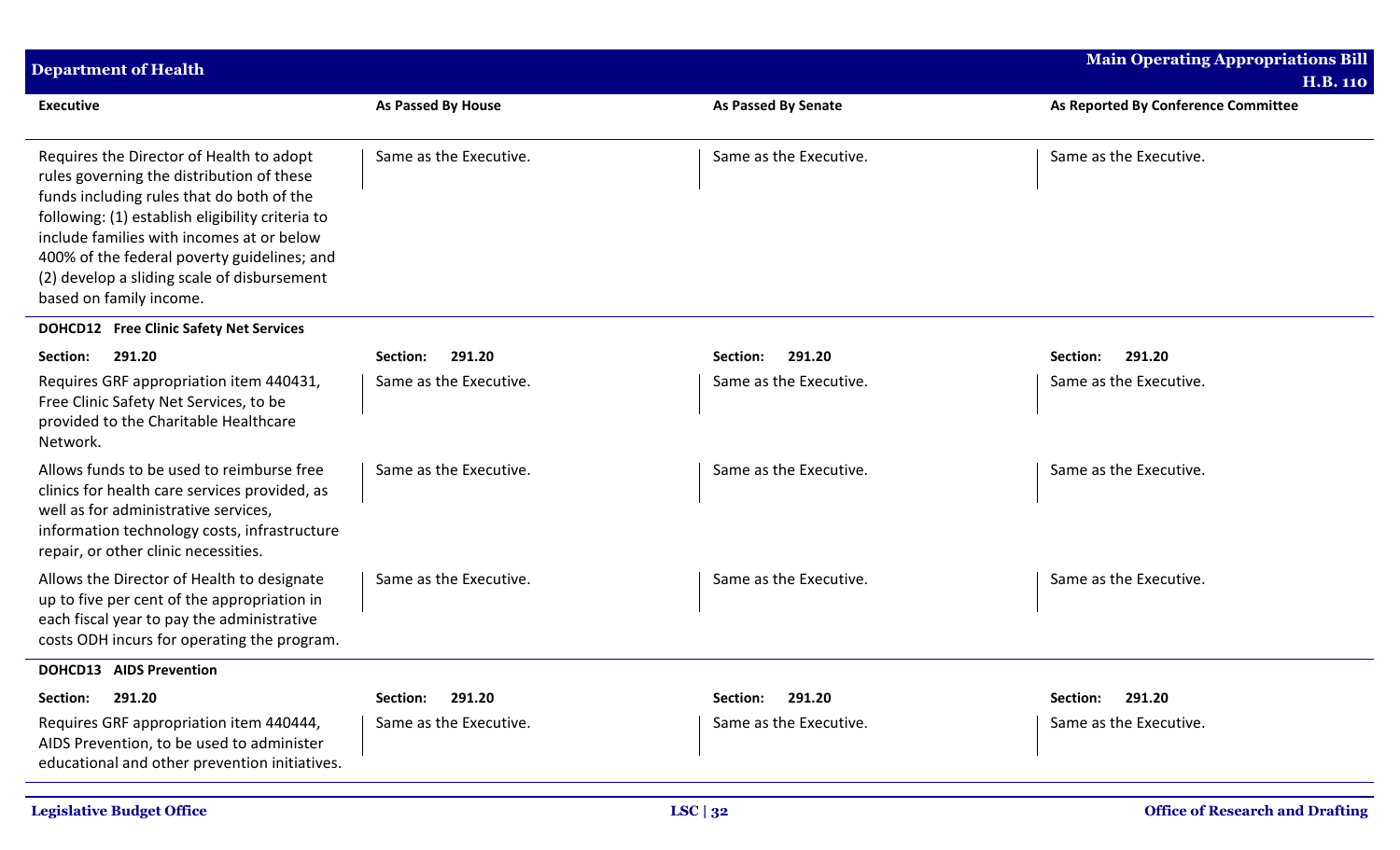| <b>Department of Health</b>                                                                                                                                                                                                                                                                                                                                  |                           |                            | <b>Main Operating Appropriations Bill</b><br><b>H.B. 110</b> |
|--------------------------------------------------------------------------------------------------------------------------------------------------------------------------------------------------------------------------------------------------------------------------------------------------------------------------------------------------------------|---------------------------|----------------------------|--------------------------------------------------------------|
| <b>Executive</b>                                                                                                                                                                                                                                                                                                                                             | As Passed By House        | <b>As Passed By Senate</b> | As Reported By Conference Committee                          |
| Requires the Director of Health to adopt<br>rules governing the distribution of these<br>funds including rules that do both of the<br>following: (1) establish eligibility criteria to<br>include families with incomes at or below<br>400% of the federal poverty guidelines; and<br>(2) develop a sliding scale of disbursement<br>based on family income. | Same as the Executive.    | Same as the Executive.     | Same as the Executive.                                       |
| <b>DOHCD12</b> Free Clinic Safety Net Services                                                                                                                                                                                                                                                                                                               |                           |                            |                                                              |
| 291.20<br>Section:                                                                                                                                                                                                                                                                                                                                           | 291.20<br>Section:        | 291.20<br>Section:         | 291.20<br>Section:                                           |
| Requires GRF appropriation item 440431,<br>Free Clinic Safety Net Services, to be<br>provided to the Charitable Healthcare<br>Network.                                                                                                                                                                                                                       | Same as the Executive.    | Same as the Executive.     | Same as the Executive.                                       |
| Allows funds to be used to reimburse free<br>clinics for health care services provided, as<br>well as for administrative services,<br>information technology costs, infrastructure<br>repair, or other clinic necessities.                                                                                                                                   | Same as the Executive.    | Same as the Executive.     | Same as the Executive.                                       |
| Allows the Director of Health to designate<br>up to five per cent of the appropriation in<br>each fiscal year to pay the administrative<br>costs ODH incurs for operating the program.                                                                                                                                                                       | Same as the Executive.    | Same as the Executive.     | Same as the Executive.                                       |
| <b>DOHCD13 AIDS Prevention</b>                                                                                                                                                                                                                                                                                                                               |                           |                            |                                                              |
| 291.20<br>Section:                                                                                                                                                                                                                                                                                                                                           | 291.20<br><b>Section:</b> | 291.20<br>Section:         | 291.20<br>Section:                                           |
| Requires GRF appropriation item 440444,<br>AIDS Prevention, to be used to administer<br>educational and other prevention initiatives.                                                                                                                                                                                                                        | Same as the Executive.    | Same as the Executive.     | Same as the Executive.                                       |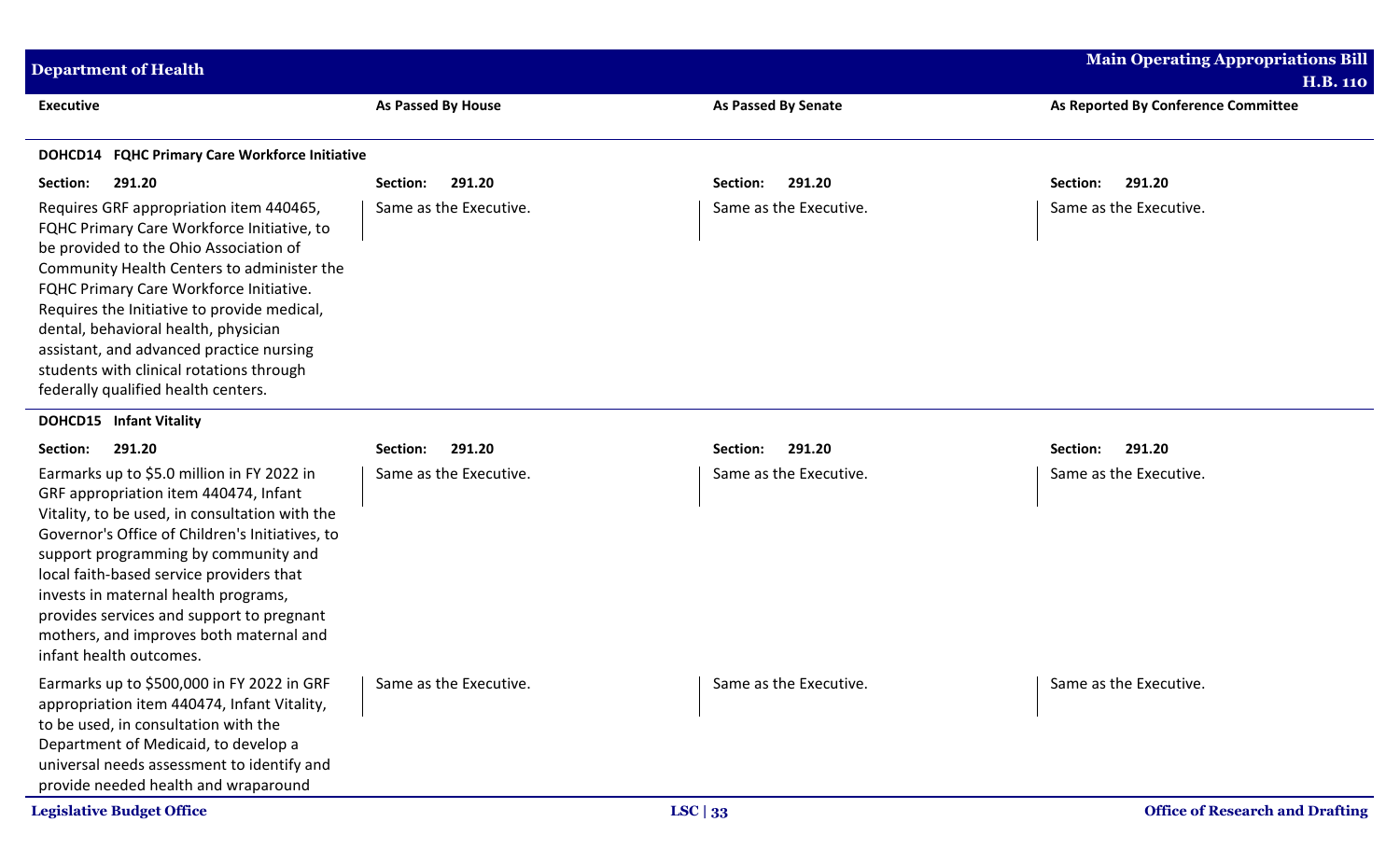| <b>Department of Health</b>                                                                                                                                                                                                                                                                                                                                                                                                                    |                           |                            | <b>Main Operating Appropriations Bill</b>              |
|------------------------------------------------------------------------------------------------------------------------------------------------------------------------------------------------------------------------------------------------------------------------------------------------------------------------------------------------------------------------------------------------------------------------------------------------|---------------------------|----------------------------|--------------------------------------------------------|
| <b>Executive</b>                                                                                                                                                                                                                                                                                                                                                                                                                               | <b>As Passed By House</b> | <b>As Passed By Senate</b> | <b>H.B. 110</b><br>As Reported By Conference Committee |
|                                                                                                                                                                                                                                                                                                                                                                                                                                                |                           |                            |                                                        |
| DOHCD14 FQHC Primary Care Workforce Initiative                                                                                                                                                                                                                                                                                                                                                                                                 |                           |                            |                                                        |
| 291.20<br>Section:                                                                                                                                                                                                                                                                                                                                                                                                                             | 291.20<br>Section:        | 291.20<br>Section:         | Section:<br>291.20                                     |
| Requires GRF appropriation item 440465,<br>FQHC Primary Care Workforce Initiative, to<br>be provided to the Ohio Association of<br>Community Health Centers to administer the<br>FQHC Primary Care Workforce Initiative.<br>Requires the Initiative to provide medical,<br>dental, behavioral health, physician<br>assistant, and advanced practice nursing<br>students with clinical rotations through<br>federally qualified health centers. | Same as the Executive.    | Same as the Executive.     | Same as the Executive.                                 |
| <b>DOHCD15</b> Infant Vitality                                                                                                                                                                                                                                                                                                                                                                                                                 |                           |                            |                                                        |
| 291.20<br>Section:                                                                                                                                                                                                                                                                                                                                                                                                                             | 291.20<br>Section:        | 291.20<br>Section:         | 291.20<br>Section:                                     |
| Earmarks up to \$5.0 million in FY 2022 in<br>GRF appropriation item 440474, Infant<br>Vitality, to be used, in consultation with the<br>Governor's Office of Children's Initiatives, to<br>support programming by community and<br>local faith-based service providers that<br>invests in maternal health programs,<br>provides services and support to pregnant<br>mothers, and improves both maternal and<br>infant health outcomes.        | Same as the Executive.    | Same as the Executive.     | Same as the Executive.                                 |
| Earmarks up to \$500,000 in FY 2022 in GRF<br>appropriation item 440474, Infant Vitality,<br>to be used, in consultation with the<br>Department of Medicaid, to develop a<br>universal needs assessment to identify and<br>provide needed health and wraparound                                                                                                                                                                                | Same as the Executive.    | Same as the Executive.     | Same as the Executive.                                 |
| <b>Legislative Budget Office</b>                                                                                                                                                                                                                                                                                                                                                                                                               |                           | LSC $ 33$                  | <b>Office of Research and Drafting</b>                 |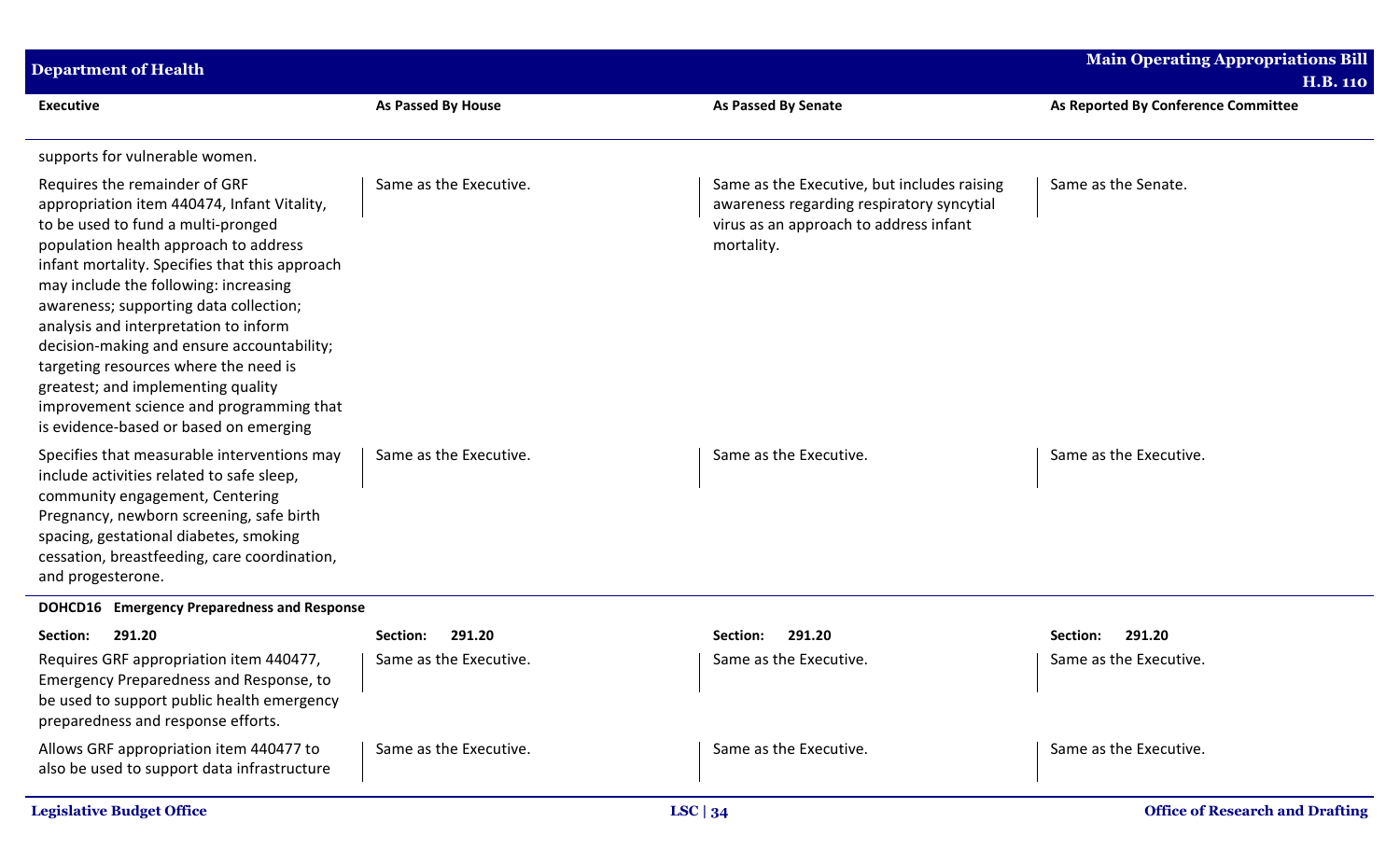| <b>Department of Health</b>                                                                                                                                                                                                                                                                                                                                                                                                                                                                                                                                  |                        |                                                                                                                                                  | <b>Main Operating Appropriations Bill</b><br><b>H.B. 110</b> |
|--------------------------------------------------------------------------------------------------------------------------------------------------------------------------------------------------------------------------------------------------------------------------------------------------------------------------------------------------------------------------------------------------------------------------------------------------------------------------------------------------------------------------------------------------------------|------------------------|--------------------------------------------------------------------------------------------------------------------------------------------------|--------------------------------------------------------------|
| <b>Executive</b>                                                                                                                                                                                                                                                                                                                                                                                                                                                                                                                                             | As Passed By House     | <b>As Passed By Senate</b>                                                                                                                       | As Reported By Conference Committee                          |
| supports for vulnerable women.                                                                                                                                                                                                                                                                                                                                                                                                                                                                                                                               |                        |                                                                                                                                                  |                                                              |
| Requires the remainder of GRF<br>appropriation item 440474, Infant Vitality,<br>to be used to fund a multi-pronged<br>population health approach to address<br>infant mortality. Specifies that this approach<br>may include the following: increasing<br>awareness; supporting data collection;<br>analysis and interpretation to inform<br>decision-making and ensure accountability;<br>targeting resources where the need is<br>greatest; and implementing quality<br>improvement science and programming that<br>is evidence-based or based on emerging | Same as the Executive. | Same as the Executive, but includes raising<br>awareness regarding respiratory syncytial<br>virus as an approach to address infant<br>mortality. | Same as the Senate.                                          |
| Specifies that measurable interventions may<br>include activities related to safe sleep,<br>community engagement, Centering<br>Pregnancy, newborn screening, safe birth<br>spacing, gestational diabetes, smoking<br>cessation, breastfeeding, care coordination,<br>and progesterone.                                                                                                                                                                                                                                                                       | Same as the Executive. | Same as the Executive.                                                                                                                           | Same as the Executive.                                       |
| <b>DOHCD16</b> Emergency Preparedness and Response                                                                                                                                                                                                                                                                                                                                                                                                                                                                                                           |                        |                                                                                                                                                  |                                                              |
| 291.20<br>Section:                                                                                                                                                                                                                                                                                                                                                                                                                                                                                                                                           | 291.20<br>Section:     | 291.20<br>Section:                                                                                                                               | 291.20<br>Section:                                           |
| Requires GRF appropriation item 440477,<br>Emergency Preparedness and Response, to<br>be used to support public health emergency<br>preparedness and response efforts.                                                                                                                                                                                                                                                                                                                                                                                       | Same as the Executive. | Same as the Executive.                                                                                                                           | Same as the Executive.                                       |
| Allows GRF appropriation item 440477 to<br>also be used to support data infrastructure                                                                                                                                                                                                                                                                                                                                                                                                                                                                       | Same as the Executive. | Same as the Executive.                                                                                                                           | Same as the Executive.                                       |
| <b>Legislative Budget Office</b>                                                                                                                                                                                                                                                                                                                                                                                                                                                                                                                             |                        | LSC $ 34$                                                                                                                                        | <b>Office of Research and Drafting</b>                       |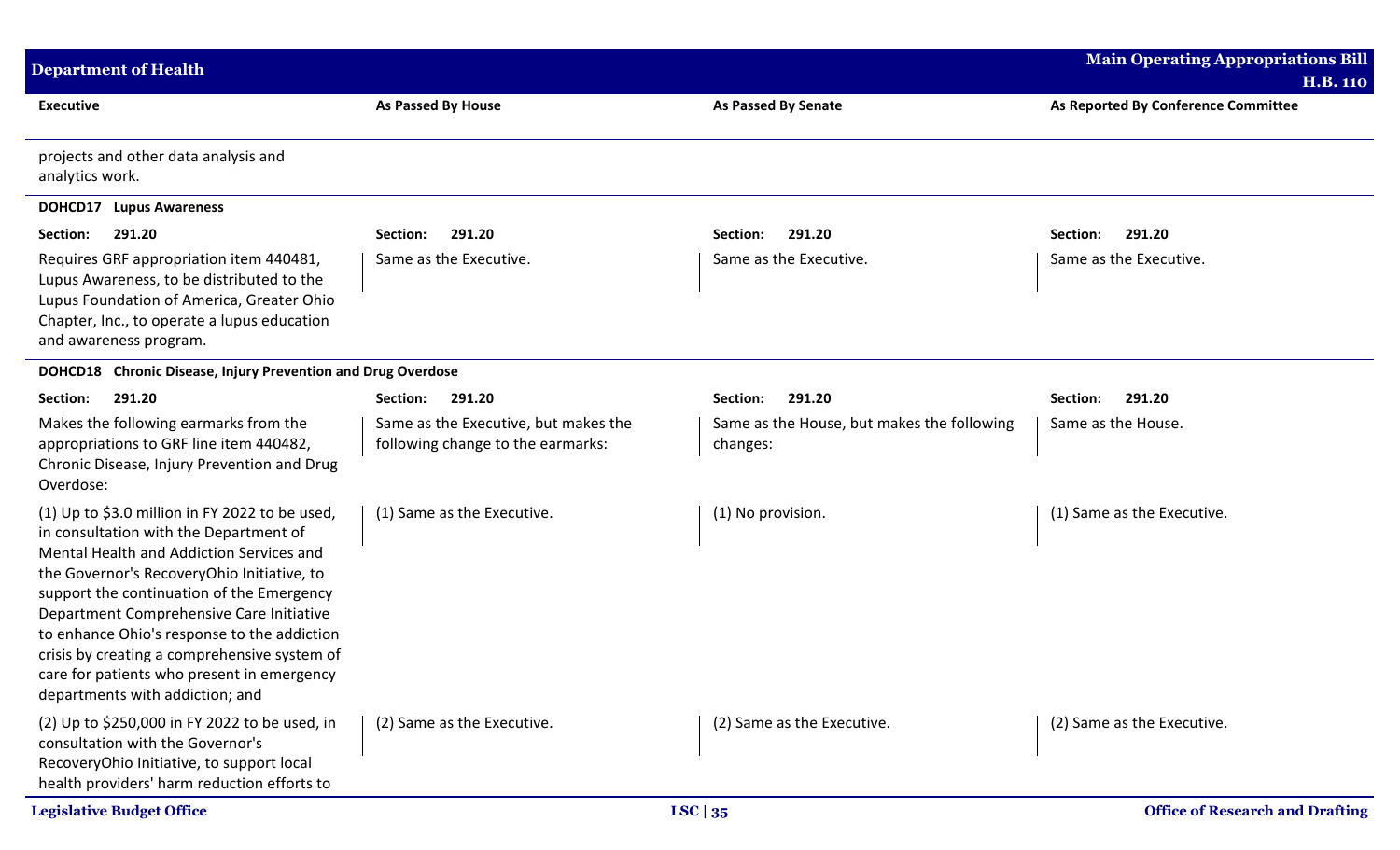| <b>Department of Health</b>                                                                                                                                                                                                                                                                                                                                                                                                                                 |                                                                           |                                                        | <b>Main Operating Appropriations Bill</b> |
|-------------------------------------------------------------------------------------------------------------------------------------------------------------------------------------------------------------------------------------------------------------------------------------------------------------------------------------------------------------------------------------------------------------------------------------------------------------|---------------------------------------------------------------------------|--------------------------------------------------------|-------------------------------------------|
|                                                                                                                                                                                                                                                                                                                                                                                                                                                             |                                                                           |                                                        | <b>H.B. 110</b>                           |
| <b>Executive</b>                                                                                                                                                                                                                                                                                                                                                                                                                                            | As Passed By House                                                        | <b>As Passed By Senate</b>                             | As Reported By Conference Committee       |
| projects and other data analysis and<br>analytics work.                                                                                                                                                                                                                                                                                                                                                                                                     |                                                                           |                                                        |                                           |
| <b>DOHCD17</b> Lupus Awareness                                                                                                                                                                                                                                                                                                                                                                                                                              |                                                                           |                                                        |                                           |
| 291.20<br>Section:                                                                                                                                                                                                                                                                                                                                                                                                                                          | 291.20<br>Section:                                                        | 291.20<br>Section:                                     | 291.20<br>Section:                        |
| Requires GRF appropriation item 440481,<br>Lupus Awareness, to be distributed to the<br>Lupus Foundation of America, Greater Ohio<br>Chapter, Inc., to operate a lupus education<br>and awareness program.                                                                                                                                                                                                                                                  | Same as the Executive.                                                    | Same as the Executive.                                 | Same as the Executive.                    |
| DOHCD18 Chronic Disease, Injury Prevention and Drug Overdose                                                                                                                                                                                                                                                                                                                                                                                                |                                                                           |                                                        |                                           |
| 291.20<br>Section:                                                                                                                                                                                                                                                                                                                                                                                                                                          | 291.20<br>Section:                                                        | 291.20<br>Section:                                     | 291.20<br>Section:                        |
| Makes the following earmarks from the<br>appropriations to GRF line item 440482,<br>Chronic Disease, Injury Prevention and Drug<br>Overdose:                                                                                                                                                                                                                                                                                                                | Same as the Executive, but makes the<br>following change to the earmarks: | Same as the House, but makes the following<br>changes: | Same as the House.                        |
| (1) Up to \$3.0 million in FY 2022 to be used,<br>in consultation with the Department of<br>Mental Health and Addiction Services and<br>the Governor's RecoveryOhio Initiative, to<br>support the continuation of the Emergency<br>Department Comprehensive Care Initiative<br>to enhance Ohio's response to the addiction<br>crisis by creating a comprehensive system of<br>care for patients who present in emergency<br>departments with addiction; and | (1) Same as the Executive.                                                | (1) No provision.                                      | (1) Same as the Executive.                |
| (2) Up to \$250,000 in FY 2022 to be used, in<br>consultation with the Governor's<br>RecoveryOhio Initiative, to support local<br>health providers' harm reduction efforts to                                                                                                                                                                                                                                                                               | (2) Same as the Executive.                                                | (2) Same as the Executive.                             | (2) Same as the Executive.                |
| <b>Legislative Budget Office</b>                                                                                                                                                                                                                                                                                                                                                                                                                            |                                                                           | LSC $ 35$                                              | <b>Office of Research and Drafting</b>    |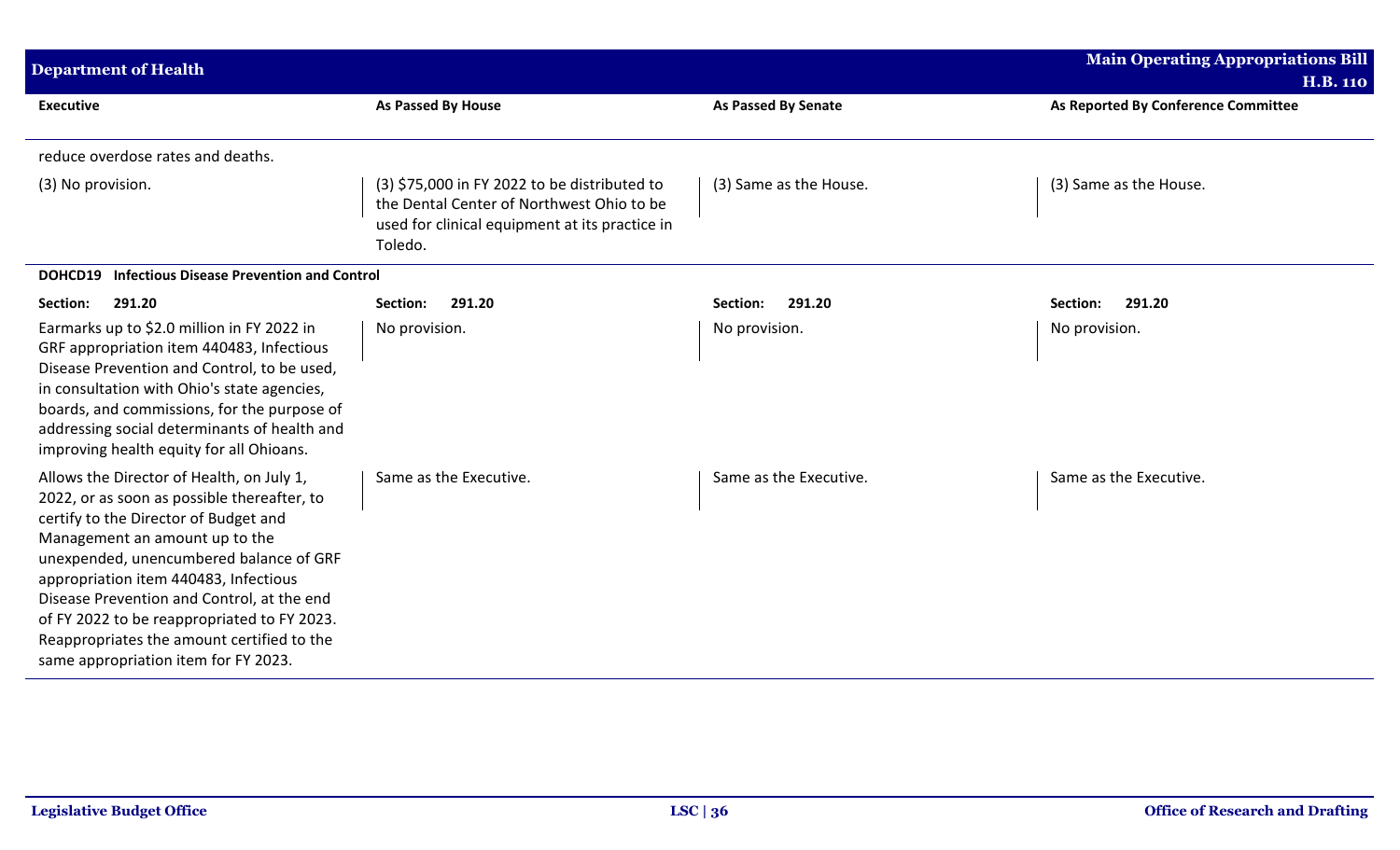| <b>Department of Health</b>                                                                                                                                                                                                                                                                                                                                                                                                                |                                                                                                                                                        |                            | <b>Main Operating Appropriations Bill</b><br><b>H.B. 110</b> |
|--------------------------------------------------------------------------------------------------------------------------------------------------------------------------------------------------------------------------------------------------------------------------------------------------------------------------------------------------------------------------------------------------------------------------------------------|--------------------------------------------------------------------------------------------------------------------------------------------------------|----------------------------|--------------------------------------------------------------|
| <b>Executive</b>                                                                                                                                                                                                                                                                                                                                                                                                                           | As Passed By House                                                                                                                                     | <b>As Passed By Senate</b> | As Reported By Conference Committee                          |
| reduce overdose rates and deaths.                                                                                                                                                                                                                                                                                                                                                                                                          |                                                                                                                                                        |                            |                                                              |
| (3) No provision.                                                                                                                                                                                                                                                                                                                                                                                                                          | (3) \$75,000 in FY 2022 to be distributed to<br>the Dental Center of Northwest Ohio to be<br>used for clinical equipment at its practice in<br>Toledo. | (3) Same as the House.     | (3) Same as the House.                                       |
| <b>Infectious Disease Prevention and Control</b><br>DOHCD19                                                                                                                                                                                                                                                                                                                                                                                |                                                                                                                                                        |                            |                                                              |
| 291.20<br>Section:                                                                                                                                                                                                                                                                                                                                                                                                                         | Section:<br>291.20                                                                                                                                     | 291.20<br>Section:         | Section:<br>291.20                                           |
| Earmarks up to \$2.0 million in FY 2022 in<br>GRF appropriation item 440483, Infectious<br>Disease Prevention and Control, to be used,<br>in consultation with Ohio's state agencies,<br>boards, and commissions, for the purpose of<br>addressing social determinants of health and<br>improving health equity for all Ohioans.                                                                                                           | No provision.                                                                                                                                          | No provision.              | No provision.                                                |
| Allows the Director of Health, on July 1,<br>2022, or as soon as possible thereafter, to<br>certify to the Director of Budget and<br>Management an amount up to the<br>unexpended, unencumbered balance of GRF<br>appropriation item 440483, Infectious<br>Disease Prevention and Control, at the end<br>of FY 2022 to be reappropriated to FY 2023.<br>Reappropriates the amount certified to the<br>same appropriation item for FY 2023. | Same as the Executive.                                                                                                                                 | Same as the Executive.     | Same as the Executive.                                       |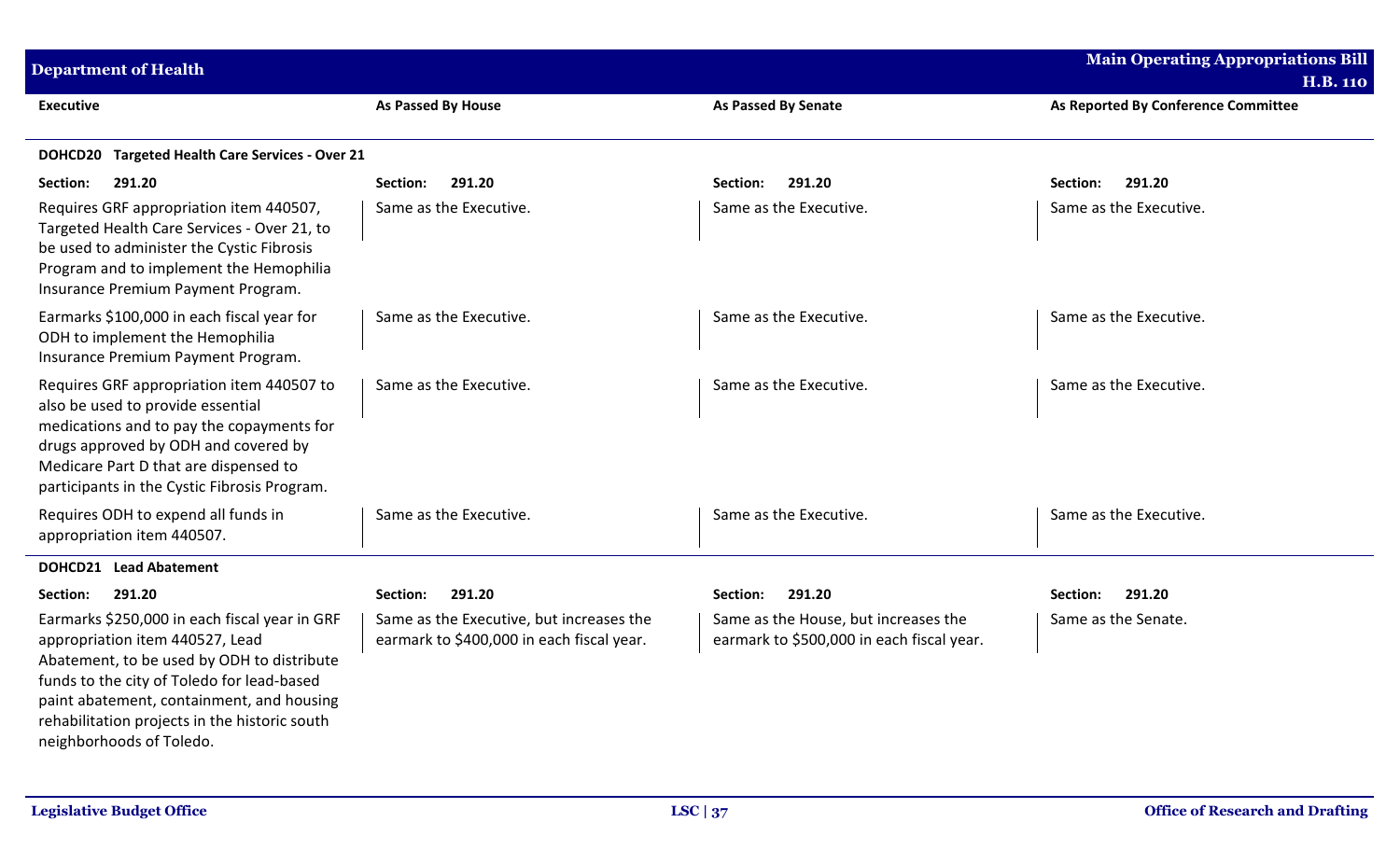| <b>Department of Health</b>                                                                                                                                                                                                                                                                            |                                                                                       |                                                                                   | <b>Main Operating Appropriations Bill</b><br><b>H.B. 110</b> |  |
|--------------------------------------------------------------------------------------------------------------------------------------------------------------------------------------------------------------------------------------------------------------------------------------------------------|---------------------------------------------------------------------------------------|-----------------------------------------------------------------------------------|--------------------------------------------------------------|--|
| <b>Executive</b>                                                                                                                                                                                                                                                                                       | <b>As Passed By House</b>                                                             | <b>As Passed By Senate</b>                                                        | As Reported By Conference Committee                          |  |
| DOHCD20 Targeted Health Care Services - Over 21                                                                                                                                                                                                                                                        |                                                                                       |                                                                                   |                                                              |  |
| 291.20<br>Section:                                                                                                                                                                                                                                                                                     | 291.20<br>Section:                                                                    | 291.20<br>Section:                                                                | 291.20<br>Section:                                           |  |
| Requires GRF appropriation item 440507,<br>Targeted Health Care Services - Over 21, to<br>be used to administer the Cystic Fibrosis<br>Program and to implement the Hemophilia<br>Insurance Premium Payment Program.                                                                                   | Same as the Executive.                                                                | Same as the Executive.                                                            | Same as the Executive.                                       |  |
| Earmarks \$100,000 in each fiscal year for<br>ODH to implement the Hemophilia<br>Insurance Premium Payment Program.                                                                                                                                                                                    | Same as the Executive.                                                                | Same as the Executive.                                                            | Same as the Executive.                                       |  |
| Requires GRF appropriation item 440507 to<br>also be used to provide essential<br>medications and to pay the copayments for<br>drugs approved by ODH and covered by<br>Medicare Part D that are dispensed to<br>participants in the Cystic Fibrosis Program.                                           | Same as the Executive.                                                                | Same as the Executive.                                                            | Same as the Executive.                                       |  |
| Requires ODH to expend all funds in<br>appropriation item 440507.                                                                                                                                                                                                                                      | Same as the Executive.                                                                | Same as the Executive.                                                            | Same as the Executive.                                       |  |
| <b>DOHCD21</b> Lead Abatement                                                                                                                                                                                                                                                                          |                                                                                       |                                                                                   |                                                              |  |
| 291.20<br>Section:                                                                                                                                                                                                                                                                                     | 291.20<br>Section:                                                                    | 291.20<br>Section:                                                                | 291.20<br>Section:                                           |  |
| Earmarks \$250,000 in each fiscal year in GRF<br>appropriation item 440527, Lead<br>Abatement, to be used by ODH to distribute<br>funds to the city of Toledo for lead-based<br>paint abatement, containment, and housing<br>rehabilitation projects in the historic south<br>neighborhoods of Toledo. | Same as the Executive, but increases the<br>earmark to \$400,000 in each fiscal year. | Same as the House, but increases the<br>earmark to \$500,000 in each fiscal year. | Same as the Senate.                                          |  |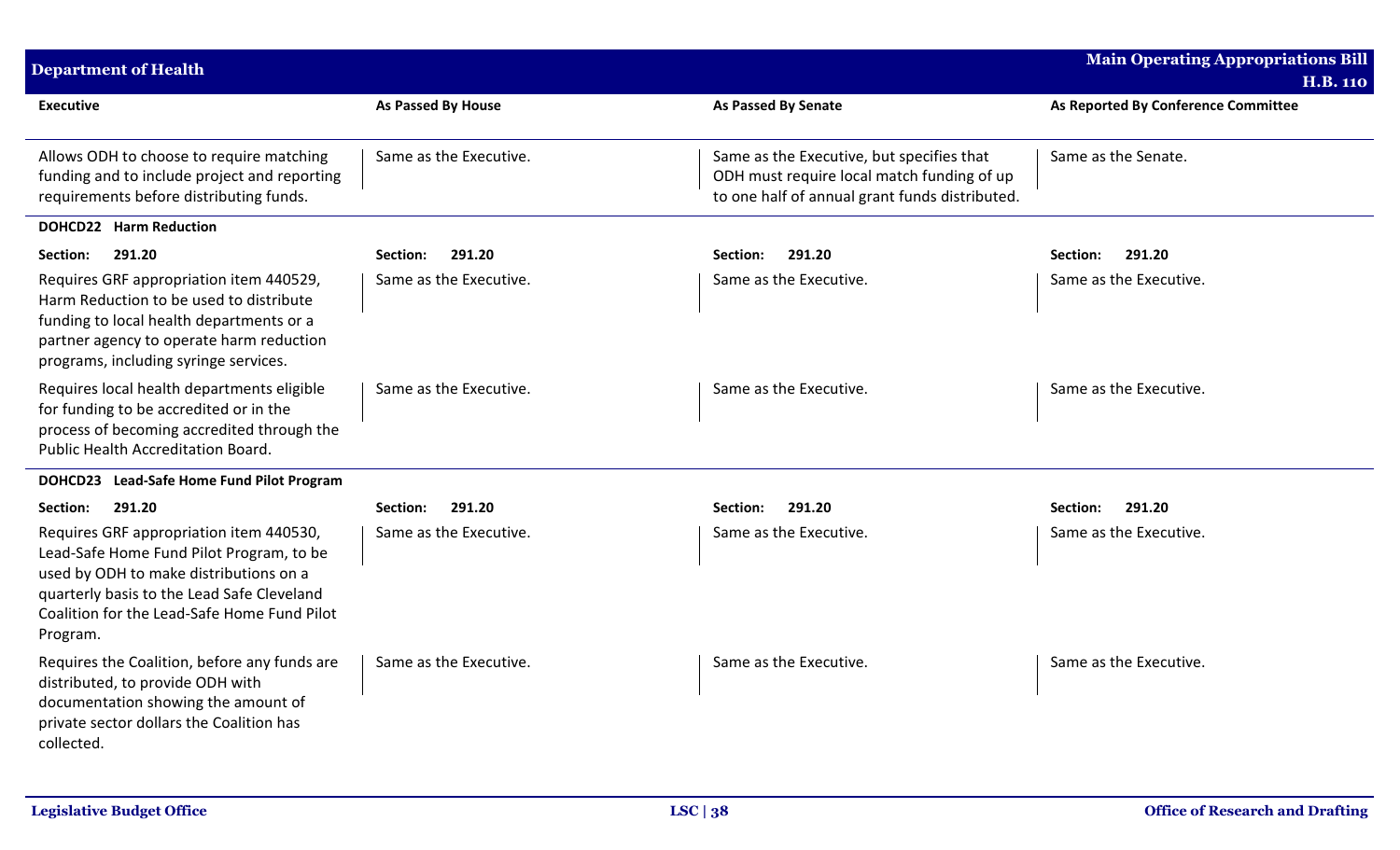| <b>Department of Health</b>                                                                                                                                                                                                            |                        |                                                                                                                                           | <b>Main Operating Appropriations Bill</b> |
|----------------------------------------------------------------------------------------------------------------------------------------------------------------------------------------------------------------------------------------|------------------------|-------------------------------------------------------------------------------------------------------------------------------------------|-------------------------------------------|
|                                                                                                                                                                                                                                        |                        |                                                                                                                                           | <b>H.B. 110</b>                           |
| <b>Executive</b>                                                                                                                                                                                                                       | As Passed By House     | <b>As Passed By Senate</b>                                                                                                                | As Reported By Conference Committee       |
| Allows ODH to choose to require matching<br>funding and to include project and reporting<br>requirements before distributing funds.                                                                                                    | Same as the Executive. | Same as the Executive, but specifies that<br>ODH must require local match funding of up<br>to one half of annual grant funds distributed. | Same as the Senate.                       |
| <b>DOHCD22 Harm Reduction</b>                                                                                                                                                                                                          |                        |                                                                                                                                           |                                           |
| 291.20<br>Section:                                                                                                                                                                                                                     | 291.20<br>Section:     | 291.20<br><b>Section:</b>                                                                                                                 | 291.20<br>Section:                        |
| Requires GRF appropriation item 440529,<br>Harm Reduction to be used to distribute<br>funding to local health departments or a<br>partner agency to operate harm reduction<br>programs, including syringe services.                    | Same as the Executive. | Same as the Executive.                                                                                                                    | Same as the Executive.                    |
| Requires local health departments eligible<br>for funding to be accredited or in the<br>process of becoming accredited through the<br>Public Health Accreditation Board.                                                               | Same as the Executive. | Same as the Executive.                                                                                                                    | Same as the Executive.                    |
| DOHCD23 Lead-Safe Home Fund Pilot Program                                                                                                                                                                                              |                        |                                                                                                                                           |                                           |
| 291.20<br>Section:                                                                                                                                                                                                                     | 291.20<br>Section:     | 291.20<br>Section:                                                                                                                        | 291.20<br>Section:                        |
| Requires GRF appropriation item 440530,<br>Lead-Safe Home Fund Pilot Program, to be<br>used by ODH to make distributions on a<br>quarterly basis to the Lead Safe Cleveland<br>Coalition for the Lead-Safe Home Fund Pilot<br>Program. | Same as the Executive. | Same as the Executive.                                                                                                                    | Same as the Executive.                    |
| Requires the Coalition, before any funds are<br>distributed, to provide ODH with<br>documentation showing the amount of<br>private sector dollars the Coalition has<br>collected.                                                      | Same as the Executive. | Same as the Executive.                                                                                                                    | Same as the Executive.                    |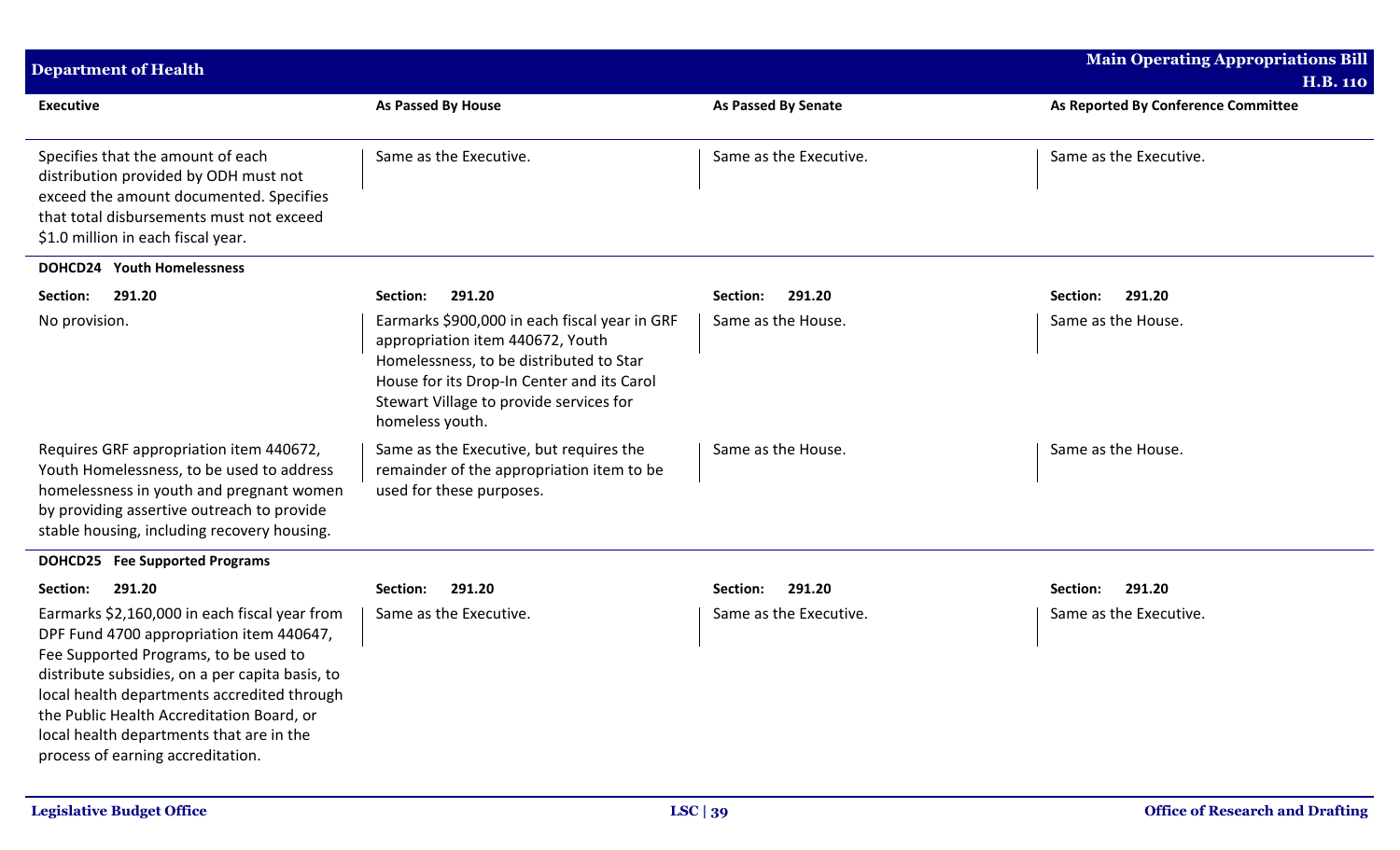| <b>Department of Health</b>                                                                                                                                                                                                                                                                                                                                        |                                                                                                                                                                                                                                          |                            | <b>Main Operating Appropriations Bill</b> |
|--------------------------------------------------------------------------------------------------------------------------------------------------------------------------------------------------------------------------------------------------------------------------------------------------------------------------------------------------------------------|------------------------------------------------------------------------------------------------------------------------------------------------------------------------------------------------------------------------------------------|----------------------------|-------------------------------------------|
|                                                                                                                                                                                                                                                                                                                                                                    |                                                                                                                                                                                                                                          |                            | <b>H.B. 110</b>                           |
| <b>Executive</b>                                                                                                                                                                                                                                                                                                                                                   | As Passed By House                                                                                                                                                                                                                       | <b>As Passed By Senate</b> | As Reported By Conference Committee       |
| Specifies that the amount of each<br>distribution provided by ODH must not<br>exceed the amount documented. Specifies<br>that total disbursements must not exceed<br>\$1.0 million in each fiscal year.                                                                                                                                                            | Same as the Executive.                                                                                                                                                                                                                   | Same as the Executive.     | Same as the Executive.                    |
| <b>DOHCD24 Youth Homelessness</b>                                                                                                                                                                                                                                                                                                                                  |                                                                                                                                                                                                                                          |                            |                                           |
| Section:<br>291.20                                                                                                                                                                                                                                                                                                                                                 | 291.20<br>Section:                                                                                                                                                                                                                       | 291.20<br>Section:         | 291.20<br>Section:                        |
| No provision.                                                                                                                                                                                                                                                                                                                                                      | Earmarks \$900,000 in each fiscal year in GRF<br>appropriation item 440672, Youth<br>Homelessness, to be distributed to Star<br>House for its Drop-In Center and its Carol<br>Stewart Village to provide services for<br>homeless youth. | Same as the House.         | Same as the House.                        |
| Requires GRF appropriation item 440672,<br>Youth Homelessness, to be used to address<br>homelessness in youth and pregnant women<br>by providing assertive outreach to provide<br>stable housing, including recovery housing.                                                                                                                                      | Same as the Executive, but requires the<br>remainder of the appropriation item to be<br>used for these purposes.                                                                                                                         | Same as the House.         | Same as the House.                        |
| <b>DOHCD25</b> Fee Supported Programs                                                                                                                                                                                                                                                                                                                              |                                                                                                                                                                                                                                          |                            |                                           |
| 291.20<br>Section:                                                                                                                                                                                                                                                                                                                                                 | 291.20<br>Section:                                                                                                                                                                                                                       | 291.20<br>Section:         | Section:<br>291.20                        |
| Earmarks \$2,160,000 in each fiscal year from<br>DPF Fund 4700 appropriation item 440647,<br>Fee Supported Programs, to be used to<br>distribute subsidies, on a per capita basis, to<br>local health departments accredited through<br>the Public Health Accreditation Board, or<br>local health departments that are in the<br>process of earning accreditation. | Same as the Executive.                                                                                                                                                                                                                   | Same as the Executive.     | Same as the Executive.                    |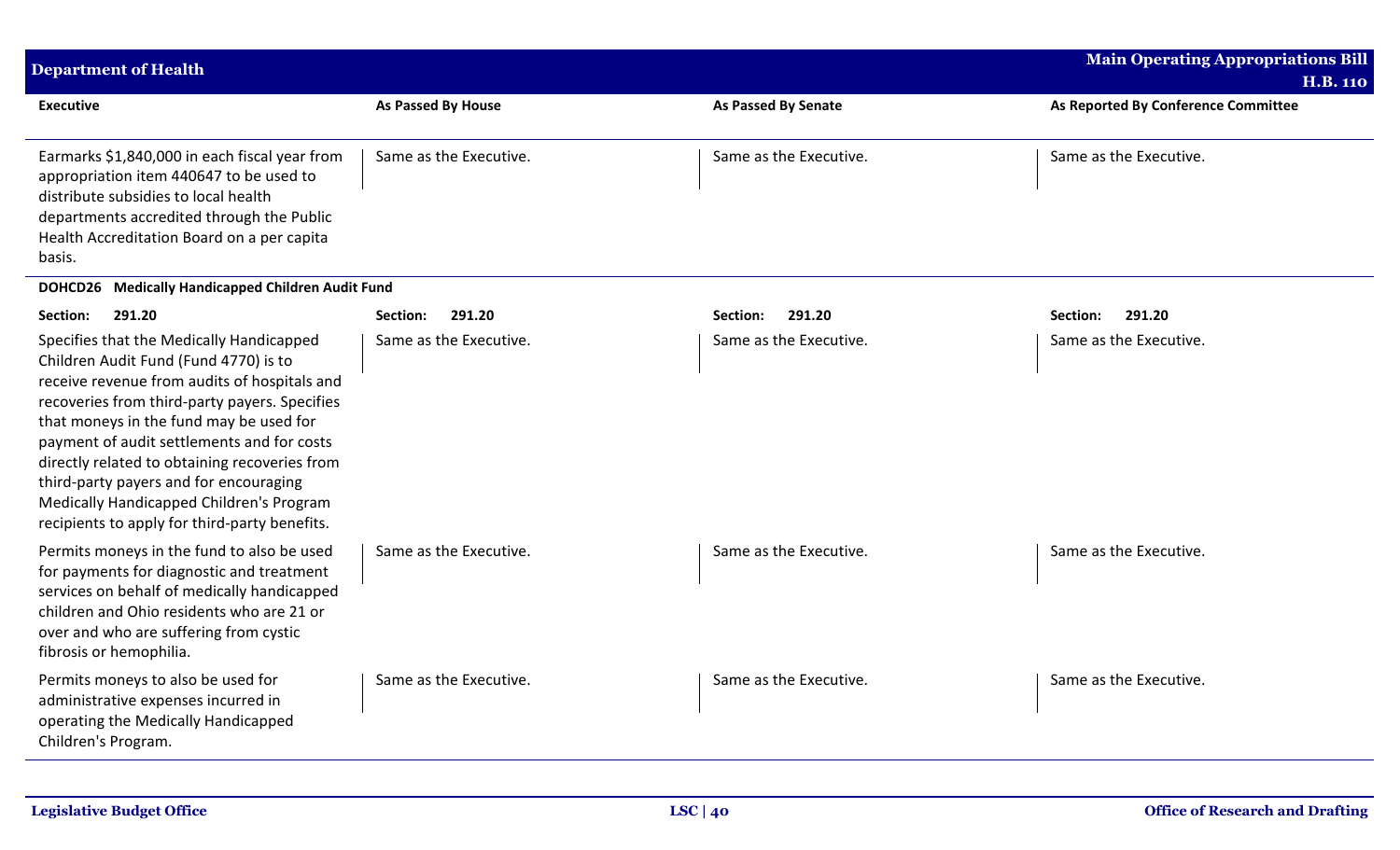| <b>Department of Health</b>                                                                                                                                                                                                                                                                                                                                                                                                                                         |                        |                            | <b>Main Operating Appropriations Bill</b><br><b>H.B. 110</b> |
|---------------------------------------------------------------------------------------------------------------------------------------------------------------------------------------------------------------------------------------------------------------------------------------------------------------------------------------------------------------------------------------------------------------------------------------------------------------------|------------------------|----------------------------|--------------------------------------------------------------|
| <b>Executive</b>                                                                                                                                                                                                                                                                                                                                                                                                                                                    | As Passed By House     | <b>As Passed By Senate</b> | As Reported By Conference Committee                          |
| Earmarks \$1,840,000 in each fiscal year from<br>appropriation item 440647 to be used to<br>distribute subsidies to local health<br>departments accredited through the Public<br>Health Accreditation Board on a per capita<br>basis.                                                                                                                                                                                                                               | Same as the Executive. | Same as the Executive.     | Same as the Executive.                                       |
| DOHCD26 Medically Handicapped Children Audit Fund                                                                                                                                                                                                                                                                                                                                                                                                                   |                        |                            |                                                              |
| 291.20<br>Section:                                                                                                                                                                                                                                                                                                                                                                                                                                                  | 291.20<br>Section:     | 291.20<br>Section:         | 291.20<br>Section:                                           |
| Specifies that the Medically Handicapped<br>Children Audit Fund (Fund 4770) is to<br>receive revenue from audits of hospitals and<br>recoveries from third-party payers. Specifies<br>that moneys in the fund may be used for<br>payment of audit settlements and for costs<br>directly related to obtaining recoveries from<br>third-party payers and for encouraging<br>Medically Handicapped Children's Program<br>recipients to apply for third-party benefits. | Same as the Executive. | Same as the Executive.     | Same as the Executive.                                       |
| Permits moneys in the fund to also be used<br>for payments for diagnostic and treatment<br>services on behalf of medically handicapped<br>children and Ohio residents who are 21 or<br>over and who are suffering from cystic<br>fibrosis or hemophilia.                                                                                                                                                                                                            | Same as the Executive. | Same as the Executive.     | Same as the Executive.                                       |
| Permits moneys to also be used for<br>administrative expenses incurred in<br>operating the Medically Handicapped<br>Children's Program.                                                                                                                                                                                                                                                                                                                             | Same as the Executive. | Same as the Executive.     | Same as the Executive.                                       |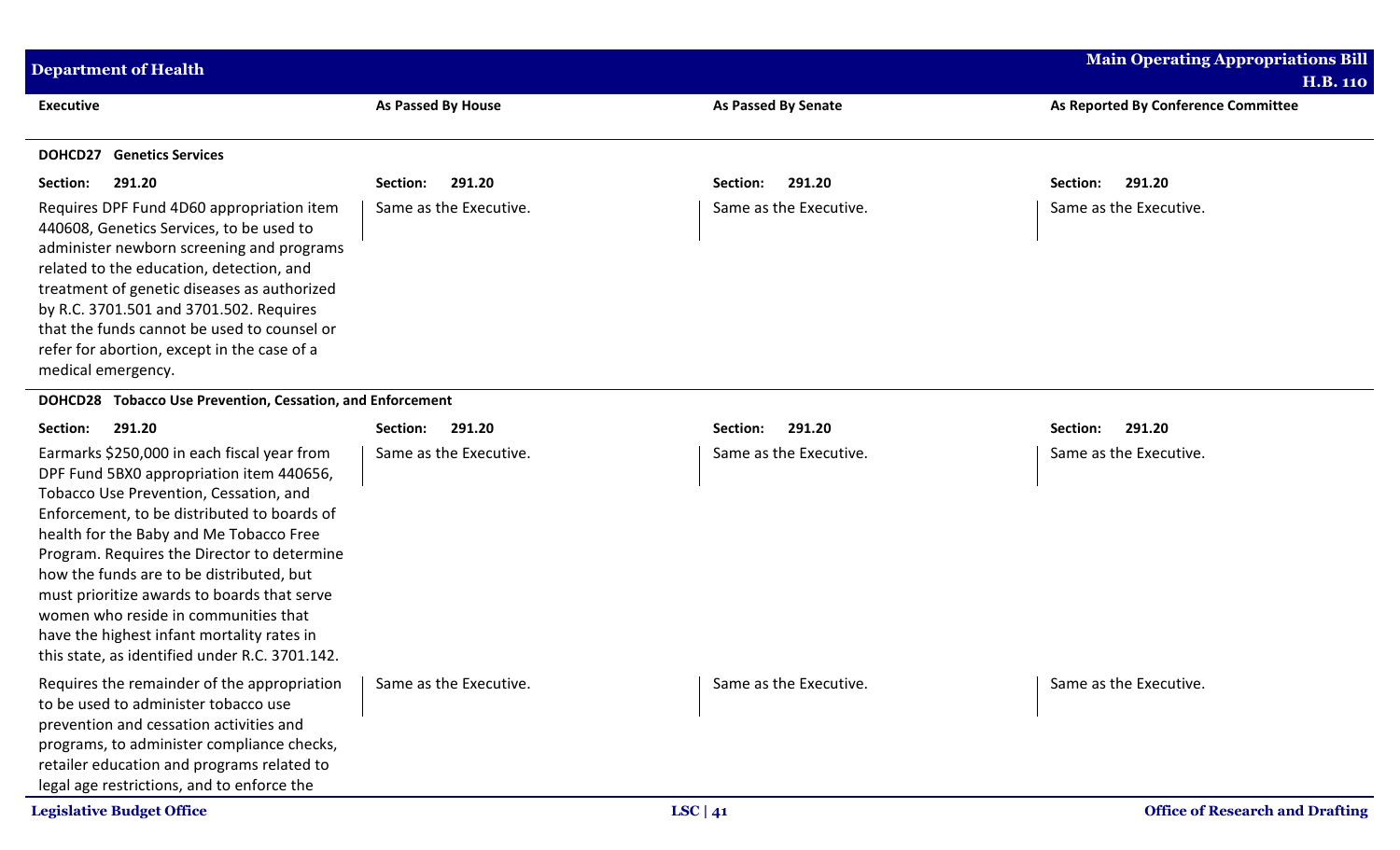| <b>Department of Health</b>                                                                                                                                                                                                                                                                                                                                                                                                                                                                                   |                           |                            | <b>Main Operating Appropriations Bill</b> |
|---------------------------------------------------------------------------------------------------------------------------------------------------------------------------------------------------------------------------------------------------------------------------------------------------------------------------------------------------------------------------------------------------------------------------------------------------------------------------------------------------------------|---------------------------|----------------------------|-------------------------------------------|
|                                                                                                                                                                                                                                                                                                                                                                                                                                                                                                               |                           |                            | <b>H.B. 110</b>                           |
| <b>Executive</b>                                                                                                                                                                                                                                                                                                                                                                                                                                                                                              | <b>As Passed By House</b> | <b>As Passed By Senate</b> | As Reported By Conference Committee       |
| <b>DOHCD27</b> Genetics Services                                                                                                                                                                                                                                                                                                                                                                                                                                                                              |                           |                            |                                           |
| Section:<br>291.20                                                                                                                                                                                                                                                                                                                                                                                                                                                                                            | 291.20<br>Section:        | 291.20<br>Section:         | 291.20<br>Section:                        |
| Requires DPF Fund 4D60 appropriation item<br>440608, Genetics Services, to be used to<br>administer newborn screening and programs<br>related to the education, detection, and<br>treatment of genetic diseases as authorized<br>by R.C. 3701.501 and 3701.502. Requires<br>that the funds cannot be used to counsel or<br>refer for abortion, except in the case of a<br>medical emergency.                                                                                                                  | Same as the Executive.    | Same as the Executive.     | Same as the Executive.                    |
| DOHCD28 Tobacco Use Prevention, Cessation, and Enforcement                                                                                                                                                                                                                                                                                                                                                                                                                                                    |                           |                            |                                           |
| Section:<br>291.20                                                                                                                                                                                                                                                                                                                                                                                                                                                                                            | 291.20<br>Section:        | 291.20<br>Section:         | 291.20<br>Section:                        |
| Earmarks \$250,000 in each fiscal year from<br>DPF Fund 5BX0 appropriation item 440656,<br>Tobacco Use Prevention, Cessation, and<br>Enforcement, to be distributed to boards of<br>health for the Baby and Me Tobacco Free<br>Program. Requires the Director to determine<br>how the funds are to be distributed, but<br>must prioritize awards to boards that serve<br>women who reside in communities that<br>have the highest infant mortality rates in<br>this state, as identified under R.C. 3701.142. | Same as the Executive.    | Same as the Executive.     | Same as the Executive.                    |
| Requires the remainder of the appropriation<br>to be used to administer tobacco use<br>prevention and cessation activities and<br>programs, to administer compliance checks,<br>retailer education and programs related to<br>legal age restrictions, and to enforce the                                                                                                                                                                                                                                      | Same as the Executive.    | Same as the Executive.     | Same as the Executive.                    |
| <b>Legislative Budget Office</b>                                                                                                                                                                                                                                                                                                                                                                                                                                                                              |                           | LSC   $41$                 | <b>Office of Research and Drafting</b>    |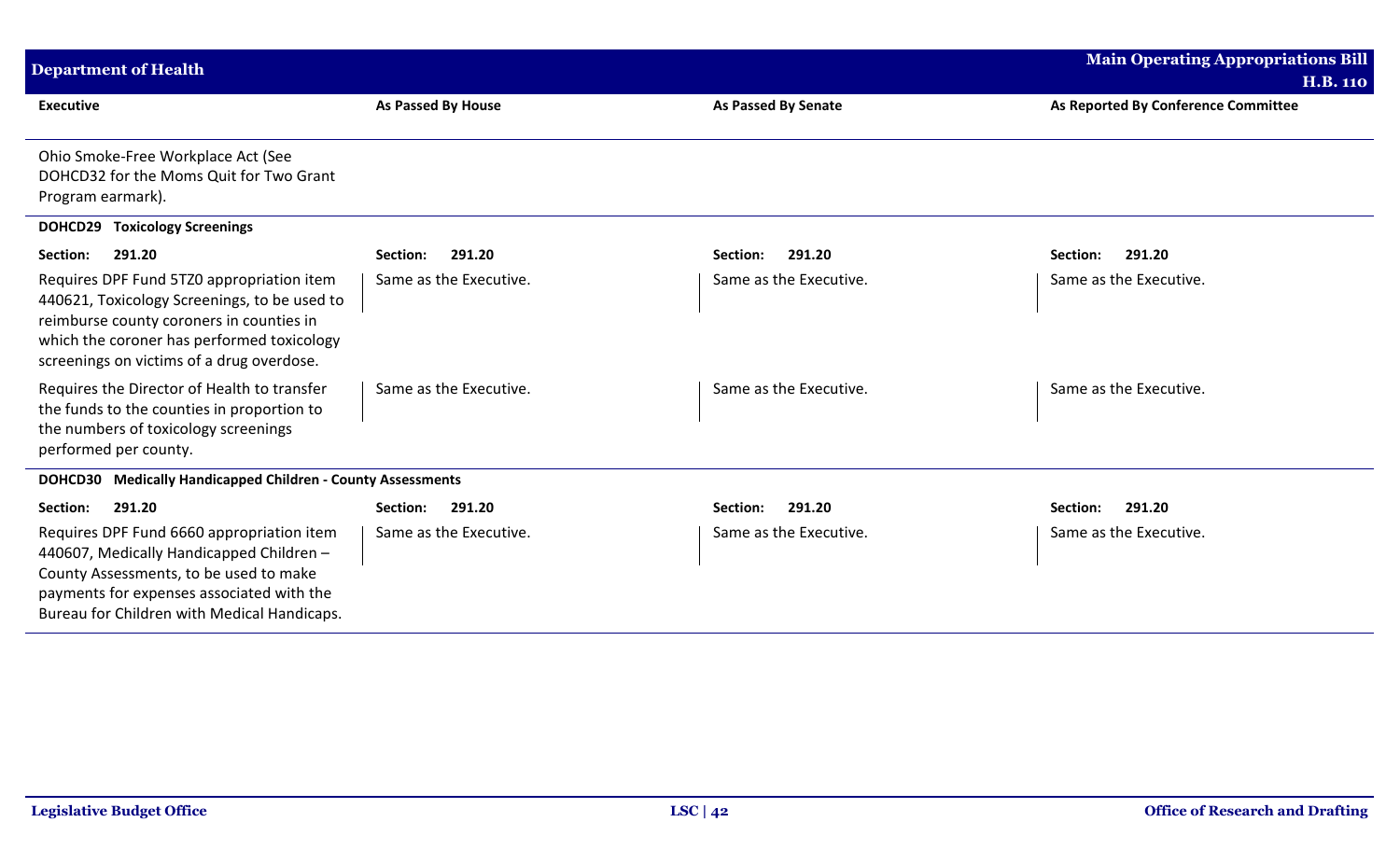| <b>Department of Health</b>                                                                                                                                                                                                      |                           |                            | <b>Main Operating Appropriations Bill</b> |
|----------------------------------------------------------------------------------------------------------------------------------------------------------------------------------------------------------------------------------|---------------------------|----------------------------|-------------------------------------------|
|                                                                                                                                                                                                                                  |                           |                            | <b>H.B. 110</b>                           |
| <b>Executive</b>                                                                                                                                                                                                                 | <b>As Passed By House</b> | <b>As Passed By Senate</b> | As Reported By Conference Committee       |
| Ohio Smoke-Free Workplace Act (See<br>DOHCD32 for the Moms Quit for Two Grant<br>Program earmark).                                                                                                                               |                           |                            |                                           |
| <b>DOHCD29 Toxicology Screenings</b>                                                                                                                                                                                             |                           |                            |                                           |
| 291.20<br>Section:                                                                                                                                                                                                               | 291.20<br>Section:        | 291.20<br>Section:         | Section:<br>291.20                        |
| Requires DPF Fund 5TZ0 appropriation item<br>440621, Toxicology Screenings, to be used to<br>reimburse county coroners in counties in<br>which the coroner has performed toxicology<br>screenings on victims of a drug overdose. | Same as the Executive.    | Same as the Executive.     | Same as the Executive.                    |
| Requires the Director of Health to transfer<br>the funds to the counties in proportion to<br>the numbers of toxicology screenings<br>performed per county.                                                                       | Same as the Executive.    | Same as the Executive.     | Same as the Executive.                    |
| DOHCD30 Medically Handicapped Children - County Assessments                                                                                                                                                                      |                           |                            |                                           |
| 291.20<br>Section:                                                                                                                                                                                                               | 291.20<br>Section:        | 291.20<br>Section:         | 291.20<br>Section:                        |
| Requires DPF Fund 6660 appropriation item<br>440607, Medically Handicapped Children -<br>County Assessments, to be used to make<br>payments for expenses associated with the<br>Bureau for Children with Medical Handicaps.      | Same as the Executive.    | Same as the Executive.     | Same as the Executive.                    |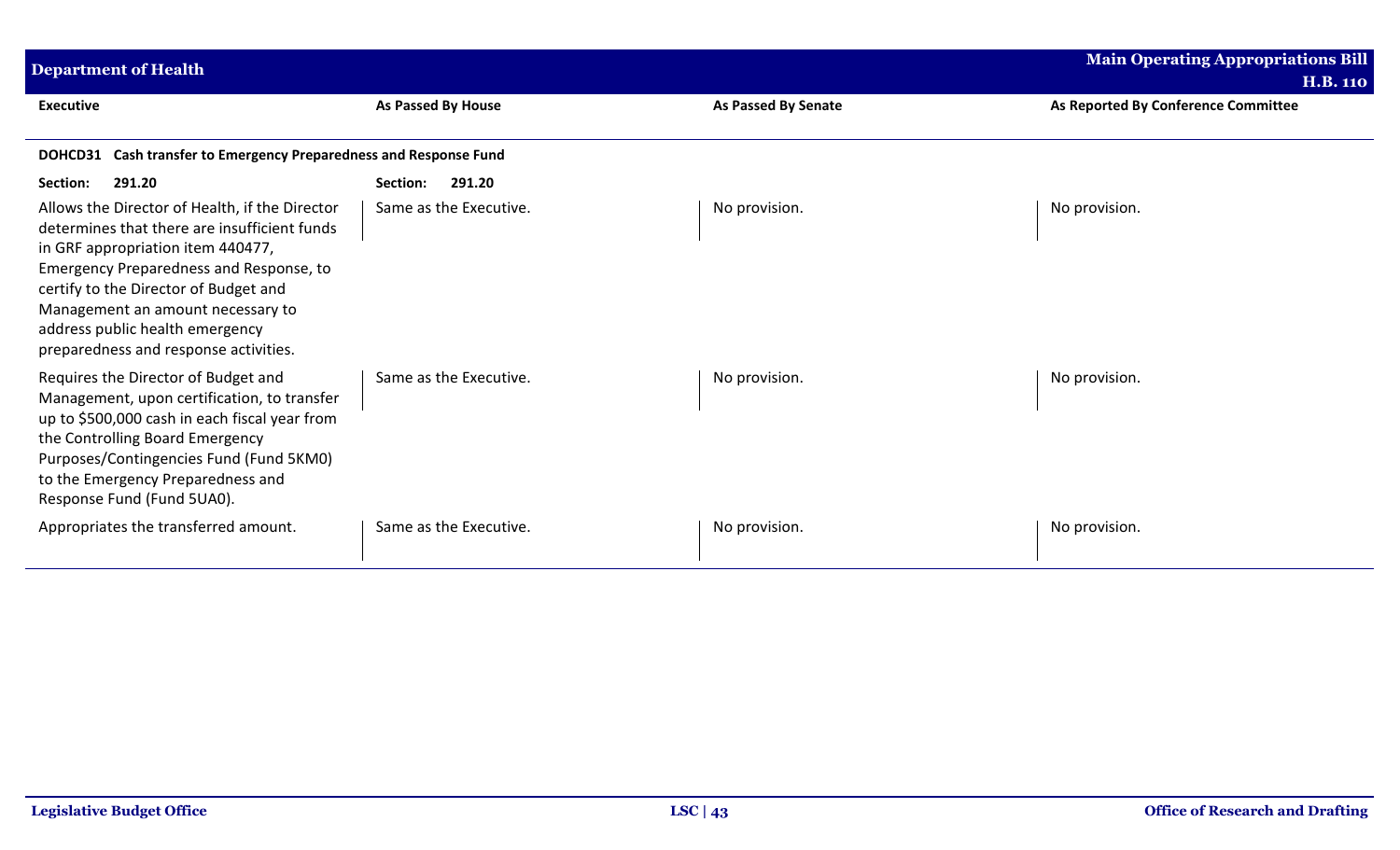| <b>Department of Health</b>                                                                                                                                                                                                                                                                                                              |                        |                            | <b>Main Operating Appropriations Bill</b><br><b>H.B. 110</b> |
|------------------------------------------------------------------------------------------------------------------------------------------------------------------------------------------------------------------------------------------------------------------------------------------------------------------------------------------|------------------------|----------------------------|--------------------------------------------------------------|
| <b>Executive</b>                                                                                                                                                                                                                                                                                                                         | As Passed By House     | <b>As Passed By Senate</b> | As Reported By Conference Committee                          |
| Cash transfer to Emergency Preparedness and Response Fund<br>DOHCD31                                                                                                                                                                                                                                                                     |                        |                            |                                                              |
| 291.20<br>Section:                                                                                                                                                                                                                                                                                                                       | 291.20<br>Section:     |                            |                                                              |
| Allows the Director of Health, if the Director<br>determines that there are insufficient funds<br>in GRF appropriation item 440477,<br>Emergency Preparedness and Response, to<br>certify to the Director of Budget and<br>Management an amount necessary to<br>address public health emergency<br>preparedness and response activities. | Same as the Executive. | No provision.              | No provision.                                                |
| Requires the Director of Budget and<br>Management, upon certification, to transfer<br>up to \$500,000 cash in each fiscal year from<br>the Controlling Board Emergency<br>Purposes/Contingencies Fund (Fund 5KM0)<br>to the Emergency Preparedness and<br>Response Fund (Fund 5UA0).                                                     | Same as the Executive. | No provision.              | No provision.                                                |
| Appropriates the transferred amount.                                                                                                                                                                                                                                                                                                     | Same as the Executive. | No provision.              | No provision.                                                |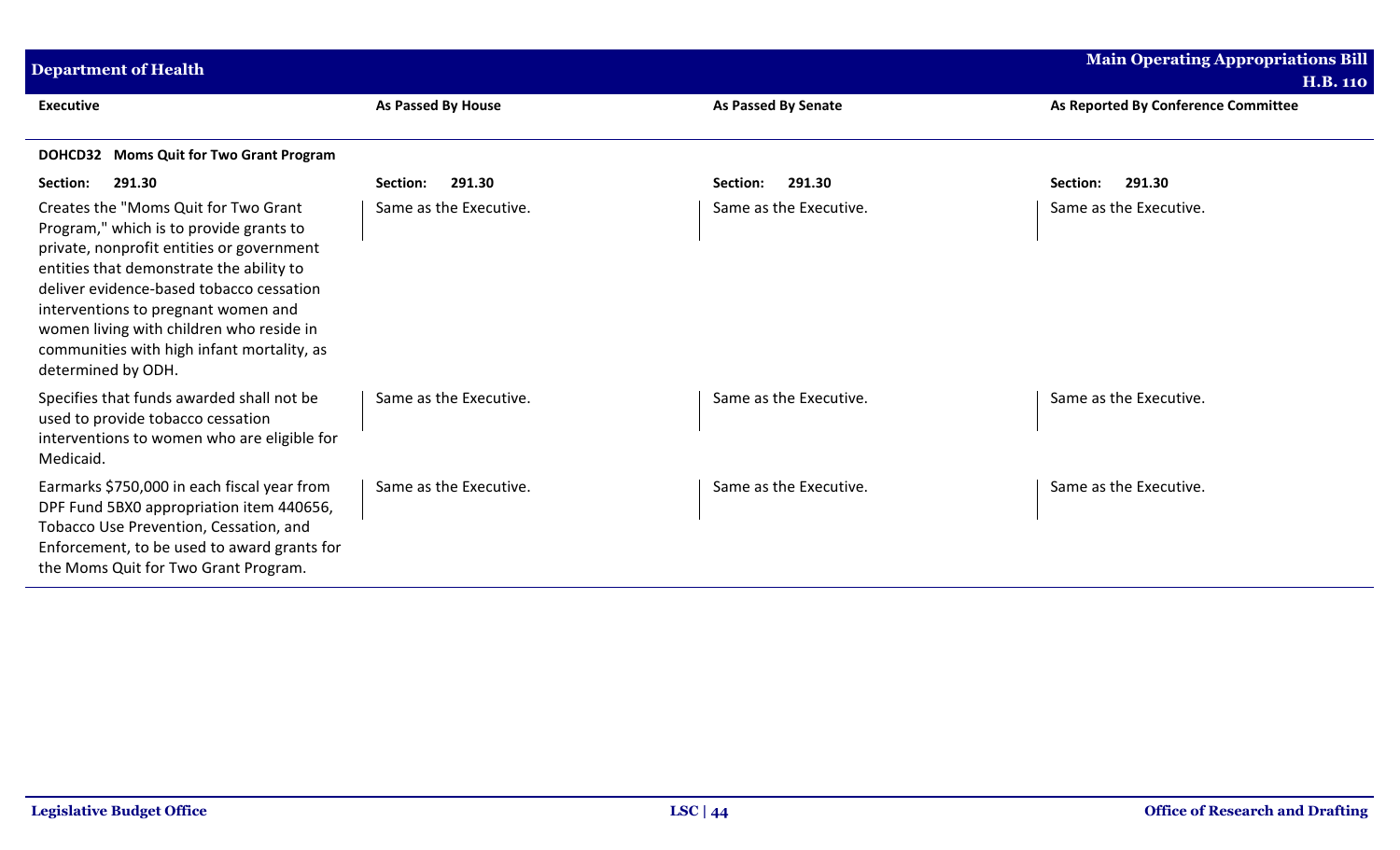| <b>Department of Health</b>                                                                                                                                                                                                                                                                                                                                                 |                           |                            | <b>Main Operating Appropriations Bill</b> |
|-----------------------------------------------------------------------------------------------------------------------------------------------------------------------------------------------------------------------------------------------------------------------------------------------------------------------------------------------------------------------------|---------------------------|----------------------------|-------------------------------------------|
|                                                                                                                                                                                                                                                                                                                                                                             |                           |                            | <b>H.B. 110</b>                           |
| <b>Executive</b>                                                                                                                                                                                                                                                                                                                                                            | <b>As Passed By House</b> | <b>As Passed By Senate</b> | As Reported By Conference Committee       |
| DOHCD32 Moms Quit for Two Grant Program                                                                                                                                                                                                                                                                                                                                     |                           |                            |                                           |
| 291.30<br>Section:                                                                                                                                                                                                                                                                                                                                                          | 291.30<br>Section:        | 291.30<br>Section:         | 291.30<br>Section:                        |
| Creates the "Moms Quit for Two Grant<br>Program," which is to provide grants to<br>private, nonprofit entities or government<br>entities that demonstrate the ability to<br>deliver evidence-based tobacco cessation<br>interventions to pregnant women and<br>women living with children who reside in<br>communities with high infant mortality, as<br>determined by ODH. | Same as the Executive.    | Same as the Executive.     | Same as the Executive.                    |
| Specifies that funds awarded shall not be<br>used to provide tobacco cessation<br>interventions to women who are eligible for<br>Medicaid.                                                                                                                                                                                                                                  | Same as the Executive.    | Same as the Executive.     | Same as the Executive.                    |
| Earmarks \$750,000 in each fiscal year from<br>DPF Fund 5BX0 appropriation item 440656,<br>Tobacco Use Prevention, Cessation, and<br>Enforcement, to be used to award grants for<br>the Moms Quit for Two Grant Program.                                                                                                                                                    | Same as the Executive.    | Same as the Executive.     | Same as the Executive.                    |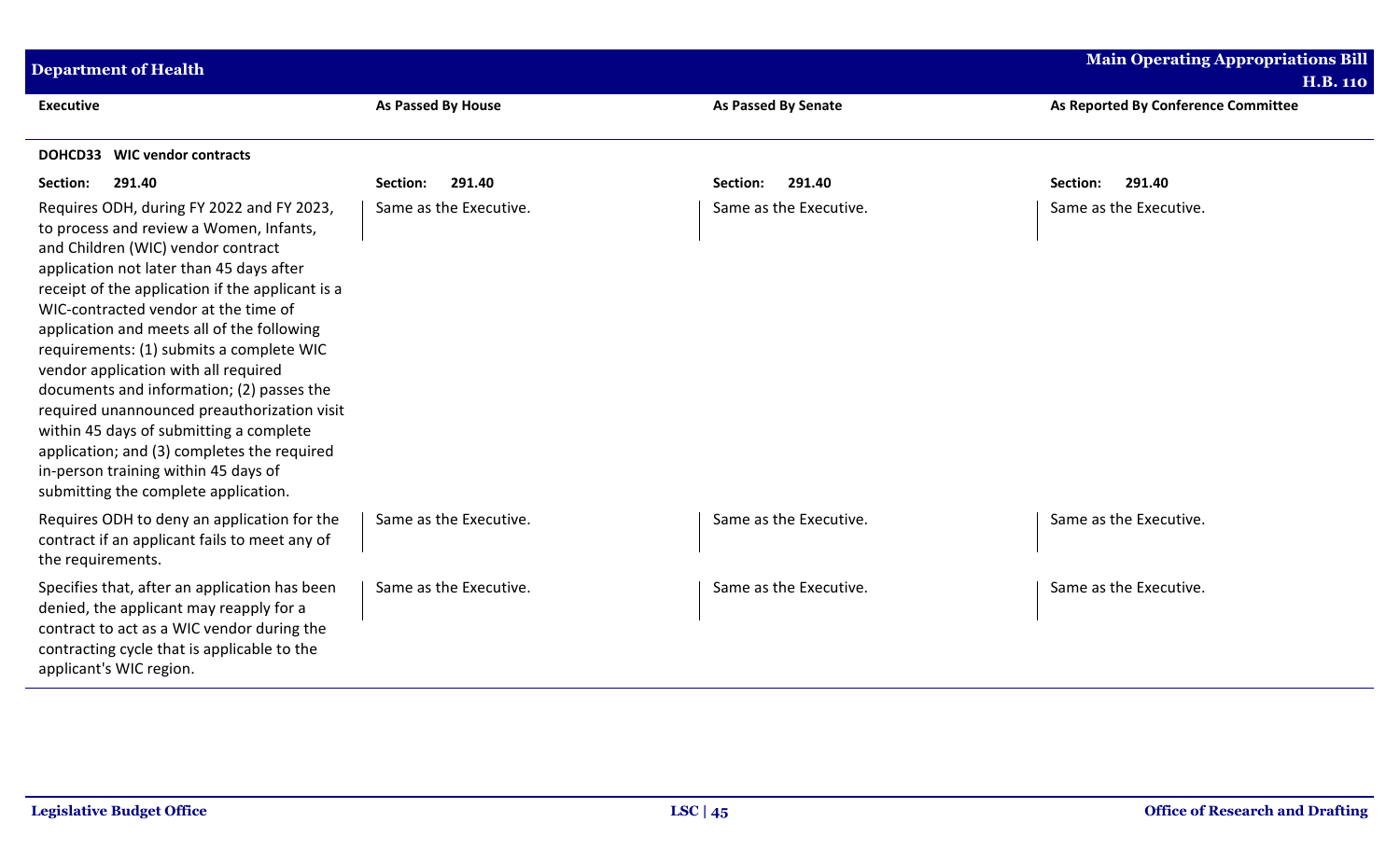| <b>Department of Health</b>                                                                                                                                                                                                                                                                                                                                                                                                                                                                                                                                                                                                                                                |                           |                            | <b>Main Operating Appropriations Bill</b><br><b>H.B. 110</b> |
|----------------------------------------------------------------------------------------------------------------------------------------------------------------------------------------------------------------------------------------------------------------------------------------------------------------------------------------------------------------------------------------------------------------------------------------------------------------------------------------------------------------------------------------------------------------------------------------------------------------------------------------------------------------------------|---------------------------|----------------------------|--------------------------------------------------------------|
| <b>Executive</b>                                                                                                                                                                                                                                                                                                                                                                                                                                                                                                                                                                                                                                                           | <b>As Passed By House</b> | <b>As Passed By Senate</b> | As Reported By Conference Committee                          |
| DOHCD33<br><b>WIC vendor contracts</b>                                                                                                                                                                                                                                                                                                                                                                                                                                                                                                                                                                                                                                     |                           |                            |                                                              |
| 291.40<br>Section:                                                                                                                                                                                                                                                                                                                                                                                                                                                                                                                                                                                                                                                         | 291.40<br>Section:        | 291.40<br>Section:         | 291.40<br>Section:                                           |
| Requires ODH, during FY 2022 and FY 2023,<br>to process and review a Women, Infants,<br>and Children (WIC) vendor contract<br>application not later than 45 days after<br>receipt of the application if the applicant is a<br>WIC-contracted vendor at the time of<br>application and meets all of the following<br>requirements: (1) submits a complete WIC<br>vendor application with all required<br>documents and information; (2) passes the<br>required unannounced preauthorization visit<br>within 45 days of submitting a complete<br>application; and (3) completes the required<br>in-person training within 45 days of<br>submitting the complete application. | Same as the Executive.    | Same as the Executive.     | Same as the Executive.                                       |
| Requires ODH to deny an application for the<br>contract if an applicant fails to meet any of<br>the requirements.                                                                                                                                                                                                                                                                                                                                                                                                                                                                                                                                                          | Same as the Executive.    | Same as the Executive.     | Same as the Executive.                                       |
| Specifies that, after an application has been<br>denied, the applicant may reapply for a<br>contract to act as a WIC vendor during the<br>contracting cycle that is applicable to the<br>applicant's WIC region.                                                                                                                                                                                                                                                                                                                                                                                                                                                           | Same as the Executive.    | Same as the Executive.     | Same as the Executive.                                       |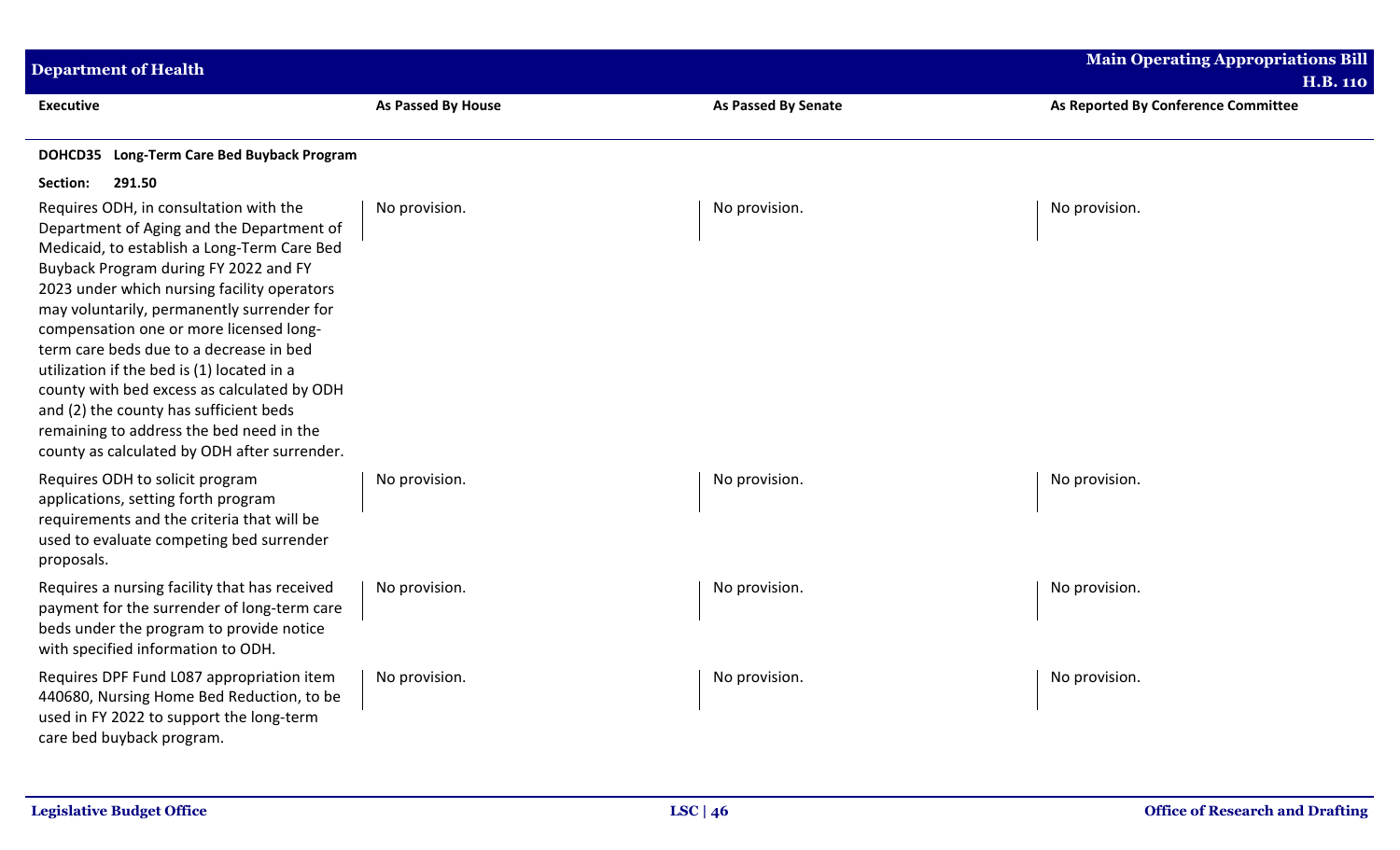| <b>Department of Health</b>                                                                                                                                                                                                                                                                                                                                                                                                                                                                                                                                                                       |                           |                     | <b>Main Operating Appropriations Bill</b><br><b>H.B. 110</b> |
|---------------------------------------------------------------------------------------------------------------------------------------------------------------------------------------------------------------------------------------------------------------------------------------------------------------------------------------------------------------------------------------------------------------------------------------------------------------------------------------------------------------------------------------------------------------------------------------------------|---------------------------|---------------------|--------------------------------------------------------------|
| <b>Executive</b>                                                                                                                                                                                                                                                                                                                                                                                                                                                                                                                                                                                  | <b>As Passed By House</b> | As Passed By Senate | As Reported By Conference Committee                          |
| DOHCD35 Long-Term Care Bed Buyback Program                                                                                                                                                                                                                                                                                                                                                                                                                                                                                                                                                        |                           |                     |                                                              |
| 291.50<br>Section:                                                                                                                                                                                                                                                                                                                                                                                                                                                                                                                                                                                |                           |                     |                                                              |
| Requires ODH, in consultation with the<br>Department of Aging and the Department of<br>Medicaid, to establish a Long-Term Care Bed<br>Buyback Program during FY 2022 and FY<br>2023 under which nursing facility operators<br>may voluntarily, permanently surrender for<br>compensation one or more licensed long-<br>term care beds due to a decrease in bed<br>utilization if the bed is (1) located in a<br>county with bed excess as calculated by ODH<br>and (2) the county has sufficient beds<br>remaining to address the bed need in the<br>county as calculated by ODH after surrender. | No provision.             | No provision.       | No provision.                                                |
| Requires ODH to solicit program<br>applications, setting forth program<br>requirements and the criteria that will be<br>used to evaluate competing bed surrender<br>proposals.                                                                                                                                                                                                                                                                                                                                                                                                                    | No provision.             | No provision.       | No provision.                                                |
| Requires a nursing facility that has received<br>payment for the surrender of long-term care<br>beds under the program to provide notice<br>with specified information to ODH.                                                                                                                                                                                                                                                                                                                                                                                                                    | No provision.             | No provision.       | No provision.                                                |
| Requires DPF Fund L087 appropriation item<br>440680, Nursing Home Bed Reduction, to be<br>used in FY 2022 to support the long-term<br>care bed buyback program.                                                                                                                                                                                                                                                                                                                                                                                                                                   | No provision.             | No provision.       | No provision.                                                |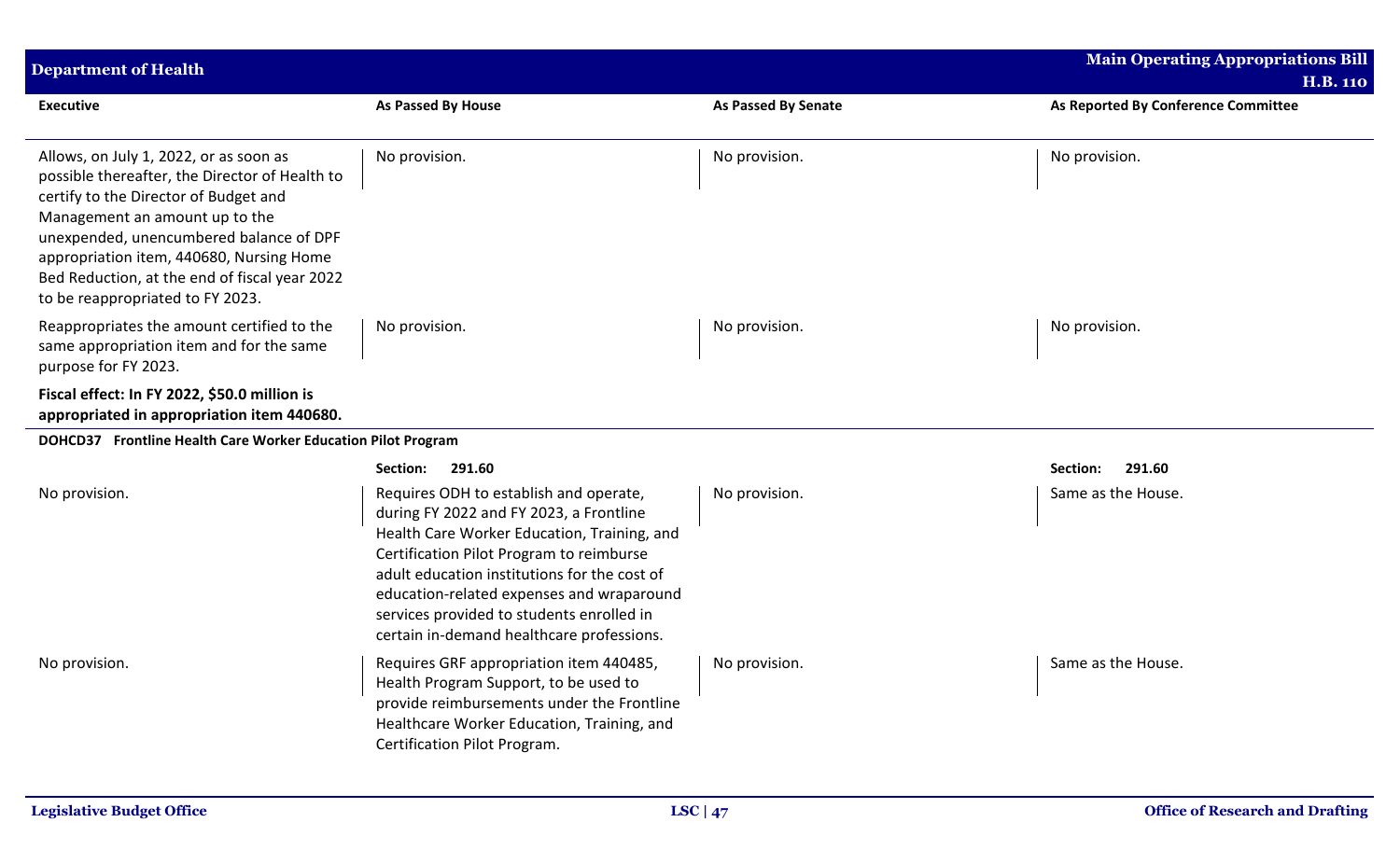| <b>Department of Health</b>                                                                                                                                                                                                                                                                                                                     |                                                                                                                                                                                                                                                                                                                                                                     |                     | <b>Main Operating Appropriations Bill</b>              |
|-------------------------------------------------------------------------------------------------------------------------------------------------------------------------------------------------------------------------------------------------------------------------------------------------------------------------------------------------|---------------------------------------------------------------------------------------------------------------------------------------------------------------------------------------------------------------------------------------------------------------------------------------------------------------------------------------------------------------------|---------------------|--------------------------------------------------------|
| <b>Executive</b>                                                                                                                                                                                                                                                                                                                                | As Passed By House                                                                                                                                                                                                                                                                                                                                                  | As Passed By Senate | <b>H.B. 110</b><br>As Reported By Conference Committee |
| Allows, on July 1, 2022, or as soon as<br>possible thereafter, the Director of Health to<br>certify to the Director of Budget and<br>Management an amount up to the<br>unexpended, unencumbered balance of DPF<br>appropriation item, 440680, Nursing Home<br>Bed Reduction, at the end of fiscal year 2022<br>to be reappropriated to FY 2023. | No provision.                                                                                                                                                                                                                                                                                                                                                       | No provision.       | No provision.                                          |
| Reappropriates the amount certified to the<br>same appropriation item and for the same<br>purpose for FY 2023.                                                                                                                                                                                                                                  | No provision.                                                                                                                                                                                                                                                                                                                                                       | No provision.       | No provision.                                          |
| Fiscal effect: In FY 2022, \$50.0 million is<br>appropriated in appropriation item 440680.                                                                                                                                                                                                                                                      |                                                                                                                                                                                                                                                                                                                                                                     |                     |                                                        |
| DOHCD37 Frontline Health Care Worker Education Pilot Program                                                                                                                                                                                                                                                                                    |                                                                                                                                                                                                                                                                                                                                                                     |                     |                                                        |
|                                                                                                                                                                                                                                                                                                                                                 | 291.60<br>Section:                                                                                                                                                                                                                                                                                                                                                  |                     | Section:<br>291.60                                     |
| No provision.                                                                                                                                                                                                                                                                                                                                   | Requires ODH to establish and operate,<br>during FY 2022 and FY 2023, a Frontline<br>Health Care Worker Education, Training, and<br>Certification Pilot Program to reimburse<br>adult education institutions for the cost of<br>education-related expenses and wraparound<br>services provided to students enrolled in<br>certain in-demand healthcare professions. | No provision.       | Same as the House.                                     |
| No provision.                                                                                                                                                                                                                                                                                                                                   | Requires GRF appropriation item 440485,<br>Health Program Support, to be used to<br>provide reimbursements under the Frontline<br>Healthcare Worker Education, Training, and<br>Certification Pilot Program.                                                                                                                                                        | No provision.       | Same as the House.                                     |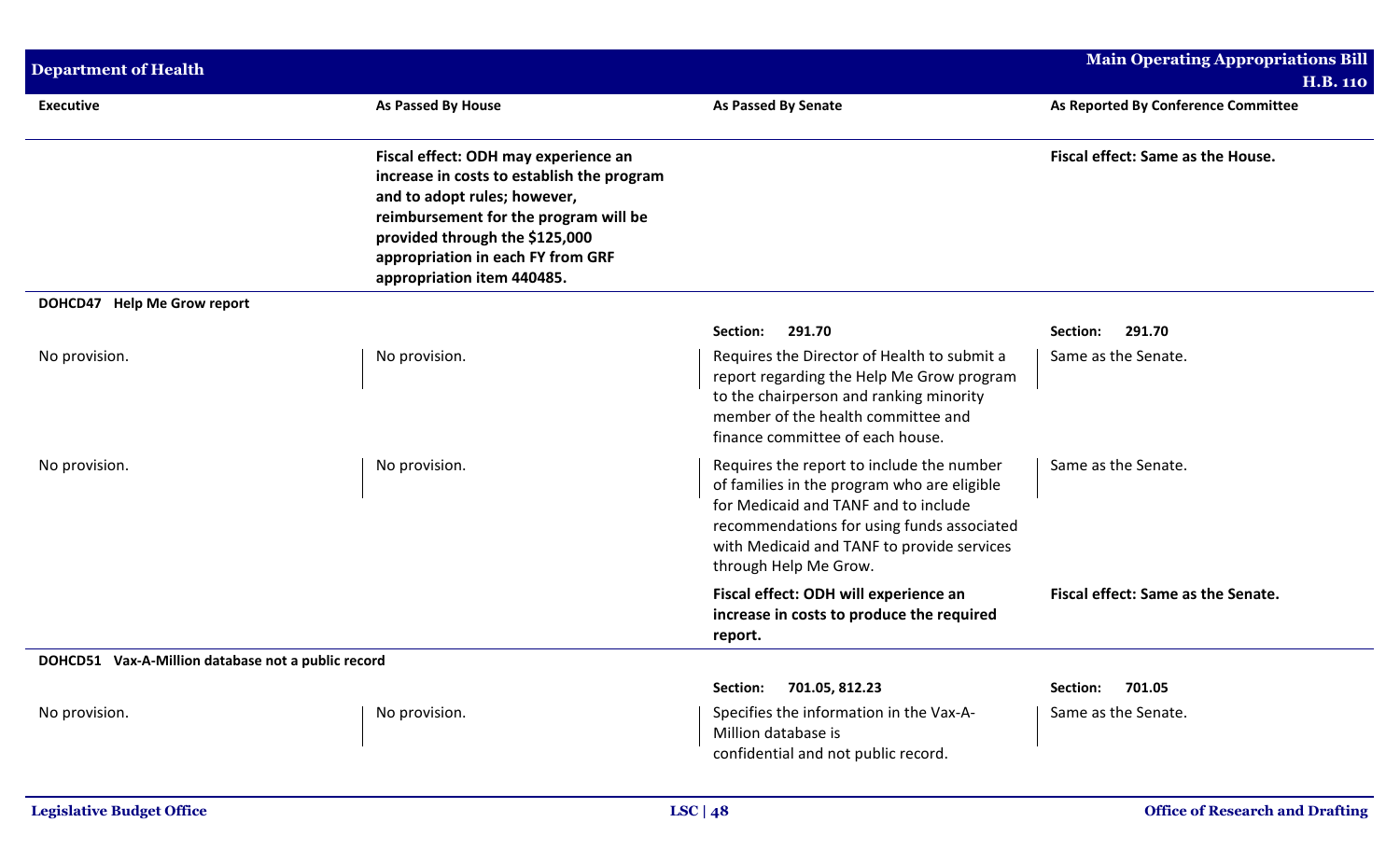| <b>Department of Health</b>                        |                                                                                                                                                                                                                                                                  |                                                                                                                                                                                                                                                       | <b>Main Operating Appropriations Bill</b> |
|----------------------------------------------------|------------------------------------------------------------------------------------------------------------------------------------------------------------------------------------------------------------------------------------------------------------------|-------------------------------------------------------------------------------------------------------------------------------------------------------------------------------------------------------------------------------------------------------|-------------------------------------------|
|                                                    |                                                                                                                                                                                                                                                                  |                                                                                                                                                                                                                                                       | <b>H.B. 110</b>                           |
| <b>Executive</b>                                   | <b>As Passed By House</b>                                                                                                                                                                                                                                        | <b>As Passed By Senate</b>                                                                                                                                                                                                                            | As Reported By Conference Committee       |
|                                                    | Fiscal effect: ODH may experience an<br>increase in costs to establish the program<br>and to adopt rules; however,<br>reimbursement for the program will be<br>provided through the \$125,000<br>appropriation in each FY from GRF<br>appropriation item 440485. |                                                                                                                                                                                                                                                       | Fiscal effect: Same as the House.         |
| DOHCD47 Help Me Grow report                        |                                                                                                                                                                                                                                                                  |                                                                                                                                                                                                                                                       |                                           |
|                                                    |                                                                                                                                                                                                                                                                  | 291.70<br>Section:                                                                                                                                                                                                                                    | 291.70<br>Section:                        |
| No provision.                                      | No provision.                                                                                                                                                                                                                                                    | Requires the Director of Health to submit a<br>report regarding the Help Me Grow program<br>to the chairperson and ranking minority<br>member of the health committee and<br>finance committee of each house.                                         | Same as the Senate.                       |
| No provision.                                      | No provision.                                                                                                                                                                                                                                                    | Requires the report to include the number<br>of families in the program who are eligible<br>for Medicaid and TANF and to include<br>recommendations for using funds associated<br>with Medicaid and TANF to provide services<br>through Help Me Grow. | Same as the Senate.                       |
|                                                    |                                                                                                                                                                                                                                                                  | Fiscal effect: ODH will experience an<br>increase in costs to produce the required<br>report.                                                                                                                                                         | Fiscal effect: Same as the Senate.        |
| DOHCD51 Vax-A-Million database not a public record |                                                                                                                                                                                                                                                                  |                                                                                                                                                                                                                                                       |                                           |
|                                                    |                                                                                                                                                                                                                                                                  | 701.05, 812.23<br>Section:                                                                                                                                                                                                                            | 701.05<br>Section:                        |
| No provision.                                      | No provision.                                                                                                                                                                                                                                                    | Specifies the information in the Vax-A-<br>Million database is<br>confidential and not public record.                                                                                                                                                 | Same as the Senate.                       |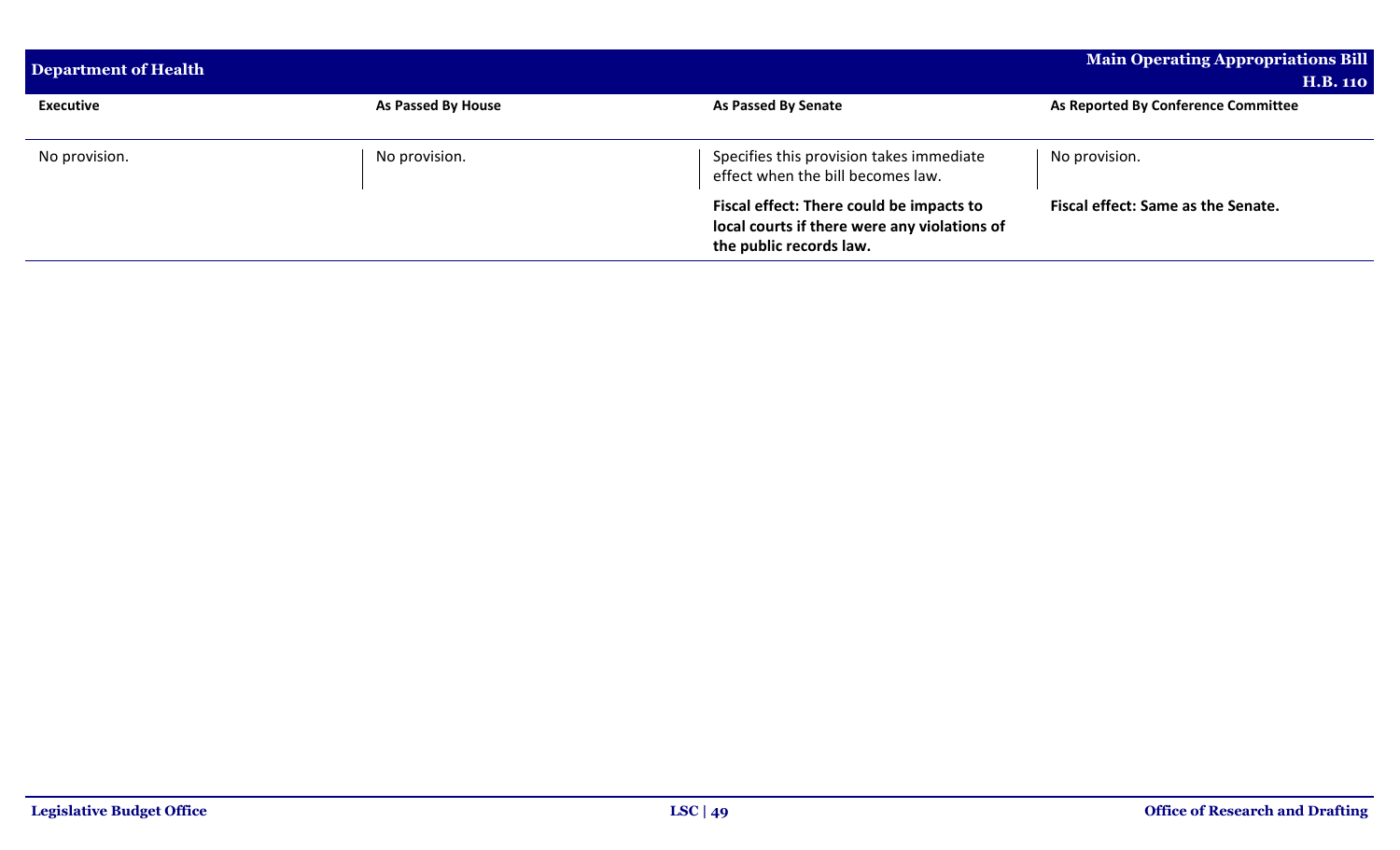| Department of Health |                           |                                                                                                                     | <b>Main Operating Appropriations Bill</b><br><b>H.B. 110</b> |
|----------------------|---------------------------|---------------------------------------------------------------------------------------------------------------------|--------------------------------------------------------------|
| <b>Executive</b>     | <b>As Passed By House</b> | As Passed By Senate                                                                                                 | As Reported By Conference Committee                          |
| No provision.        | No provision.             | Specifies this provision takes immediate<br>effect when the bill becomes law.                                       | No provision.                                                |
|                      |                           | Fiscal effect: There could be impacts to<br>local courts if there were any violations of<br>the public records law. | Fiscal effect: Same as the Senate.                           |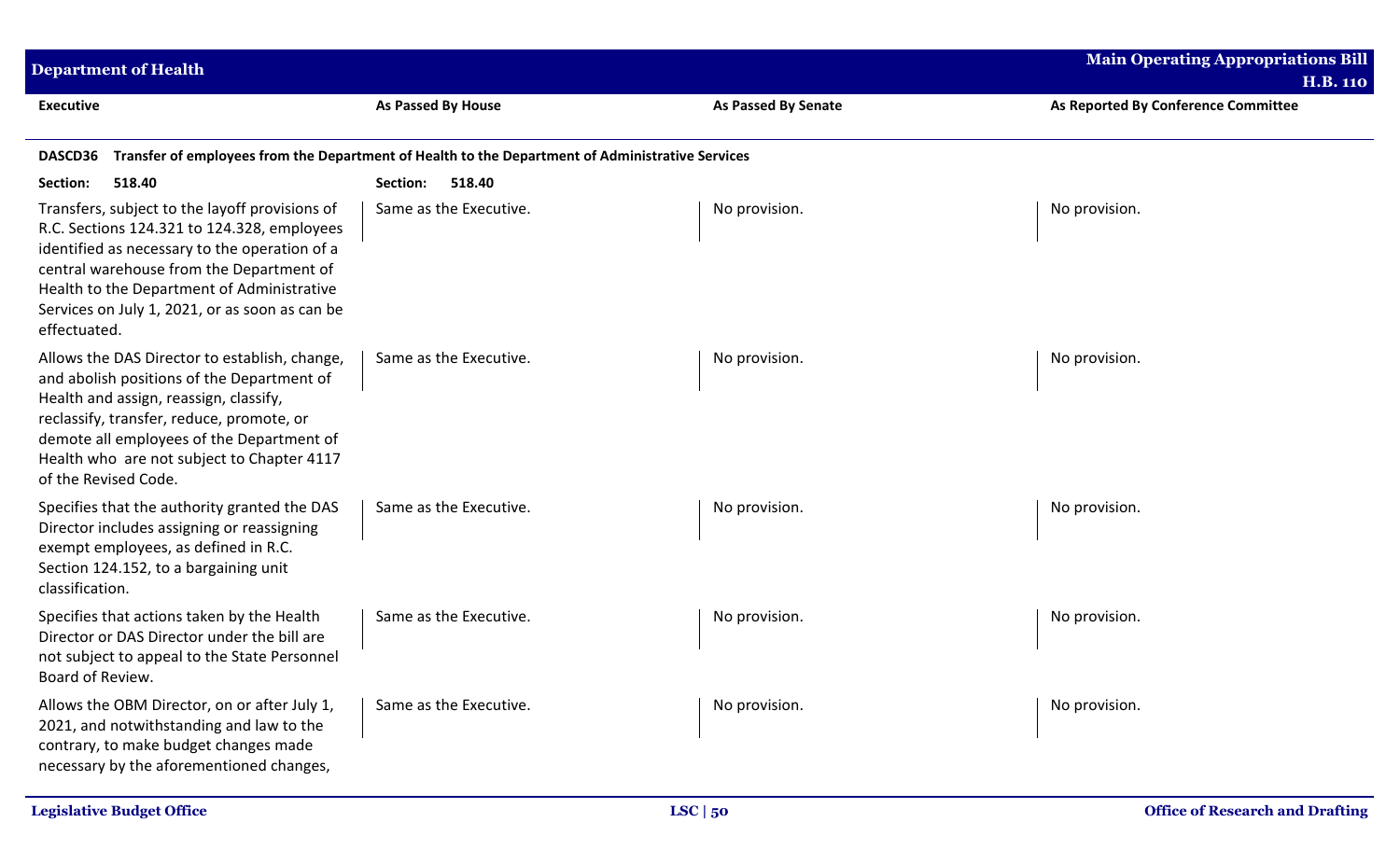| <b>Department of Health</b>                                                                                                                                                                                                                                                                                |                                                                                                  |                            | <b>Main Operating Appropriations Bill</b><br><b>H.B. 110</b> |
|------------------------------------------------------------------------------------------------------------------------------------------------------------------------------------------------------------------------------------------------------------------------------------------------------------|--------------------------------------------------------------------------------------------------|----------------------------|--------------------------------------------------------------|
| <b>Executive</b>                                                                                                                                                                                                                                                                                           | <b>As Passed By House</b>                                                                        | <b>As Passed By Senate</b> | As Reported By Conference Committee                          |
| DASCD36                                                                                                                                                                                                                                                                                                    | Transfer of employees from the Department of Health to the Department of Administrative Services |                            |                                                              |
| Section:<br>518.40                                                                                                                                                                                                                                                                                         | Section:<br>518.40                                                                               |                            |                                                              |
| Transfers, subject to the layoff provisions of<br>R.C. Sections 124.321 to 124.328, employees<br>identified as necessary to the operation of a<br>central warehouse from the Department of<br>Health to the Department of Administrative<br>Services on July 1, 2021, or as soon as can be<br>effectuated. | Same as the Executive.                                                                           | No provision.              | No provision.                                                |
| Allows the DAS Director to establish, change,<br>and abolish positions of the Department of<br>Health and assign, reassign, classify,<br>reclassify, transfer, reduce, promote, or<br>demote all employees of the Department of<br>Health who are not subject to Chapter 4117<br>of the Revised Code.      | Same as the Executive.                                                                           | No provision.              | No provision.                                                |
| Specifies that the authority granted the DAS<br>Director includes assigning or reassigning<br>exempt employees, as defined in R.C.<br>Section 124.152, to a bargaining unit<br>classification.                                                                                                             | Same as the Executive.                                                                           | No provision.              | No provision.                                                |
| Specifies that actions taken by the Health<br>Director or DAS Director under the bill are<br>not subject to appeal to the State Personnel<br>Board of Review.                                                                                                                                              | Same as the Executive.                                                                           | No provision.              | No provision.                                                |
| Allows the OBM Director, on or after July 1,<br>2021, and notwithstanding and law to the<br>contrary, to make budget changes made<br>necessary by the aforementioned changes,                                                                                                                              | Same as the Executive.                                                                           | No provision.              | No provision.                                                |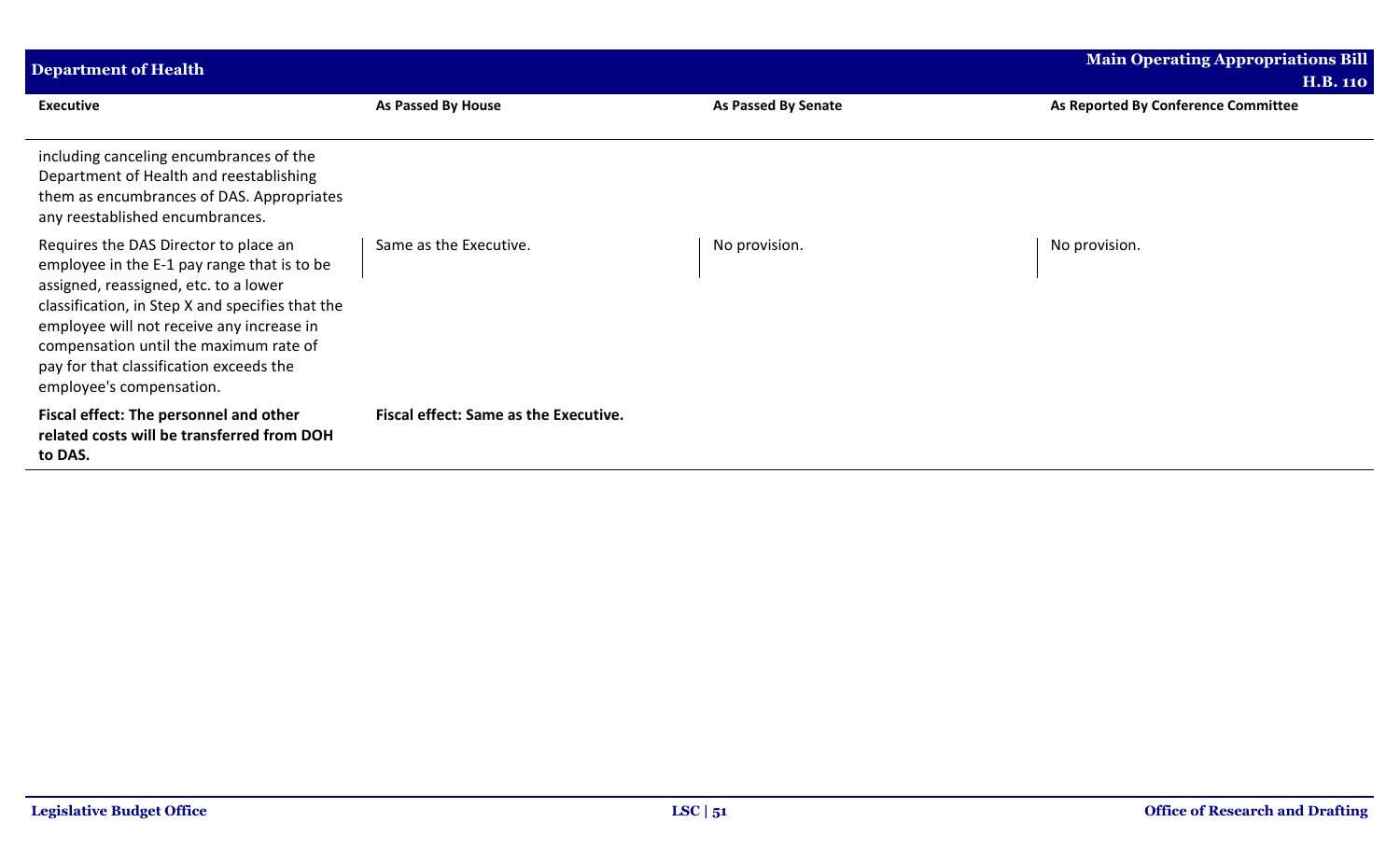| <b>Department of Health</b>                                                                                                                                                                                                                                                                                                                     |                                              |                            | <b>Main Operating Appropriations Bill</b> |
|-------------------------------------------------------------------------------------------------------------------------------------------------------------------------------------------------------------------------------------------------------------------------------------------------------------------------------------------------|----------------------------------------------|----------------------------|-------------------------------------------|
|                                                                                                                                                                                                                                                                                                                                                 |                                              |                            | <b>H.B. 110</b>                           |
| <b>Executive</b>                                                                                                                                                                                                                                                                                                                                | As Passed By House                           | <b>As Passed By Senate</b> | As Reported By Conference Committee       |
| including canceling encumbrances of the<br>Department of Health and reestablishing<br>them as encumbrances of DAS. Appropriates<br>any reestablished encumbrances.                                                                                                                                                                              |                                              |                            |                                           |
| Requires the DAS Director to place an<br>employee in the E-1 pay range that is to be<br>assigned, reassigned, etc. to a lower<br>classification, in Step X and specifies that the<br>employee will not receive any increase in<br>compensation until the maximum rate of<br>pay for that classification exceeds the<br>employee's compensation. | Same as the Executive.                       | No provision.              | No provision.                             |
| Fiscal effect: The personnel and other<br>related costs will be transferred from DOH<br>to DAS.                                                                                                                                                                                                                                                 | <b>Fiscal effect: Same as the Executive.</b> |                            |                                           |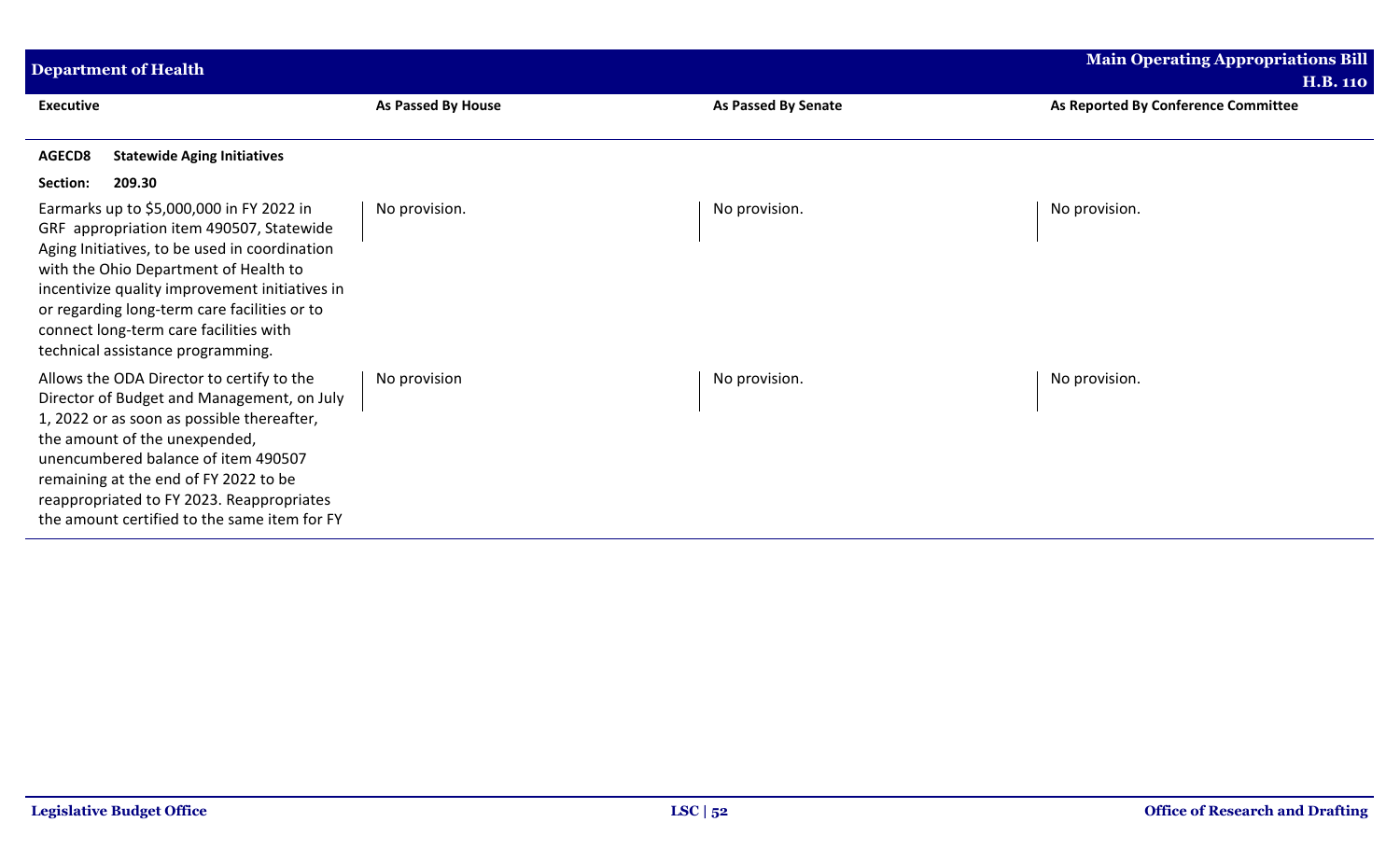| <b>Department of Health</b>                                                                                                                                                                                                                                                                                                                                     |                    |                            | <b>Main Operating Appropriations Bill</b><br><b>H.B. 110</b> |
|-----------------------------------------------------------------------------------------------------------------------------------------------------------------------------------------------------------------------------------------------------------------------------------------------------------------------------------------------------------------|--------------------|----------------------------|--------------------------------------------------------------|
| <b>Executive</b>                                                                                                                                                                                                                                                                                                                                                | As Passed By House | <b>As Passed By Senate</b> | As Reported By Conference Committee                          |
| <b>Statewide Aging Initiatives</b><br>AGECD8<br>209.30<br>Section:                                                                                                                                                                                                                                                                                              |                    |                            |                                                              |
| Earmarks up to \$5,000,000 in FY 2022 in<br>GRF appropriation item 490507, Statewide<br>Aging Initiatives, to be used in coordination<br>with the Ohio Department of Health to<br>incentivize quality improvement initiatives in<br>or regarding long-term care facilities or to<br>connect long-term care facilities with<br>technical assistance programming. | No provision.      | No provision.              | No provision.                                                |
| Allows the ODA Director to certify to the<br>Director of Budget and Management, on July<br>1, 2022 or as soon as possible thereafter,<br>the amount of the unexpended,<br>unencumbered balance of item 490507<br>remaining at the end of FY 2022 to be<br>reappropriated to FY 2023. Reappropriates<br>the amount certified to the same item for FY             | No provision       | No provision.              | No provision.                                                |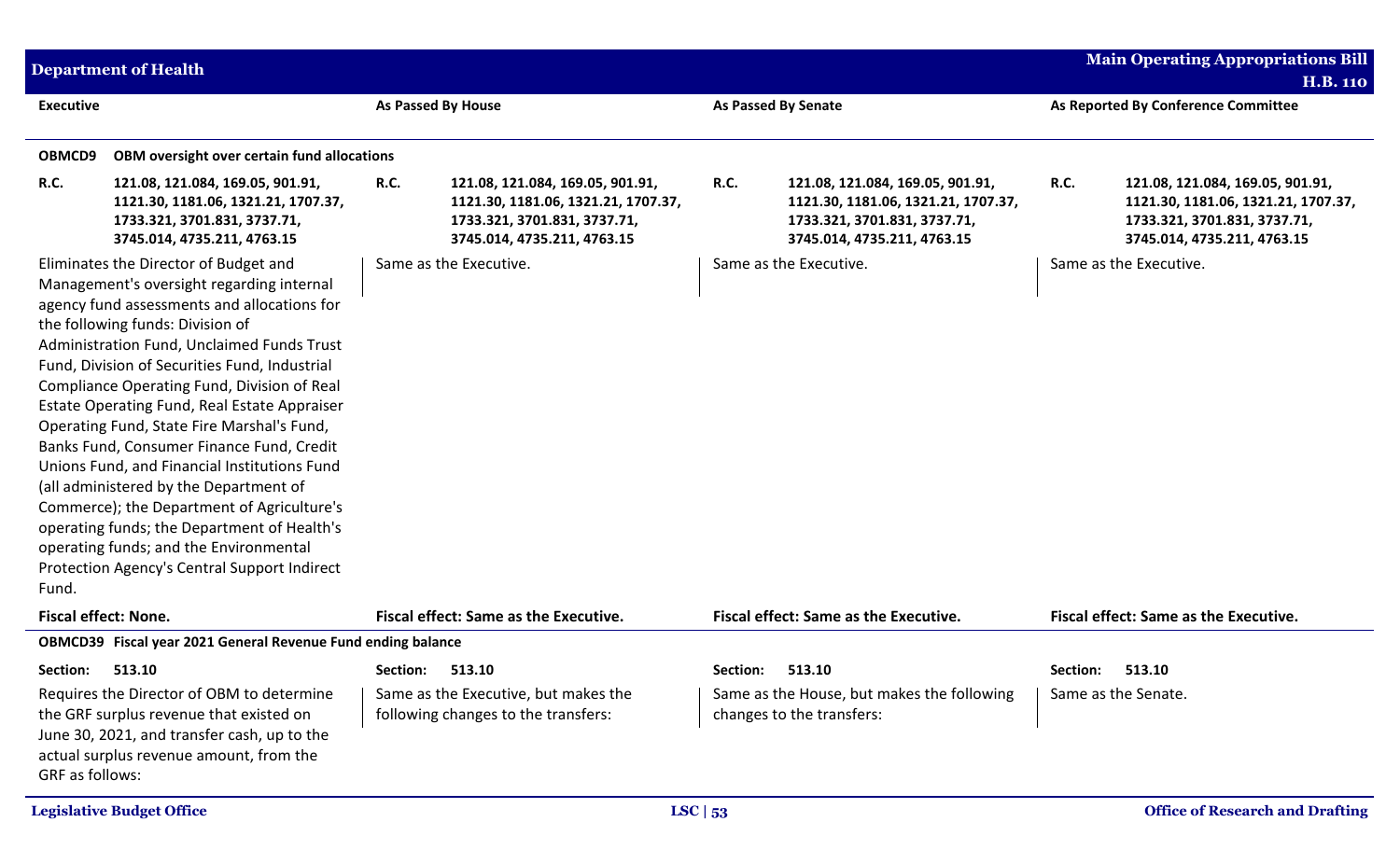|                             | <b>Department of Health</b>                                                                                                                                                                                                                                                                                                                                                                                                                                                                                                                                                                                                                                                                                                                     |                 |                                                                                                                                        |      |                                                                                                                                        |                 | <b>Main Operating Appropriations Bill</b>                                                                                              |
|-----------------------------|-------------------------------------------------------------------------------------------------------------------------------------------------------------------------------------------------------------------------------------------------------------------------------------------------------------------------------------------------------------------------------------------------------------------------------------------------------------------------------------------------------------------------------------------------------------------------------------------------------------------------------------------------------------------------------------------------------------------------------------------------|-----------------|----------------------------------------------------------------------------------------------------------------------------------------|------|----------------------------------------------------------------------------------------------------------------------------------------|-----------------|----------------------------------------------------------------------------------------------------------------------------------------|
|                             |                                                                                                                                                                                                                                                                                                                                                                                                                                                                                                                                                                                                                                                                                                                                                 |                 |                                                                                                                                        |      |                                                                                                                                        |                 | <b>H.B. 110</b>                                                                                                                        |
| <b>Executive</b>            |                                                                                                                                                                                                                                                                                                                                                                                                                                                                                                                                                                                                                                                                                                                                                 |                 | As Passed By House                                                                                                                     |      | <b>As Passed By Senate</b>                                                                                                             |                 | As Reported By Conference Committee                                                                                                    |
| OBMCD9                      | OBM oversight over certain fund allocations                                                                                                                                                                                                                                                                                                                                                                                                                                                                                                                                                                                                                                                                                                     |                 |                                                                                                                                        |      |                                                                                                                                        |                 |                                                                                                                                        |
| <b>R.C.</b>                 | 121.08, 121.084, 169.05, 901.91,<br>1121.30, 1181.06, 1321.21, 1707.37,<br>1733.321, 3701.831, 3737.71,<br>3745.014, 4735.211, 4763.15                                                                                                                                                                                                                                                                                                                                                                                                                                                                                                                                                                                                          | <b>R.C.</b>     | 121.08, 121.084, 169.05, 901.91,<br>1121.30, 1181.06, 1321.21, 1707.37,<br>1733.321, 3701.831, 3737.71,<br>3745.014, 4735.211, 4763.15 | R.C. | 121.08, 121.084, 169.05, 901.91,<br>1121.30, 1181.06, 1321.21, 1707.37,<br>1733.321, 3701.831, 3737.71,<br>3745.014, 4735.211, 4763.15 | <b>R.C.</b>     | 121.08, 121.084, 169.05, 901.91,<br>1121.30, 1181.06, 1321.21, 1707.37,<br>1733.321, 3701.831, 3737.71,<br>3745.014, 4735.211, 4763.15 |
| Fund.                       | Eliminates the Director of Budget and<br>Management's oversight regarding internal<br>agency fund assessments and allocations for<br>the following funds: Division of<br>Administration Fund, Unclaimed Funds Trust<br>Fund, Division of Securities Fund, Industrial<br>Compliance Operating Fund, Division of Real<br>Estate Operating Fund, Real Estate Appraiser<br>Operating Fund, State Fire Marshal's Fund,<br>Banks Fund, Consumer Finance Fund, Credit<br>Unions Fund, and Financial Institutions Fund<br>(all administered by the Department of<br>Commerce); the Department of Agriculture's<br>operating funds; the Department of Health's<br>operating funds; and the Environmental<br>Protection Agency's Central Support Indirect |                 | Same as the Executive.                                                                                                                 |      | Same as the Executive.                                                                                                                 |                 | Same as the Executive.                                                                                                                 |
| <b>Fiscal effect: None.</b> |                                                                                                                                                                                                                                                                                                                                                                                                                                                                                                                                                                                                                                                                                                                                                 |                 | Fiscal effect: Same as the Executive.                                                                                                  |      | Fiscal effect: Same as the Executive.                                                                                                  |                 | Fiscal effect: Same as the Executive.                                                                                                  |
|                             | OBMCD39 Fiscal year 2021 General Revenue Fund ending balance                                                                                                                                                                                                                                                                                                                                                                                                                                                                                                                                                                                                                                                                                    |                 |                                                                                                                                        |      |                                                                                                                                        |                 |                                                                                                                                        |
| Section: 513.10             |                                                                                                                                                                                                                                                                                                                                                                                                                                                                                                                                                                                                                                                                                                                                                 | Section: 513.10 |                                                                                                                                        |      | Section: 513.10                                                                                                                        | Section: 513.10 |                                                                                                                                        |
| GRF as follows:             | Requires the Director of OBM to determine<br>the GRF surplus revenue that existed on<br>June 30, 2021, and transfer cash, up to the<br>actual surplus revenue amount, from the                                                                                                                                                                                                                                                                                                                                                                                                                                                                                                                                                                  |                 | Same as the Executive, but makes the<br>following changes to the transfers:                                                            |      | Same as the House, but makes the following<br>changes to the transfers:                                                                |                 | Same as the Senate.                                                                                                                    |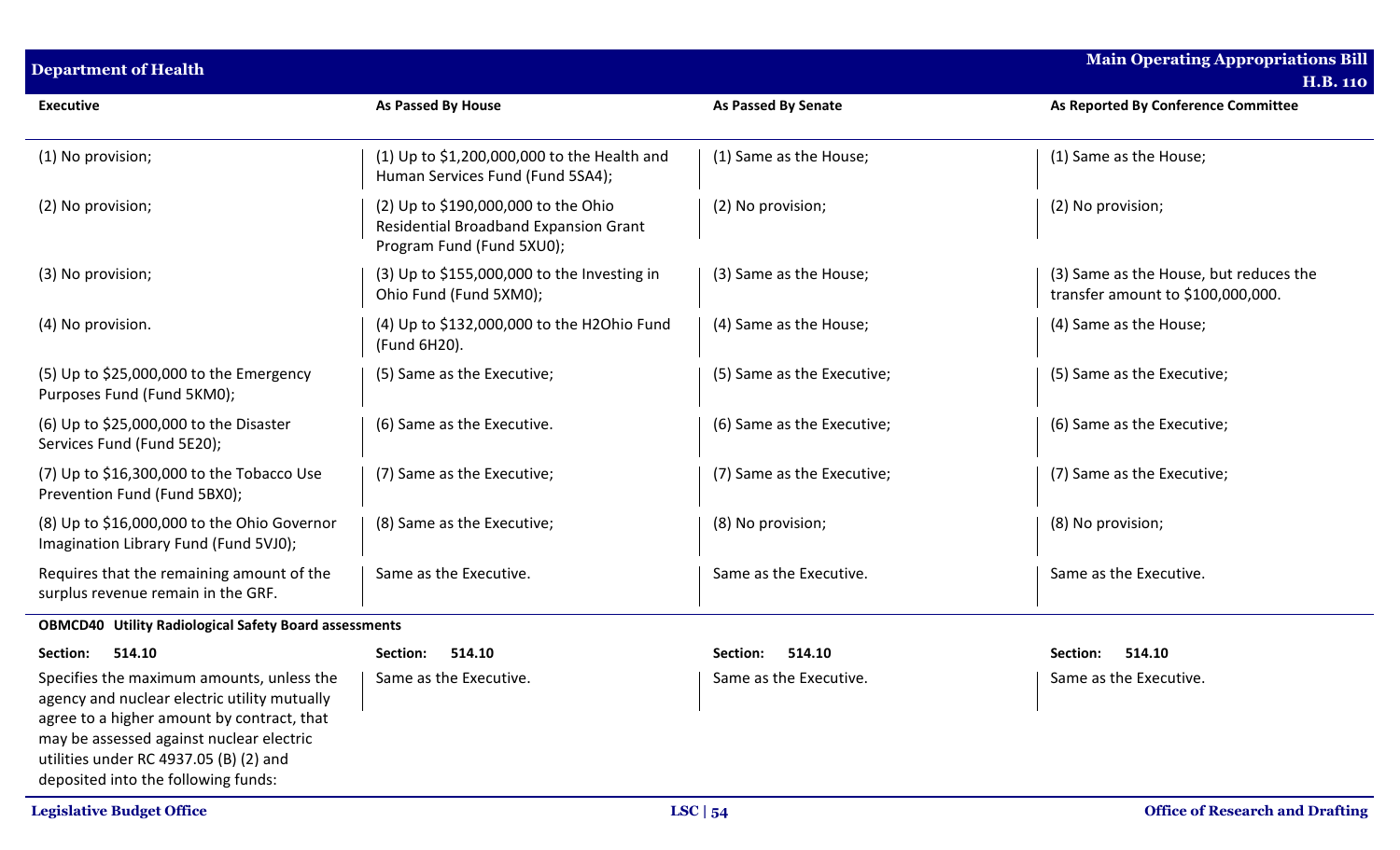| <b>Department of Health</b>                                                                                                                                                                                                                                          |                                                                                                           |                            | <b>Main Operating Appropriations Bill</b><br><b>H.B. 110</b>                |
|----------------------------------------------------------------------------------------------------------------------------------------------------------------------------------------------------------------------------------------------------------------------|-----------------------------------------------------------------------------------------------------------|----------------------------|-----------------------------------------------------------------------------|
| <b>Executive</b>                                                                                                                                                                                                                                                     | <b>As Passed By House</b>                                                                                 | <b>As Passed By Senate</b> | As Reported By Conference Committee                                         |
| (1) No provision;                                                                                                                                                                                                                                                    | (1) Up to $$1,200,000,000$ to the Health and<br>Human Services Fund (Fund 5SA4);                          | (1) Same as the House;     | (1) Same as the House;                                                      |
| (2) No provision;                                                                                                                                                                                                                                                    | (2) Up to \$190,000,000 to the Ohio<br>Residential Broadband Expansion Grant<br>Program Fund (Fund 5XU0); | (2) No provision;          | (2) No provision;                                                           |
| (3) No provision;                                                                                                                                                                                                                                                    | $(3)$ Up to \$155,000,000 to the Investing in<br>Ohio Fund (Fund 5XM0);                                   | (3) Same as the House;     | (3) Same as the House, but reduces the<br>transfer amount to \$100,000,000. |
| (4) No provision.                                                                                                                                                                                                                                                    | (4) Up to \$132,000,000 to the H2Ohio Fund<br>(Fund 6H20).                                                | (4) Same as the House;     | (4) Same as the House;                                                      |
| (5) Up to \$25,000,000 to the Emergency<br>Purposes Fund (Fund 5KM0);                                                                                                                                                                                                | (5) Same as the Executive;                                                                                | (5) Same as the Executive; | (5) Same as the Executive;                                                  |
| (6) Up to \$25,000,000 to the Disaster<br>Services Fund (Fund 5E20);                                                                                                                                                                                                 | (6) Same as the Executive.                                                                                | (6) Same as the Executive; | (6) Same as the Executive;                                                  |
| $(7)$ Up to \$16,300,000 to the Tobacco Use<br>Prevention Fund (Fund 5BX0);                                                                                                                                                                                          | (7) Same as the Executive;                                                                                | (7) Same as the Executive; | (7) Same as the Executive;                                                  |
| (8) Up to \$16,000,000 to the Ohio Governor<br>Imagination Library Fund (Fund 5VJ0);                                                                                                                                                                                 | (8) Same as the Executive;                                                                                | (8) No provision;          | (8) No provision;                                                           |
| Requires that the remaining amount of the<br>surplus revenue remain in the GRF.                                                                                                                                                                                      | Same as the Executive.                                                                                    | Same as the Executive.     | Same as the Executive.                                                      |
| <b>OBMCD40 Utility Radiological Safety Board assessments</b>                                                                                                                                                                                                         |                                                                                                           |                            |                                                                             |
| Section:<br>514.10                                                                                                                                                                                                                                                   | Section:<br>514.10                                                                                        | 514.10<br><b>Section:</b>  | 514.10<br>Section:                                                          |
| Specifies the maximum amounts, unless the<br>agency and nuclear electric utility mutually<br>agree to a higher amount by contract, that<br>may be assessed against nuclear electric<br>utilities under RC 4937.05 (B) (2) and<br>deposited into the following funds: | Same as the Executive.                                                                                    | Same as the Executive.     | Same as the Executive.                                                      |
| <b>Legislative Budget Office</b>                                                                                                                                                                                                                                     |                                                                                                           | LSC $ 54$                  | <b>Office of Research and Drafting</b>                                      |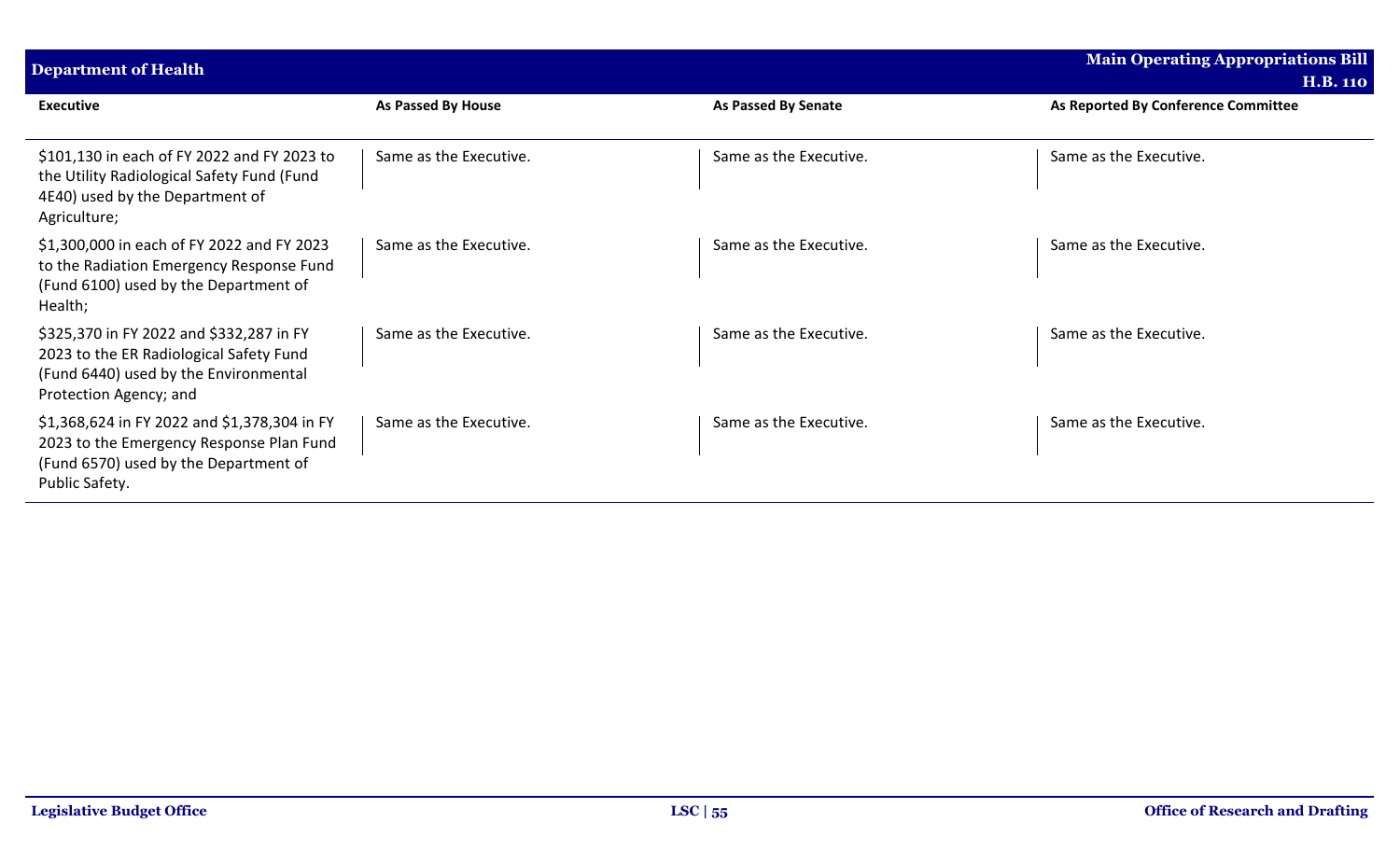| <b>Department of Health</b>                                                                                                                            |                        |                            | Main Operating Appropriations Bill<br><b>H.B. 110</b> |
|--------------------------------------------------------------------------------------------------------------------------------------------------------|------------------------|----------------------------|-------------------------------------------------------|
| <b>Executive</b>                                                                                                                                       | As Passed By House     | <b>As Passed By Senate</b> | As Reported By Conference Committee                   |
| \$101,130 in each of FY 2022 and FY 2023 to<br>the Utility Radiological Safety Fund (Fund<br>4E40) used by the Department of<br>Agriculture;           | Same as the Executive. | Same as the Executive.     | Same as the Executive.                                |
| \$1,300,000 in each of FY 2022 and FY 2023<br>to the Radiation Emergency Response Fund<br>(Fund 6100) used by the Department of<br>Health;             | Same as the Executive. | Same as the Executive.     | Same as the Executive.                                |
| \$325,370 in FY 2022 and \$332,287 in FY<br>2023 to the ER Radiological Safety Fund<br>(Fund 6440) used by the Environmental<br>Protection Agency; and | Same as the Executive. | Same as the Executive.     | Same as the Executive.                                |
| \$1,368,624 in FY 2022 and \$1,378,304 in FY<br>2023 to the Emergency Response Plan Fund<br>(Fund 6570) used by the Department of<br>Public Safety.    | Same as the Executive. | Same as the Executive.     | Same as the Executive.                                |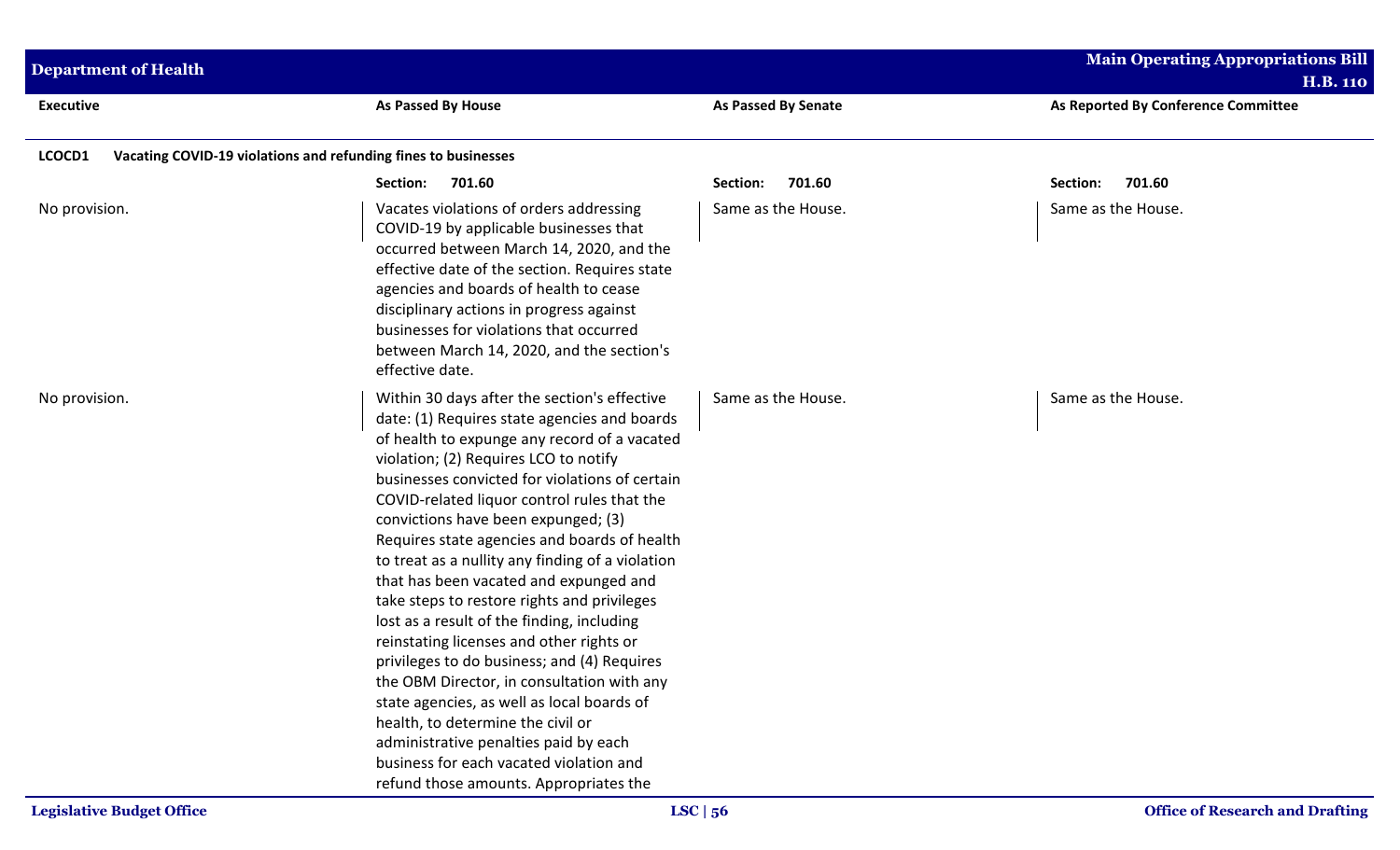| <b>Department of Health</b> |                                                                                                                                                                                                                                                                                                                                                                                                                                                                                                                                                                                                                                                                                                                                                                                                                                                                                                                                    |                            | <b>Main Operating Appropriations Bill</b><br><b>H.B. 110</b> |
|-----------------------------|------------------------------------------------------------------------------------------------------------------------------------------------------------------------------------------------------------------------------------------------------------------------------------------------------------------------------------------------------------------------------------------------------------------------------------------------------------------------------------------------------------------------------------------------------------------------------------------------------------------------------------------------------------------------------------------------------------------------------------------------------------------------------------------------------------------------------------------------------------------------------------------------------------------------------------|----------------------------|--------------------------------------------------------------|
| <b>Executive</b>            | <b>As Passed By House</b>                                                                                                                                                                                                                                                                                                                                                                                                                                                                                                                                                                                                                                                                                                                                                                                                                                                                                                          | <b>As Passed By Senate</b> | As Reported By Conference Committee                          |
| LCOCD1                      | Vacating COVID-19 violations and refunding fines to businesses                                                                                                                                                                                                                                                                                                                                                                                                                                                                                                                                                                                                                                                                                                                                                                                                                                                                     |                            |                                                              |
|                             | 701.60<br>Section:                                                                                                                                                                                                                                                                                                                                                                                                                                                                                                                                                                                                                                                                                                                                                                                                                                                                                                                 | 701.60<br>Section:         | Section:<br>701.60                                           |
| No provision.               | Vacates violations of orders addressing<br>COVID-19 by applicable businesses that<br>occurred between March 14, 2020, and the<br>effective date of the section. Requires state<br>agencies and boards of health to cease<br>disciplinary actions in progress against<br>businesses for violations that occurred<br>between March 14, 2020, and the section's<br>effective date.                                                                                                                                                                                                                                                                                                                                                                                                                                                                                                                                                    | Same as the House.         | Same as the House.                                           |
| No provision.               | Within 30 days after the section's effective<br>date: (1) Requires state agencies and boards<br>of health to expunge any record of a vacated<br>violation; (2) Requires LCO to notify<br>businesses convicted for violations of certain<br>COVID-related liquor control rules that the<br>convictions have been expunged; (3)<br>Requires state agencies and boards of health<br>to treat as a nullity any finding of a violation<br>that has been vacated and expunged and<br>take steps to restore rights and privileges<br>lost as a result of the finding, including<br>reinstating licenses and other rights or<br>privileges to do business; and (4) Requires<br>the OBM Director, in consultation with any<br>state agencies, as well as local boards of<br>health, to determine the civil or<br>administrative penalties paid by each<br>business for each vacated violation and<br>refund those amounts. Appropriates the | Same as the House.         | Same as the House.                                           |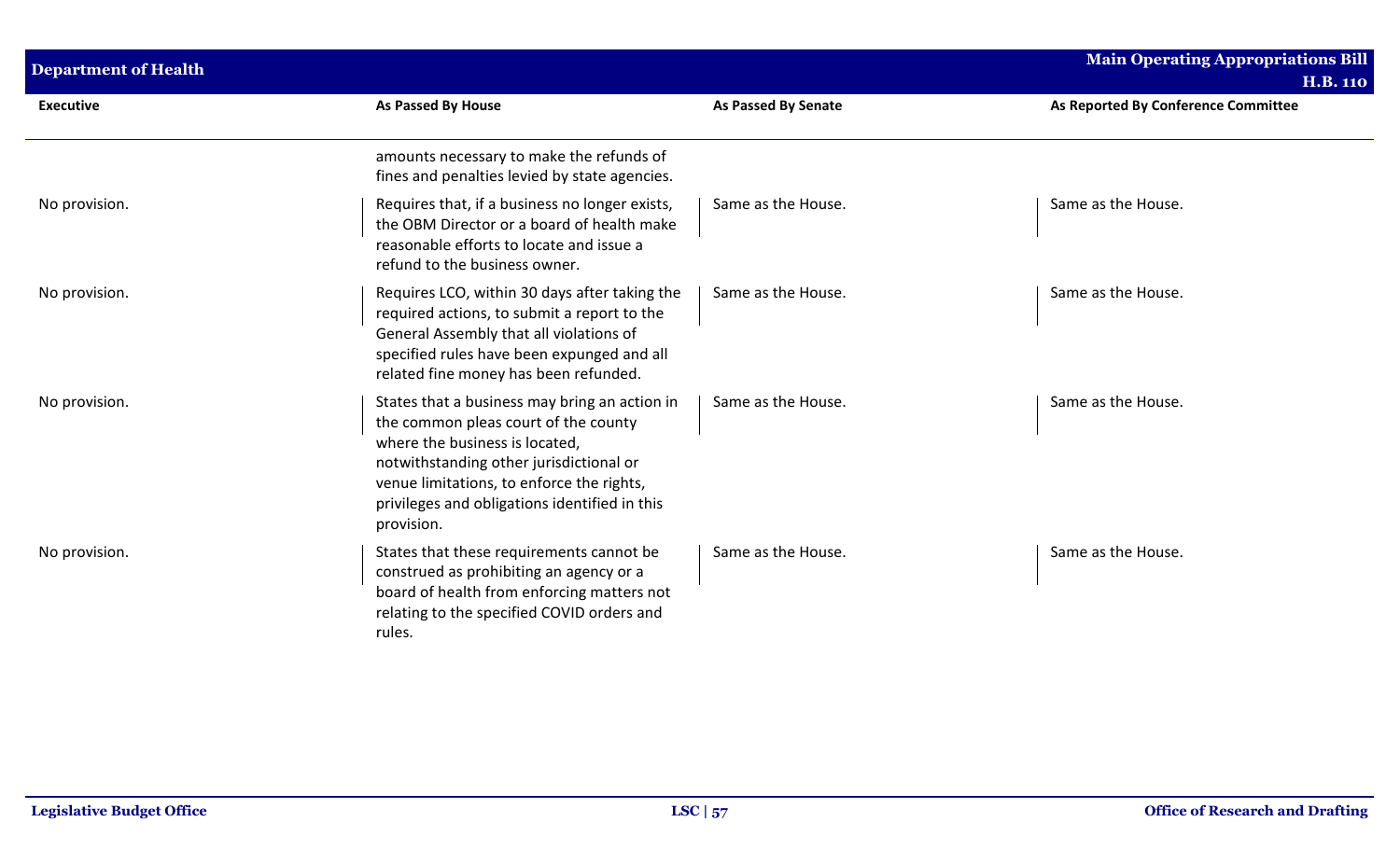| <b>Department of Health</b> |                                                                                                                                                                                                                                                                                |                            | <b>Main Operating Appropriations Bill</b><br><b>H.B. 110</b> |
|-----------------------------|--------------------------------------------------------------------------------------------------------------------------------------------------------------------------------------------------------------------------------------------------------------------------------|----------------------------|--------------------------------------------------------------|
| <b>Executive</b>            | <b>As Passed By House</b>                                                                                                                                                                                                                                                      | <b>As Passed By Senate</b> | As Reported By Conference Committee                          |
|                             | amounts necessary to make the refunds of<br>fines and penalties levied by state agencies.                                                                                                                                                                                      |                            |                                                              |
| No provision.               | Requires that, if a business no longer exists,<br>the OBM Director or a board of health make<br>reasonable efforts to locate and issue a<br>refund to the business owner.                                                                                                      | Same as the House.         | Same as the House.                                           |
| No provision.               | Requires LCO, within 30 days after taking the<br>required actions, to submit a report to the<br>General Assembly that all violations of<br>specified rules have been expunged and all<br>related fine money has been refunded.                                                 | Same as the House.         | Same as the House.                                           |
| No provision.               | States that a business may bring an action in<br>the common pleas court of the county<br>where the business is located.<br>notwithstanding other jurisdictional or<br>venue limitations, to enforce the rights,<br>privileges and obligations identified in this<br>provision. | Same as the House.         | Same as the House.                                           |
| No provision.               | States that these requirements cannot be<br>construed as prohibiting an agency or a<br>board of health from enforcing matters not<br>relating to the specified COVID orders and<br>rules.                                                                                      | Same as the House.         | Same as the House.                                           |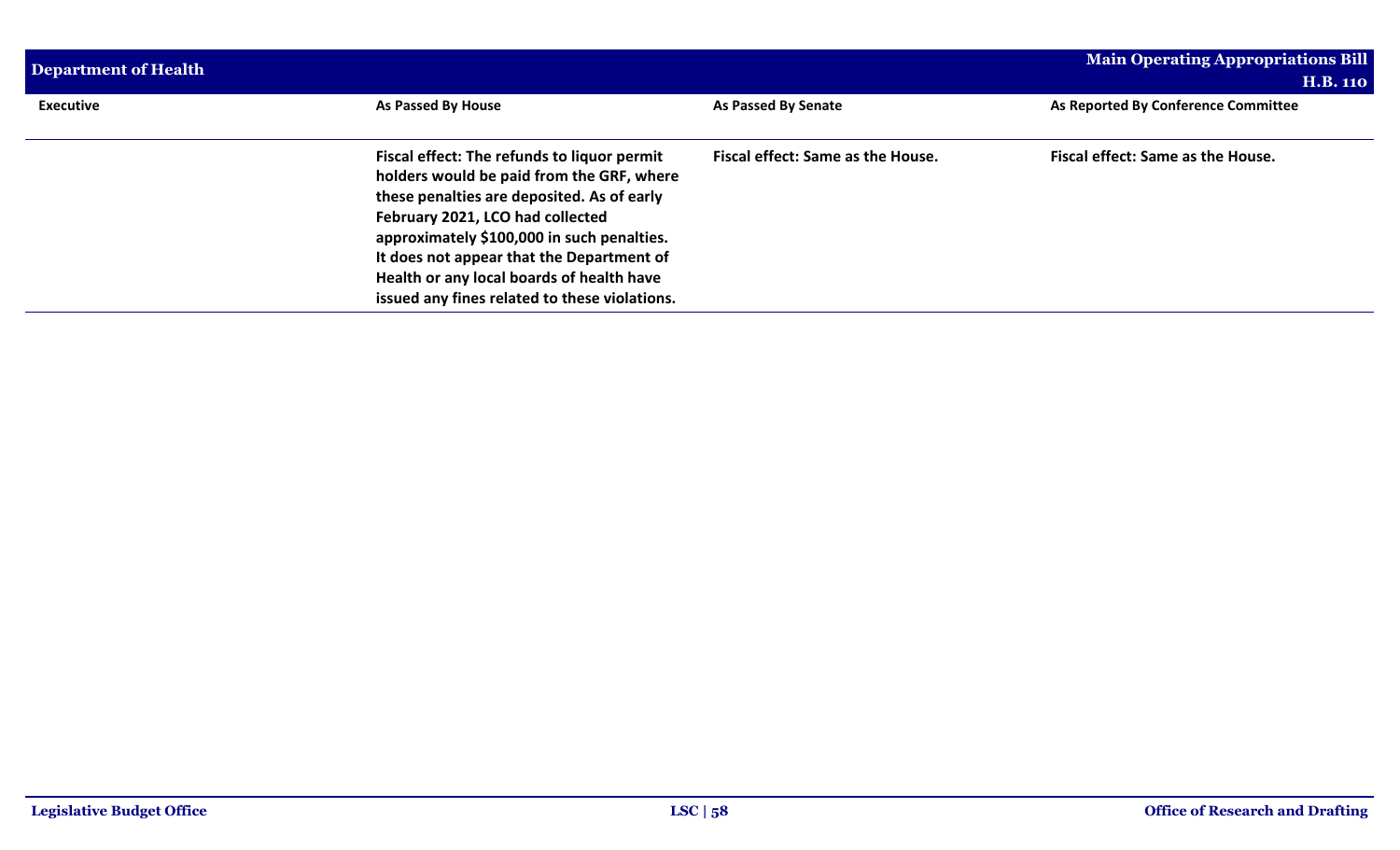| Department of Health |                                                                                                                                                                                                                                                                                                                                                                     |                                   | <b>Main Operating Appropriations Bill</b><br><b>H.B. 110</b> |
|----------------------|---------------------------------------------------------------------------------------------------------------------------------------------------------------------------------------------------------------------------------------------------------------------------------------------------------------------------------------------------------------------|-----------------------------------|--------------------------------------------------------------|
| <b>Executive</b>     | As Passed By House                                                                                                                                                                                                                                                                                                                                                  | As Passed By Senate               | As Reported By Conference Committee                          |
|                      | Fiscal effect: The refunds to liquor permit<br>holders would be paid from the GRF, where<br>these penalties are deposited. As of early<br>February 2021, LCO had collected<br>approximately \$100,000 in such penalties.<br>It does not appear that the Department of<br>Health or any local boards of health have<br>issued any fines related to these violations. | Fiscal effect: Same as the House. | Fiscal effect: Same as the House.                            |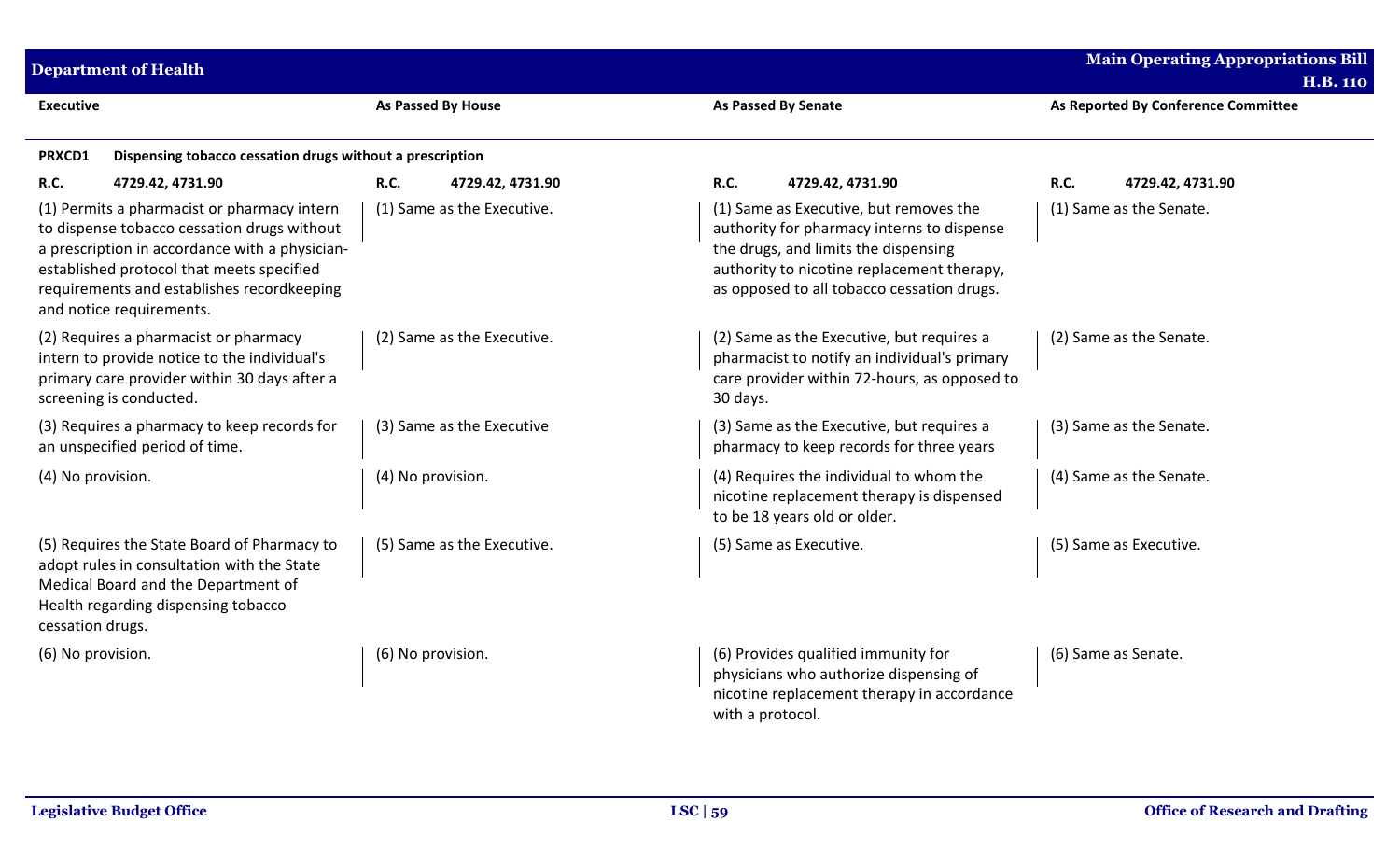| <b>Department of Health</b>                                                                                                                                                                                                                                         |                            |                                                                                                                                                                                                                          | <b>Main Operating Appropriations Bill</b><br><b>H.B. 110</b> |
|---------------------------------------------------------------------------------------------------------------------------------------------------------------------------------------------------------------------------------------------------------------------|----------------------------|--------------------------------------------------------------------------------------------------------------------------------------------------------------------------------------------------------------------------|--------------------------------------------------------------|
| <b>Executive</b>                                                                                                                                                                                                                                                    | <b>As Passed By House</b>  | As Passed By Senate                                                                                                                                                                                                      | As Reported By Conference Committee                          |
| Dispensing tobacco cessation drugs without a prescription<br>PRXCD1                                                                                                                                                                                                 |                            |                                                                                                                                                                                                                          |                                                              |
| R.C.<br>4729.42, 4731.90                                                                                                                                                                                                                                            | R.C.<br>4729.42, 4731.90   | R.C.<br>4729.42, 4731.90                                                                                                                                                                                                 | <b>R.C.</b><br>4729.42, 4731.90                              |
| (1) Permits a pharmacist or pharmacy intern<br>to dispense tobacco cessation drugs without<br>a prescription in accordance with a physician-<br>established protocol that meets specified<br>requirements and establishes recordkeeping<br>and notice requirements. | (1) Same as the Executive. | (1) Same as Executive, but removes the<br>authority for pharmacy interns to dispense<br>the drugs, and limits the dispensing<br>authority to nicotine replacement therapy,<br>as opposed to all tobacco cessation drugs. | (1) Same as the Senate.                                      |
| (2) Requires a pharmacist or pharmacy<br>intern to provide notice to the individual's<br>primary care provider within 30 days after a<br>screening is conducted.                                                                                                    | (2) Same as the Executive. | (2) Same as the Executive, but requires a<br>pharmacist to notify an individual's primary<br>care provider within 72-hours, as opposed to<br>30 days.                                                                    | (2) Same as the Senate.                                      |
| (3) Requires a pharmacy to keep records for<br>an unspecified period of time.                                                                                                                                                                                       | (3) Same as the Executive  | (3) Same as the Executive, but requires a<br>pharmacy to keep records for three years                                                                                                                                    | (3) Same as the Senate.                                      |
| (4) No provision.                                                                                                                                                                                                                                                   | (4) No provision.          | (4) Requires the individual to whom the<br>nicotine replacement therapy is dispensed<br>to be 18 years old or older.                                                                                                     | (4) Same as the Senate.                                      |
| (5) Requires the State Board of Pharmacy to<br>adopt rules in consultation with the State<br>Medical Board and the Department of<br>Health regarding dispensing tobacco<br>cessation drugs.                                                                         | (5) Same as the Executive. | (5) Same as Executive.                                                                                                                                                                                                   | (5) Same as Executive.                                       |
| (6) No provision.                                                                                                                                                                                                                                                   | (6) No provision.          | (6) Provides qualified immunity for<br>physicians who authorize dispensing of<br>nicotine replacement therapy in accordance<br>with a protocol.                                                                          | (6) Same as Senate.                                          |